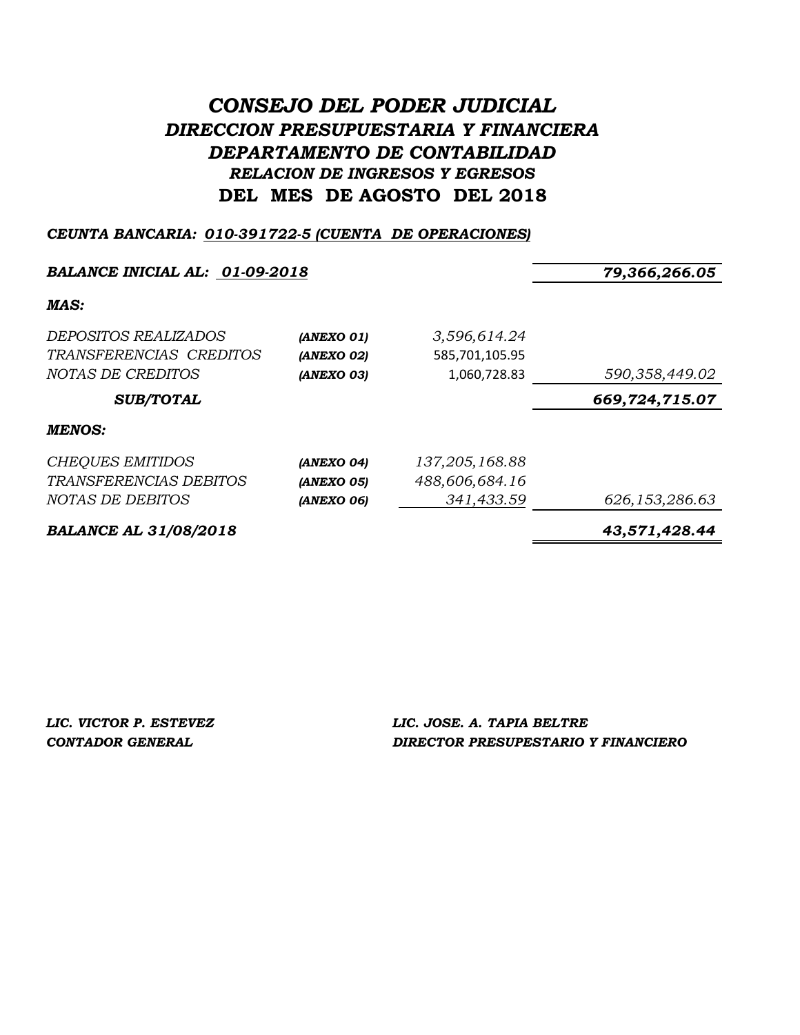# *CONSEJO DEL PODER JUDICIAL DIRECCION PRESUPUESTARIA Y FINANCIERA DEPARTAMENTO DE CONTABILIDAD RELACION DE INGRESOS Y EGRESOS* **DEL MES DE AGOSTO DEL 2018**

### *CEUNTA BANCARIA: 010-391722-5 (CUENTA DE OPERACIONES)*

#### *BALANCE INICIAL AL: 01-09-2018 79,366,266.05*

#### *MAS:*

| <b>BALANCE AL 31/08/2018</b>                           |                          |                                | 43,571,428.44  |
|--------------------------------------------------------|--------------------------|--------------------------------|----------------|
| NOTAS DE DEBITOS                                       | (ANEXO 06)               | 341,433.59                     | 626,153,286.63 |
| TRANSFERENCIAS DEBITOS                                 | (ANEXO 05)               | 488,606,684.16                 |                |
| <b>CHEQUES EMITIDOS</b>                                | (ANEXO 04)               | 137, 205, 168.88               |                |
| <b>MENOS:</b>                                          |                          |                                |                |
| <b>SUB/TOTAL</b>                                       |                          |                                | 669,724,715.07 |
| NOTAS DE CREDITOS                                      | (ANEXO 02)<br>(ANEXO 03) | 585,701,105.95<br>1,060,728.83 | 590,358,449.02 |
| <i>DEPOSITOS REALIZADOS</i><br>TRANSFERENCIAS CREDITOS | (ANEXO 01)               | 3,596,614.24                   |                |
|                                                        |                          |                                |                |

*LIC. VICTOR P. ESTEVEZ LIC. JOSE. A. TAPIA BELTRE CONTADOR GENERAL DIRECTOR PRESUPESTARIO Y FINANCIERO*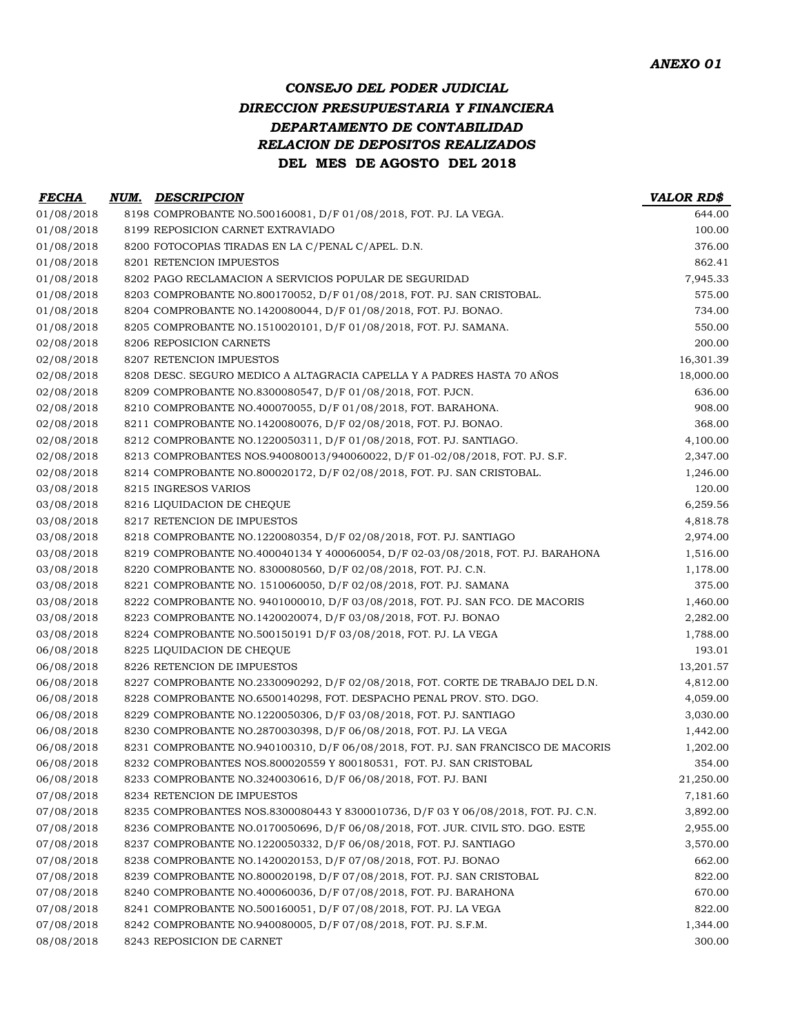### *CONSEJO DEL PODER JUDICIAL DIRECCION PRESUPUESTARIA Y FINANCIERA DEPARTAMENTO DE CONTABILIDAD RELACION DE DEPOSITOS REALIZADOS* **DEL MES DE AGOSTO DEL 2018**

| <b>FECHA</b> | NUM. | <b>DESCRIPCION</b>                                                                | <b>VALOR RD\$</b> |
|--------------|------|-----------------------------------------------------------------------------------|-------------------|
| 01/08/2018   |      | 8198 COMPROBANTE NO.500160081, D/F 01/08/2018, FOT. PJ. LA VEGA.                  | 644.00            |
| 01/08/2018   |      | 8199 REPOSICION CARNET EXTRAVIADO                                                 | 100.00            |
| 01/08/2018   |      | 8200 FOTOCOPIAS TIRADAS EN LA C/PENAL C/APEL. D.N.                                | 376.00            |
| 01/08/2018   |      | 8201 RETENCION IMPUESTOS                                                          | 862.41            |
| 01/08/2018   |      | 8202 PAGO RECLAMACION A SERVICIOS POPULAR DE SEGURIDAD                            | 7,945.33          |
| 01/08/2018   |      | 8203 COMPROBANTE NO.800170052, D/F 01/08/2018, FOT. PJ. SAN CRISTOBAL.            | 575.00            |
| 01/08/2018   |      | 8204 COMPROBANTE NO.1420080044, D/F 01/08/2018, FOT. PJ. BONAO.                   | 734.00            |
| 01/08/2018   |      | 8205 COMPROBANTE NO.1510020101, D/F 01/08/2018, FOT. PJ. SAMANA.                  | 550.00            |
| 02/08/2018   |      | 8206 REPOSICION CARNETS                                                           | 200.00            |
| 02/08/2018   |      | 8207 RETENCION IMPUESTOS                                                          | 16,301.39         |
| 02/08/2018   |      | 8208 DESC. SEGURO MEDICO A ALTAGRACIA CAPELLA Y A PADRES HASTA 70 AÑOS            | 18,000.00         |
| 02/08/2018   |      | 8209 COMPROBANTE NO.8300080547, D/F 01/08/2018, FOT. PJCN.                        | 636.00            |
| 02/08/2018   |      | 8210 COMPROBANTE NO.400070055, D/F 01/08/2018, FOT. BARAHONA.                     | 908.00            |
| 02/08/2018   |      | 8211 COMPROBANTE NO.1420080076, D/F 02/08/2018, FOT. PJ. BONAO.                   | 368.00            |
| 02/08/2018   |      | 8212 COMPROBANTE NO.1220050311, D/F 01/08/2018, FOT. PJ. SANTIAGO.                | 4,100.00          |
| 02/08/2018   |      | 8213 COMPROBANTES NOS.940080013/940060022, D/F 01-02/08/2018, FOT. PJ. S.F.       | 2,347.00          |
| 02/08/2018   |      | 8214 COMPROBANTE NO.800020172, D/F 02/08/2018, FOT. PJ. SAN CRISTOBAL.            | 1,246.00          |
| 03/08/2018   |      | 8215 INGRESOS VARIOS                                                              | 120.00            |
| 03/08/2018   |      | 8216 LIQUIDACION DE CHEQUE                                                        | 6,259.56          |
| 03/08/2018   |      | 8217 RETENCION DE IMPUESTOS                                                       | 4,818.78          |
| 03/08/2018   |      | 8218 COMPROBANTE NO.1220080354, D/F 02/08/2018, FOT. PJ. SANTIAGO                 | 2,974.00          |
| 03/08/2018   |      | 8219 COMPROBANTE NO.400040134 Y 400060054, D/F 02-03/08/2018, FOT. PJ. BARAHONA   | 1,516.00          |
| 03/08/2018   |      | 8220 COMPROBANTE NO. 8300080560, D/F 02/08/2018, FOT. PJ. C.N.                    | 1,178.00          |
| 03/08/2018   |      | 8221 COMPROBANTE NO. 1510060050, D/F 02/08/2018, FOT. PJ. SAMANA                  | 375.00            |
| 03/08/2018   |      | 8222 COMPROBANTE NO. 9401000010, D/F 03/08/2018, FOT. PJ. SAN FCO. DE MACORIS     | 1,460.00          |
| 03/08/2018   |      | 8223 COMPROBANTE NO.1420020074, D/F 03/08/2018, FOT. PJ. BONAO                    | 2,282.00          |
| 03/08/2018   |      | 8224 COMPROBANTE NO.500150191 D/F 03/08/2018, FOT. PJ. LA VEGA                    | 1,788.00          |
| 06/08/2018   |      | 8225 LIQUIDACION DE CHEQUE                                                        | 193.01            |
| 06/08/2018   |      | 8226 RETENCION DE IMPUESTOS                                                       | 13,201.57         |
| 06/08/2018   |      | 8227 COMPROBANTE NO.2330090292, D/F 02/08/2018, FOT. CORTE DE TRABAJO DEL D.N.    | 4,812.00          |
| 06/08/2018   |      | 8228 COMPROBANTE NO.6500140298, FOT. DESPACHO PENAL PROV. STO. DGO.               | 4,059.00          |
| 06/08/2018   |      | 8229 COMPROBANTE NO.1220050306, D/F 03/08/2018, FOT. PJ. SANTIAGO                 | 3,030.00          |
| 06/08/2018   |      | 8230 COMPROBANTE NO.2870030398, D/F 06/08/2018, FOT. PJ. LA VEGA                  | 1,442.00          |
| 06/08/2018   |      | 8231 COMPROBANTE NO.940100310, D/F 06/08/2018, FOT. PJ. SAN FRANCISCO DE MACORIS  | 1,202.00          |
| 06/08/2018   |      | 8232 COMPROBANTES NOS.800020559 Y 800180531, FOT. PJ. SAN CRISTOBAL               | 354.00            |
| 06/08/2018   |      | 8233 COMPROBANTE NO.3240030616, D/F 06/08/2018, FOT. PJ. BANI                     | 21,250.00         |
| 07/08/2018   |      | 8234 RETENCION DE IMPUESTOS                                                       | 7,181.60          |
| 07/08/2018   |      | 8235 COMPROBANTES NOS.8300080443 Y 8300010736, D/F 03 Y 06/08/2018, FOT. PJ. C.N. | 3,892.00          |
| 07/08/2018   |      | 8236 COMPROBANTE NO.0170050696, D/F 06/08/2018, FOT. JUR. CIVIL STO. DGO. ESTE    | 2,955.00          |
| 07/08/2018   |      | 8237 COMPROBANTE NO.1220050332, D/F 06/08/2018, FOT. PJ. SANTIAGO                 | 3,570.00          |
| 07/08/2018   |      | 8238 COMPROBANTE NO.1420020153, D/F 07/08/2018, FOT. PJ. BONAO                    | 662.00            |
| 07/08/2018   |      | 8239 COMPROBANTE NO.800020198, D/F 07/08/2018, FOT. PJ. SAN CRISTOBAL             | 822.00            |
| 07/08/2018   |      | 8240 COMPROBANTE NO.400060036, D/F 07/08/2018, FOT. PJ. BARAHONA                  | 670.00            |
| 07/08/2018   |      | 8241 COMPROBANTE NO.500160051, D/F 07/08/2018, FOT. PJ. LA VEGA                   | 822.00            |
| 07/08/2018   |      | 8242 COMPROBANTE NO.940080005, D/F 07/08/2018, FOT. PJ. S.F.M.                    | 1,344.00          |
| 08/08/2018   |      | 8243 REPOSICION DE CARNET                                                         | 300.00            |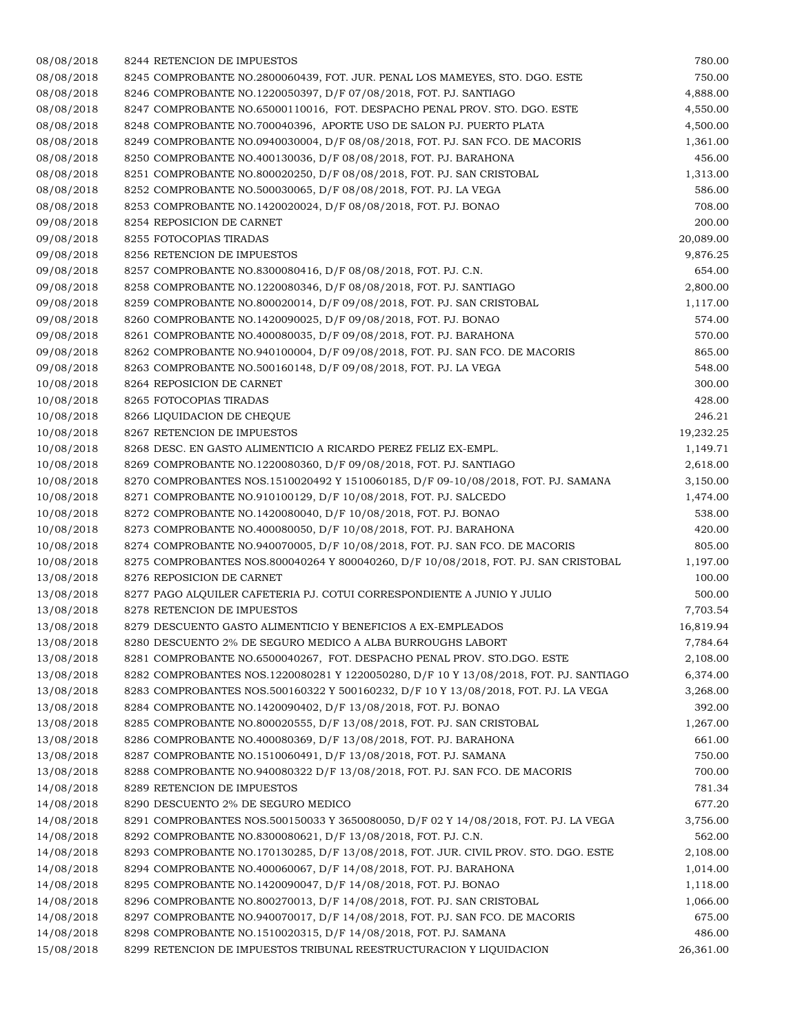| 08/08/2018               | 8244 RETENCION DE IMPUESTOS                                                                                                                   | 780.00               |
|--------------------------|-----------------------------------------------------------------------------------------------------------------------------------------------|----------------------|
| 08/08/2018               | 8245 COMPROBANTE NO.2800060439, FOT. JUR. PENAL LOS MAMEYES, STO. DGO. ESTE                                                                   | 750.00               |
| 08/08/2018               | 8246 COMPROBANTE NO.1220050397, D/F 07/08/2018, FOT. PJ. SANTIAGO                                                                             | 4,888.00             |
| 08/08/2018               | 8247 COMPROBANTE NO.65000110016, FOT. DESPACHO PENAL PROV. STO. DGO. ESTE                                                                     | 4,550.00             |
| 08/08/2018               | 8248 COMPROBANTE NO.700040396, APORTE USO DE SALON PJ. PUERTO PLATA                                                                           | 4,500.00             |
| 08/08/2018               | 8249 COMPROBANTE NO.0940030004, D/F 08/08/2018, FOT. PJ. SAN FCO. DE MACORIS                                                                  | 1,361.00             |
| 08/08/2018               | 8250 COMPROBANTE NO.400130036, D/F 08/08/2018, FOT. PJ. BARAHONA                                                                              | 456.00               |
| 08/08/2018               | 8251 COMPROBANTE NO.800020250, D/F 08/08/2018, FOT. PJ. SAN CRISTOBAL                                                                         | 1,313.00             |
| 08/08/2018               | 8252 COMPROBANTE NO.500030065, D/F 08/08/2018, FOT. PJ. LA VEGA                                                                               | 586.00               |
| 08/08/2018               | 8253 COMPROBANTE NO.1420020024, D/F 08/08/2018, FOT. PJ. BONAO                                                                                | 708.00               |
| 09/08/2018               | 8254 REPOSICION DE CARNET                                                                                                                     | 200.00               |
| 09/08/2018               | 8255 FOTOCOPIAS TIRADAS                                                                                                                       | 20,089.00            |
| 09/08/2018               | 8256 RETENCION DE IMPUESTOS                                                                                                                   | 9,876.25             |
| 09/08/2018               | 8257 COMPROBANTE NO.8300080416, D/F 08/08/2018, FOT. PJ. C.N.                                                                                 | 654.00               |
| 09/08/2018               | 8258 COMPROBANTE NO.1220080346, D/F 08/08/2018, FOT. PJ. SANTIAGO                                                                             | 2,800.00             |
| 09/08/2018               | 8259 COMPROBANTE NO.800020014, D/F 09/08/2018, FOT. PJ. SAN CRISTOBAL                                                                         | 1,117.00             |
| 09/08/2018               | 8260 COMPROBANTE NO.1420090025, D/F 09/08/2018, FOT. PJ. BONAO                                                                                | 574.00               |
| 09/08/2018               | 8261 COMPROBANTE NO.400080035, D/F 09/08/2018, FOT. PJ. BARAHONA                                                                              | 570.00               |
| 09/08/2018               | 8262 COMPROBANTE NO.940100004, D/F 09/08/2018, FOT. PJ. SAN FCO. DE MACORIS                                                                   | 865.00               |
| 09/08/2018               | 8263 COMPROBANTE NO.500160148, D/F 09/08/2018, FOT. PJ. LA VEGA                                                                               | 548.00               |
| 10/08/2018               | 8264 REPOSICION DE CARNET                                                                                                                     | 300.00               |
| 10/08/2018               | 8265 FOTOCOPIAS TIRADAS                                                                                                                       | 428.00               |
| 10/08/2018               | 8266 LIQUIDACION DE CHEQUE                                                                                                                    | 246.21               |
| 10/08/2018               | 8267 RETENCION DE IMPUESTOS                                                                                                                   | 19,232.25            |
| 10/08/2018               | 8268 DESC. EN GASTO ALIMENTICIO A RICARDO PEREZ FELIZ EX-EMPL.                                                                                | 1,149.71             |
| 10/08/2018               | 8269 COMPROBANTE NO.1220080360, D/F 09/08/2018, FOT. PJ. SANTIAGO                                                                             | 2,618.00             |
| 10/08/2018               | 8270 COMPROBANTES NOS.1510020492 Y 1510060185, D/F 09-10/08/2018, FOT. PJ. SAMANA                                                             | 3,150.00             |
| 10/08/2018               | 8271 COMPROBANTE NO.910100129, D/F 10/08/2018, FOT. PJ. SALCEDO                                                                               | 1,474.00             |
| 10/08/2018               | 8272 COMPROBANTE NO.1420080040, D/F 10/08/2018, FOT. PJ. BONAO                                                                                | 538.00               |
| 10/08/2018               | 8273 COMPROBANTE NO.400080050, D/F 10/08/2018, FOT. PJ. BARAHONA                                                                              | 420.00               |
| 10/08/2018               | 8274 COMPROBANTE NO.940070005, D/F 10/08/2018, FOT. PJ. SAN FCO. DE MACORIS                                                                   | 805.00               |
| 10/08/2018               | 8275 COMPROBANTES NOS.800040264 Y 800040260, D/F 10/08/2018, FOT. PJ. SAN CRISTOBAL                                                           | 1,197.00             |
| 13/08/2018               | 8276 REPOSICION DE CARNET                                                                                                                     | 100.00               |
| 13/08/2018               | 8277 PAGO ALQUILER CAFETERIA PJ. COTUI CORRESPONDIENTE A JUNIO Y JULIO                                                                        | 500.00               |
| 13/08/2018               | 8278 RETENCION DE IMPUESTOS                                                                                                                   | 7,703.54             |
| 13/08/2018               | 8279 DESCUENTO GASTO ALIMENTICIO Y BENEFICIOS A EX-EMPLEADOS                                                                                  | 16,819.94            |
| 13/08/2018               | 8280 DESCUENTO 2% DE SEGURO MEDICO A ALBA BURROUGHS LABORT                                                                                    | 7,784.64             |
| 13/08/2018               | 8281 COMPROBANTE NO.6500040267, FOT. DESPACHO PENAL PROV. STO.DGO. ESTE                                                                       |                      |
|                          | 8282 COMPROBANTES NOS.1220080281 Y 1220050280, D/F 10 Y 13/08/2018, FOT. PJ. SANTIAGO                                                         | 2,108.00             |
| 13/08/2018               |                                                                                                                                               | 6,374.00<br>3,268.00 |
| 13/08/2018               | 8283 COMPROBANTES NOS.500160322 Y 500160232, D/F 10 Y 13/08/2018, FOT. PJ. LA VEGA                                                            | 392.00               |
| 13/08/2018<br>13/08/2018 | 8284 COMPROBANTE NO.1420090402, D/F 13/08/2018, FOT. PJ. BONAO                                                                                |                      |
|                          | 8285 COMPROBANTE NO.800020555, D/F 13/08/2018, FOT. PJ. SAN CRISTOBAL                                                                         | 1,267.00<br>661.00   |
| 13/08/2018               | 8286 COMPROBANTE NO.400080369, D/F 13/08/2018, FOT. PJ. BARAHONA                                                                              |                      |
| 13/08/2018               | 8287 COMPROBANTE NO.1510060491, D/F 13/08/2018, FOT. PJ. SAMANA<br>8288 COMPROBANTE NO.940080322 D/F 13/08/2018, FOT. PJ. SAN FCO. DE MACORIS | 750.00               |
| 13/08/2018               |                                                                                                                                               | 700.00               |
| 14/08/2018               | 8289 RETENCION DE IMPUESTOS                                                                                                                   | 781.34               |
| 14/08/2018               | 8290 DESCUENTO 2% DE SEGURO MEDICO                                                                                                            | 677.20               |
| 14/08/2018               | 8291 COMPROBANTES NOS.500150033 Y 3650080050, D/F 02 Y 14/08/2018, FOT. PJ. LA VEGA                                                           | 3,756.00             |
| 14/08/2018               | 8292 COMPROBANTE NO.8300080621, D/F 13/08/2018, FOT. PJ. C.N.                                                                                 | 562.00               |
| 14/08/2018               | 8293 COMPROBANTE NO.170130285, D/F 13/08/2018, FOT. JUR. CIVIL PROV. STO. DGO. ESTE                                                           | 2,108.00             |
| 14/08/2018               | 8294 COMPROBANTE NO.400060067, D/F 14/08/2018, FOT. PJ. BARAHONA                                                                              | 1,014.00             |
| 14/08/2018               | 8295 COMPROBANTE NO.1420090047, D/F 14/08/2018, FOT. PJ. BONAO                                                                                | 1,118.00             |
| 14/08/2018               | 8296 COMPROBANTE NO.800270013, D/F 14/08/2018, FOT. PJ. SAN CRISTOBAL                                                                         | 1,066.00             |
| 14/08/2018               | 8297 COMPROBANTE NO.940070017, D/F 14/08/2018, FOT. PJ. SAN FCO. DE MACORIS                                                                   | 675.00               |
| 14/08/2018               | 8298 COMPROBANTE NO.1510020315, D/F 14/08/2018, FOT. PJ. SAMANA                                                                               | 486.00               |
| 15/08/2018               | 8299 RETENCION DE IMPUESTOS TRIBUNAL REESTRUCTURACION Y LIQUIDACION                                                                           | 26,361.00            |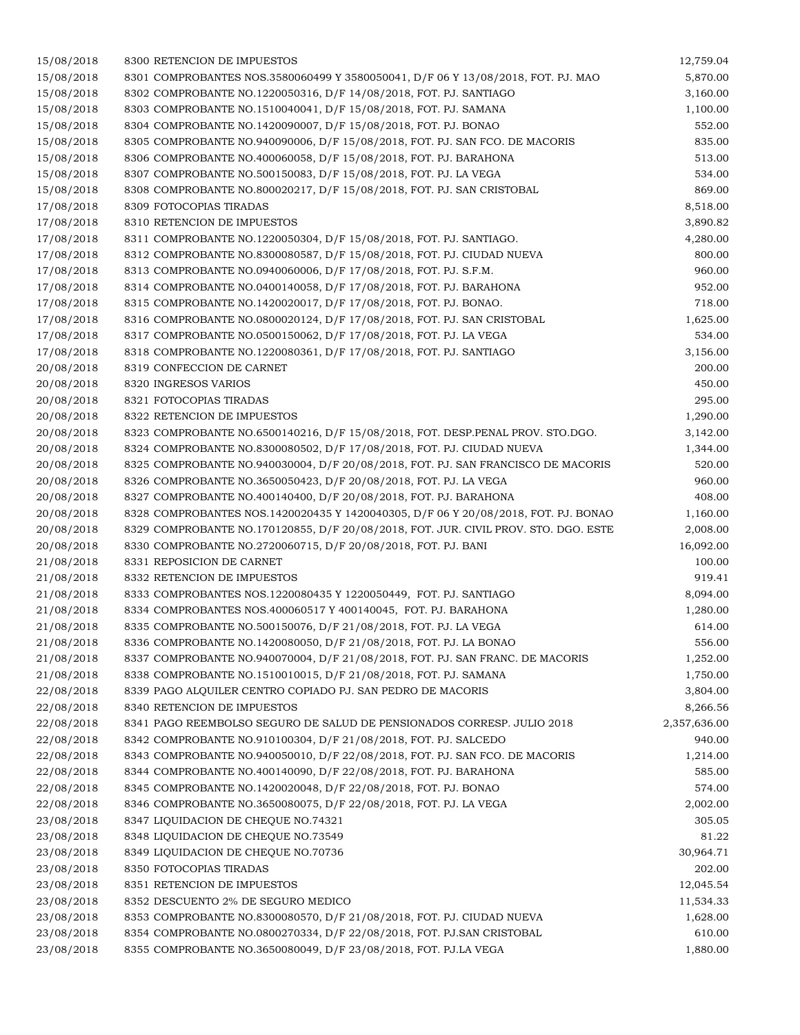| 15/08/2018 | 8300 RETENCION DE IMPUESTOS                                                         | 12,759.04    |
|------------|-------------------------------------------------------------------------------------|--------------|
| 15/08/2018 | 8301 COMPROBANTES NOS.3580060499 Y 3580050041, D/F 06 Y 13/08/2018, FOT. PJ. MAO    | 5,870.00     |
| 15/08/2018 | 8302 COMPROBANTE NO.1220050316, D/F 14/08/2018, FOT. PJ. SANTIAGO                   | 3,160.00     |
| 15/08/2018 | 8303 COMPROBANTE NO.1510040041, D/F 15/08/2018, FOT. PJ. SAMANA                     | 1,100.00     |
| 15/08/2018 | 8304 COMPROBANTE NO.1420090007, D/F 15/08/2018, FOT. PJ. BONAO                      | 552.00       |
| 15/08/2018 | 8305 COMPROBANTE NO.940090006, D/F 15/08/2018, FOT. PJ. SAN FCO. DE MACORIS         | 835.00       |
| 15/08/2018 | 8306 COMPROBANTE NO.400060058, D/F 15/08/2018, FOT. PJ. BARAHONA                    | 513.00       |
| 15/08/2018 | 8307 COMPROBANTE NO.500150083, D/F 15/08/2018, FOT. PJ. LA VEGA                     | 534.00       |
| 15/08/2018 | 8308 COMPROBANTE NO.800020217, D/F 15/08/2018, FOT. PJ. SAN CRISTOBAL               | 869.00       |
| 17/08/2018 | 8309 FOTOCOPIAS TIRADAS                                                             | 8,518.00     |
| 17/08/2018 | 8310 RETENCION DE IMPUESTOS                                                         | 3,890.82     |
| 17/08/2018 | 8311 COMPROBANTE NO.1220050304, D/F 15/08/2018, FOT. PJ. SANTIAGO.                  | 4,280.00     |
| 17/08/2018 | 8312 COMPROBANTE NO.8300080587, D/F 15/08/2018, FOT. PJ. CIUDAD NUEVA               | 800.00       |
| 17/08/2018 | 8313 COMPROBANTE NO.0940060006, D/F 17/08/2018, FOT. PJ. S.F.M.                     | 960.00       |
| 17/08/2018 | 8314 COMPROBANTE NO.0400140058, D/F 17/08/2018, FOT. PJ. BARAHONA                   | 952.00       |
| 17/08/2018 | 8315 COMPROBANTE NO.1420020017, D/F 17/08/2018, FOT. PJ. BONAO.                     | 718.00       |
| 17/08/2018 | 8316 COMPROBANTE NO.0800020124, D/F 17/08/2018, FOT. PJ. SAN CRISTOBAL              | 1,625.00     |
| 17/08/2018 | 8317 COMPROBANTE NO.0500150062, D/F 17/08/2018, FOT. PJ. LA VEGA                    | 534.00       |
| 17/08/2018 | 8318 COMPROBANTE NO.1220080361, D/F 17/08/2018, FOT. PJ. SANTIAGO                   | 3,156.00     |
| 20/08/2018 | 8319 CONFECCION DE CARNET                                                           | 200.00       |
| 20/08/2018 | 8320 INGRESOS VARIOS                                                                | 450.00       |
| 20/08/2018 | 8321 FOTOCOPIAS TIRADAS                                                             | 295.00       |
| 20/08/2018 | 8322 RETENCION DE IMPUESTOS                                                         | 1,290.00     |
| 20/08/2018 | 8323 COMPROBANTE NO.6500140216, D/F 15/08/2018, FOT. DESP.PENAL PROV. STO.DGO.      | 3,142.00     |
| 20/08/2018 | 8324 COMPROBANTE NO.8300080502, D/F 17/08/2018, FOT. PJ. CIUDAD NUEVA               | 1,344.00     |
| 20/08/2018 | 8325 COMPROBANTE NO.940030004, D/F 20/08/2018, FOT. PJ. SAN FRANCISCO DE MACORIS    | 520.00       |
| 20/08/2018 | 8326 COMPROBANTE NO.3650050423, D/F 20/08/2018, FOT. PJ. LA VEGA                    | 960.00       |
| 20/08/2018 | 8327 COMPROBANTE NO.400140400, D/F 20/08/2018, FOT. PJ. BARAHONA                    | 408.00       |
| 20/08/2018 | 8328 COMPROBANTES NOS.1420020435 Y 1420040305, D/F 06 Y 20/08/2018, FOT. PJ. BONAO  | 1,160.00     |
| 20/08/2018 | 8329 COMPROBANTE NO.170120855, D/F 20/08/2018, FOT. JUR. CIVIL PROV. STO. DGO. ESTE | 2,008.00     |
| 20/08/2018 | 8330 COMPROBANTE NO.2720060715, D/F 20/08/2018, FOT. PJ. BANI                       | 16,092.00    |
| 21/08/2018 | 8331 REPOSICION DE CARNET                                                           | 100.00       |
| 21/08/2018 | 8332 RETENCION DE IMPUESTOS                                                         | 919.41       |
| 21/08/2018 | 8333 COMPROBANTES NOS.1220080435 Y 1220050449, FOT. PJ. SANTIAGO                    | 8,094.00     |
| 21/08/2018 | 8334 COMPROBANTES NOS.400060517 Y 400140045, FOT. PJ. BARAHONA                      | 1,280.00     |
| 21/08/2018 | 8335 COMPROBANTE NO.500150076, D/F 21/08/2018, FOT. PJ. LA VEGA                     | 614.00       |
| 21/08/2018 | 8336 COMPROBANTE NO.1420080050, D/F 21/08/2018, FOT. PJ. LA BONAO                   | 556.00       |
| 21/08/2018 | 8337 COMPROBANTE NO.940070004, D/F 21/08/2018, FOT. PJ. SAN FRANC. DE MACORIS       | 1,252.00     |
| 21/08/2018 | 8338 COMPROBANTE NO.1510010015, D/F 21/08/2018, FOT. PJ. SAMANA                     | 1,750.00     |
| 22/08/2018 | 8339 PAGO ALQUILER CENTRO COPIADO PJ. SAN PEDRO DE MACORIS                          | 3,804.00     |
| 22/08/2018 | 8340 RETENCION DE IMPUESTOS                                                         | 8,266.56     |
| 22/08/2018 | 8341 PAGO REEMBOLSO SEGURO DE SALUD DE PENSIONADOS CORRESP. JULIO 2018              | 2,357,636.00 |
| 22/08/2018 | 8342 COMPROBANTE NO.910100304, D/F 21/08/2018, FOT. PJ. SALCEDO                     | 940.00       |
| 22/08/2018 | 8343 COMPROBANTE NO.940050010, D/F 22/08/2018, FOT. PJ. SAN FCO. DE MACORIS         | 1,214.00     |
| 22/08/2018 | 8344 COMPROBANTE NO.400140090, D/F 22/08/2018, FOT. PJ. BARAHONA                    | 585.00       |
| 22/08/2018 | 8345 COMPROBANTE NO.1420020048, D/F 22/08/2018, FOT. PJ. BONAO                      | 574.00       |
| 22/08/2018 | 8346 COMPROBANTE NO.3650080075, D/F 22/08/2018, FOT. PJ. LA VEGA                    | 2,002.00     |
| 23/08/2018 | 8347 LIQUIDACION DE CHEQUE NO.74321                                                 | 305.05       |
| 23/08/2018 | 8348 LIQUIDACION DE CHEQUE NO.73549                                                 | 81.22        |
| 23/08/2018 | 8349 LIQUIDACION DE CHEQUE NO.70736                                                 | 30,964.71    |
| 23/08/2018 | 8350 FOTOCOPIAS TIRADAS                                                             | 202.00       |
| 23/08/2018 | 8351 RETENCION DE IMPUESTOS                                                         | 12,045.54    |
| 23/08/2018 | 8352 DESCUENTO 2% DE SEGURO MEDICO                                                  | 11,534.33    |
| 23/08/2018 | 8353 COMPROBANTE NO.8300080570, D/F 21/08/2018, FOT. PJ. CIUDAD NUEVA               | 1,628.00     |
| 23/08/2018 | 8354 COMPROBANTE NO.0800270334, D/F 22/08/2018, FOT. PJ.SAN CRISTOBAL               | 610.00       |
| 23/08/2018 | 8355 COMPROBANTE NO.3650080049, D/F 23/08/2018, FOT. PJ.LA VEGA                     | 1,880.00     |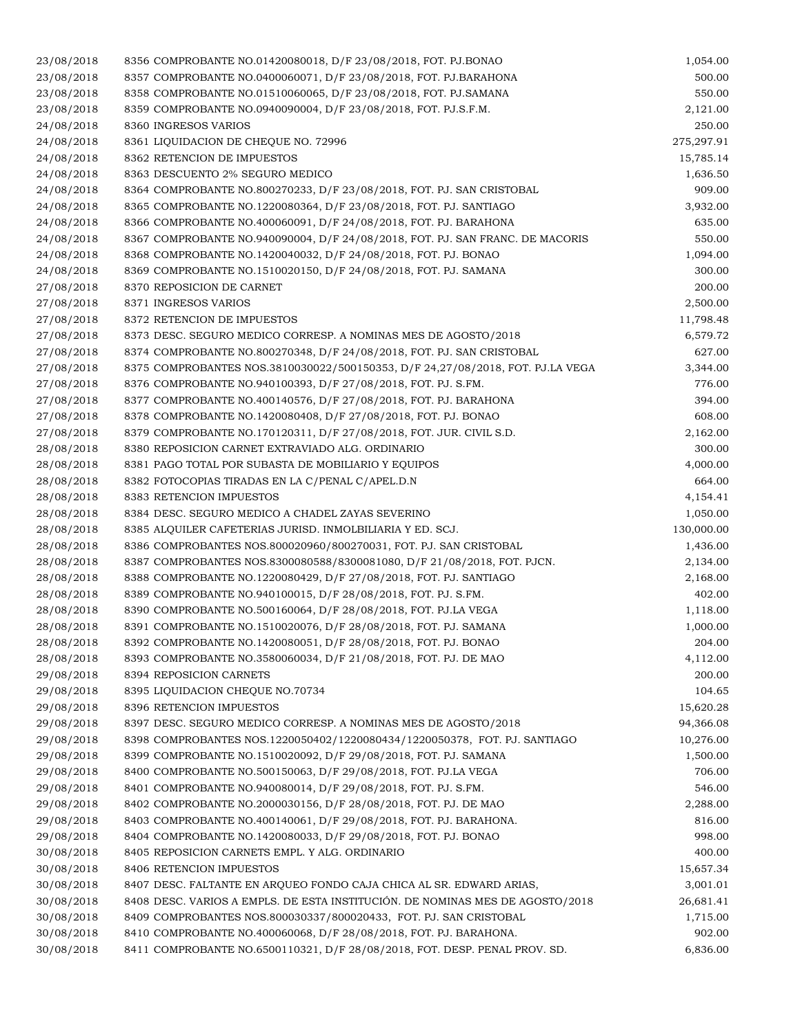| 23/08/2018 | 8356 COMPROBANTE NO.01420080018, D/F 23/08/2018, FOT. PJ.BONAO                 | 1,054.00   |
|------------|--------------------------------------------------------------------------------|------------|
| 23/08/2018 | 8357 COMPROBANTE NO.0400060071, D/F 23/08/2018, FOT. PJ.BARAHONA               | 500.00     |
| 23/08/2018 | 8358 COMPROBANTE NO.01510060065, D/F 23/08/2018, FOT. PJ.SAMANA                | 550.00     |
| 23/08/2018 | 8359 COMPROBANTE NO.0940090004, D/F 23/08/2018, FOT. PJ.S.F.M.                 | 2,121.00   |
| 24/08/2018 | 8360 INGRESOS VARIOS                                                           | 250.00     |
| 24/08/2018 | 8361 LIQUIDACION DE CHEQUE NO. 72996                                           | 275,297.91 |
| 24/08/2018 | 8362 RETENCION DE IMPUESTOS                                                    | 15,785.14  |
| 24/08/2018 | 8363 DESCUENTO 2% SEGURO MEDICO                                                | 1,636.50   |
| 24/08/2018 | 8364 COMPROBANTE NO.800270233, D/F 23/08/2018, FOT. PJ. SAN CRISTOBAL          | 909.00     |
| 24/08/2018 | 8365 COMPROBANTE NO.1220080364, D/F 23/08/2018, FOT. PJ. SANTIAGO              | 3,932.00   |
| 24/08/2018 | 8366 COMPROBANTE NO.400060091, D/F 24/08/2018, FOT. PJ. BARAHONA               | 635.00     |
| 24/08/2018 | 8367 COMPROBANTE NO.940090004, D/F 24/08/2018, FOT. PJ. SAN FRANC. DE MACORIS  | 550.00     |
| 24/08/2018 | 8368 COMPROBANTE NO.1420040032, D/F 24/08/2018, FOT. PJ. BONAO                 | 1,094.00   |
| 24/08/2018 | 8369 COMPROBANTE NO.1510020150, D/F 24/08/2018, FOT. PJ. SAMANA                | 300.00     |
| 27/08/2018 | 8370 REPOSICION DE CARNET                                                      | 200.00     |
| 27/08/2018 | 8371 INGRESOS VARIOS                                                           | 2,500.00   |
| 27/08/2018 | 8372 RETENCION DE IMPUESTOS                                                    | 11,798.48  |
| 27/08/2018 | 8373 DESC. SEGURO MEDICO CORRESP. A NOMINAS MES DE AGOSTO/2018                 | 6,579.72   |
| 27/08/2018 | 8374 COMPROBANTE NO.800270348, D/F 24/08/2018, FOT. PJ. SAN CRISTOBAL          | 627.00     |
| 27/08/2018 | 8375 COMPROBANTES NOS.3810030022/500150353, D/F 24,27/08/2018, FOT. PJ.LA VEGA | 3,344.00   |
| 27/08/2018 | 8376 COMPROBANTE NO.940100393, D/F 27/08/2018, FOT. PJ. S.FM.                  | 776.00     |
| 27/08/2018 | 8377 COMPROBANTE NO.400140576, D/F 27/08/2018, FOT. PJ. BARAHONA               | 394.00     |
| 27/08/2018 | 8378 COMPROBANTE NO.1420080408, D/F 27/08/2018, FOT. PJ. BONAO                 | 608.00     |
| 27/08/2018 | 8379 COMPROBANTE NO.170120311, D/F 27/08/2018, FOT. JUR. CIVIL S.D.            | 2,162.00   |
| 28/08/2018 | 8380 REPOSICION CARNET EXTRAVIADO ALG. ORDINARIO                               | 300.00     |
|            |                                                                                | 4,000.00   |
| 28/08/2018 | 8381 PAGO TOTAL POR SUBASTA DE MOBILIARIO Y EQUIPOS                            |            |
| 28/08/2018 | 8382 FOTOCOPIAS TIRADAS EN LA C/PENAL C/APEL.D.N                               | 664.00     |
| 28/08/2018 | 8383 RETENCION IMPUESTOS                                                       | 4,154.41   |
| 28/08/2018 | 8384 DESC. SEGURO MEDICO A CHADEL ZAYAS SEVERINO                               | 1,050.00   |
| 28/08/2018 | 8385 ALQUILER CAFETERIAS JURISD. INMOLBILIARIA Y ED. SCJ.                      | 130,000.00 |
| 28/08/2018 | 8386 COMPROBANTES NOS.800020960/800270031, FOT. PJ. SAN CRISTOBAL              | 1,436.00   |
| 28/08/2018 | 8387 COMPROBANTES NOS.8300080588/8300081080, D/F 21/08/2018, FOT. PJCN.        | 2,134.00   |
| 28/08/2018 | 8388 COMPROBANTE NO.1220080429, D/F 27/08/2018, FOT. PJ. SANTIAGO              | 2,168.00   |
| 28/08/2018 | 8389 COMPROBANTE NO.940100015, D/F 28/08/2018, FOT. PJ. S.FM.                  | 402.00     |
| 28/08/2018 | 8390 COMPROBANTE NO.500160064, D/F 28/08/2018, FOT. PJ.LA VEGA                 | 1,118.00   |
| 28/08/2018 | 8391 COMPROBANTE NO.1510020076, D/F 28/08/2018, FOT. PJ. SAMANA                | 1,000.00   |
| 28/08/2018 | 8392 COMPROBANTE NO.1420080051, D/F 28/08/2018, FOT. PJ. BONAO                 | 204.00     |
| 28/08/2018 | 8393 COMPROBANTE NO.3580060034, D/F 21/08/2018, FOT. PJ. DE MAO                | 4,112.00   |
| 29/08/2018 | 8394 REPOSICION CARNETS                                                        | 200.00     |
| 29/08/2018 | 8395 LIQUIDACION CHEQUE NO.70734                                               | 104.65     |
| 29/08/2018 | 8396 RETENCION IMPUESTOS                                                       | 15,620.28  |
| 29/08/2018 | 8397 DESC. SEGURO MEDICO CORRESP. A NOMINAS MES DE AGOSTO/2018                 | 94,366.08  |
| 29/08/2018 | 8398 COMPROBANTES NOS.1220050402/1220080434/1220050378, FOT. PJ. SANTIAGO      | 10,276.00  |
| 29/08/2018 | 8399 COMPROBANTE NO.1510020092, D/F 29/08/2018, FOT. PJ. SAMANA                | 1,500.00   |
| 29/08/2018 | 8400 COMPROBANTE NO.500150063, D/F 29/08/2018, FOT. PJ.LA VEGA                 | 706.00     |
| 29/08/2018 | 8401 COMPROBANTE NO.940080014, D/F 29/08/2018, FOT. PJ. S.FM.                  | 546.00     |
| 29/08/2018 | 8402 COMPROBANTE NO.2000030156, D/F 28/08/2018, FOT. PJ. DE MAO                | 2,288.00   |
| 29/08/2018 | 8403 COMPROBANTE NO.400140061, D/F 29/08/2018, FOT. PJ. BARAHONA.              | 816.00     |
| 29/08/2018 | 8404 COMPROBANTE NO.1420080033, D/F 29/08/2018, FOT. PJ. BONAO                 | 998.00     |
| 30/08/2018 | 8405 REPOSICION CARNETS EMPL. Y ALG. ORDINARIO                                 | 400.00     |
| 30/08/2018 | 8406 RETENCION IMPUESTOS                                                       | 15,657.34  |
| 30/08/2018 | 8407 DESC. FALTANTE EN ARQUEO FONDO CAJA CHICA AL SR. EDWARD ARIAS,            | 3,001.01   |
| 30/08/2018 | 8408 DESC. VARIOS A EMPLS. DE ESTA INSTITUCIÓN. DE NOMINAS MES DE AGOSTO/2018  | 26,681.41  |
| 30/08/2018 | 8409 COMPROBANTES NOS.800030337/800020433, FOT. PJ. SAN CRISTOBAL              | 1,715.00   |
| 30/08/2018 | 8410 COMPROBANTE NO.400060068, D/F 28/08/2018, FOT. PJ. BARAHONA.              | 902.00     |
| 30/08/2018 | 8411 COMPROBANTE NO.6500110321, D/F 28/08/2018, FOT. DESP. PENAL PROV. SD.     | 6,836.00   |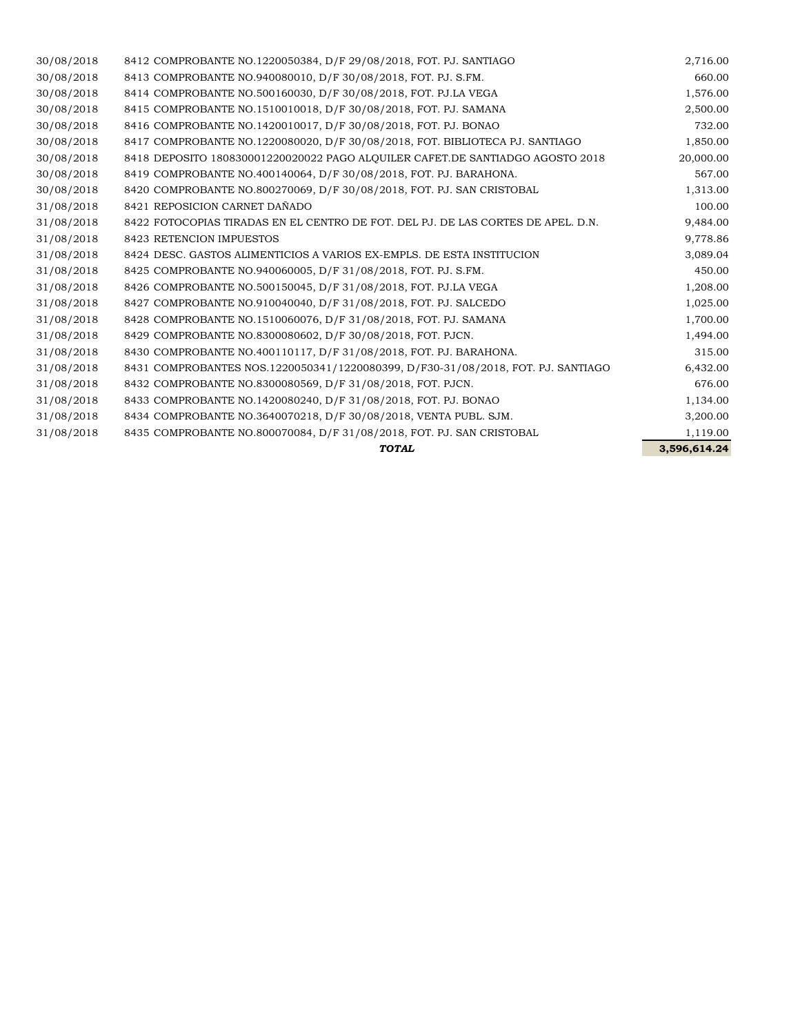|            | <b>TOTAL</b>                                                                     | 3.596.614.24 |
|------------|----------------------------------------------------------------------------------|--------------|
| 31/08/2018 | 8435 COMPROBANTE NO.800070084, D/F 31/08/2018, FOT. PJ. SAN CRISTOBAL            | 1,119.00     |
| 31/08/2018 | 8434 COMPROBANTE NO.3640070218, D/F 30/08/2018, VENTA PUBL. SJM.                 | 3,200.00     |
| 31/08/2018 | 8433 COMPROBANTE NO.1420080240, D/F 31/08/2018, FOT. PJ. BONAO                   | 1,134.00     |
| 31/08/2018 | 8432 COMPROBANTE NO.8300080569, D/F 31/08/2018, FOT. PJCN.                       | 676.00       |
| 31/08/2018 | 8431 COMPROBANTES NOS.1220050341/1220080399, D/F30-31/08/2018, FOT. PJ. SANTIAGO | 6,432.00     |
| 31/08/2018 | 8430 COMPROBANTE NO.400110117, D/F 31/08/2018, FOT. PJ. BARAHONA.                | 315.00       |
| 31/08/2018 | 8429 COMPROBANTE NO.8300080602, D/F 30/08/2018, FOT. PJCN.                       | 1,494.00     |
| 31/08/2018 | 8428 COMPROBANTE NO.1510060076, D/F 31/08/2018, FOT. PJ. SAMANA                  | 1,700.00     |
| 31/08/2018 | 8427 COMPROBANTE NO.910040040, D/F 31/08/2018, FOT. PJ. SALCEDO                  | 1,025.00     |
| 31/08/2018 | 8426 COMPROBANTE NO.500150045, D/F 31/08/2018, FOT. PJ.LA VEGA                   | 1,208.00     |
| 31/08/2018 | 8425 COMPROBANTE NO.940060005, D/F 31/08/2018, FOT. PJ. S.FM.                    | 450.00       |
| 31/08/2018 | 8424 DESC. GASTOS ALIMENTICIOS A VARIOS EX-EMPLS. DE ESTA INSTITUCION            | 3,089.04     |
| 31/08/2018 | 8423 RETENCION IMPUESTOS                                                         | 9,778.86     |
| 31/08/2018 | 8422 FOTOCOPIAS TIRADAS EN EL CENTRO DE FOT. DEL PJ. DE LAS CORTES DE APEL. D.N. | 9,484.00     |
| 31/08/2018 | 8421 REPOSICION CARNET DAÑADO                                                    | 100.00       |
| 30/08/2018 | 8420 COMPROBANTE NO.800270069, D/F 30/08/2018, FOT. PJ. SAN CRISTOBAL            | 1,313.00     |
| 30/08/2018 | 8419 COMPROBANTE NO.400140064, D/F 30/08/2018, FOT. PJ. BARAHONA.                | 567.00       |
| 30/08/2018 | 8418 DEPOSITO 180830001220020022 PAGO ALOUILER CAFET.DE SANTIADGO AGOSTO 2018    | 20,000.00    |
| 30/08/2018 | 8417 COMPROBANTE NO.1220080020, D/F 30/08/2018, FOT. BIBLIOTECA PJ. SANTIAGO     | 1,850.00     |
| 30/08/2018 | 8416 COMPROBANTE NO.1420010017, D/F 30/08/2018, FOT. PJ. BONAO                   | 732.00       |
| 30/08/2018 | 8415 COMPROBANTE NO.1510010018, D/F 30/08/2018, FOT. PJ. SAMANA                  | 2,500.00     |
| 30/08/2018 | 8414 COMPROBANTE NO.500160030, D/F 30/08/2018, FOT. PJ.LA VEGA                   | 1,576.00     |
| 30/08/2018 | 8413 COMPROBANTE NO.940080010, D/F 30/08/2018, FOT. PJ. S.FM.                    | 660.00       |
| 30/08/2018 | 8412 COMPROBANTE NO.1220050384, D/F 29/08/2018, FOT. PJ. SANTIAGO                | 2,716.00     |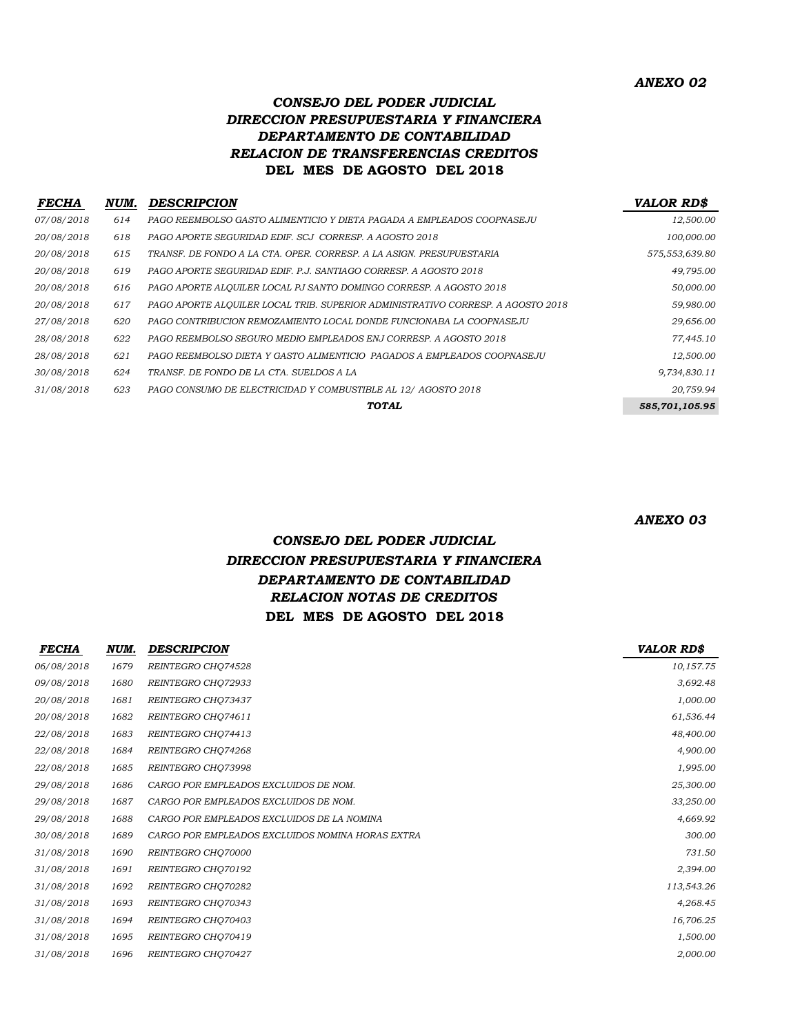### *CONSEJO DEL PODER JUDICIAL DIRECCION PRESUPUESTARIA Y FINANCIERA DEPARTAMENTO DE CONTABILIDAD RELACION DE TRANSFERENCIAS CREDITOS* **DEL MES DE AGOSTO DEL 2018**

| <b>FECHA</b> | NUM. | <b>DESCRIPCION</b>                                                              | <b>VALOR RDS</b> |
|--------------|------|---------------------------------------------------------------------------------|------------------|
| 07/08/2018   | 614  | PAGO REEMBOLSO GASTO ALIMENTICIO Y DIETA PAGADA A EMPLEADOS COOPNASE.IU         | 12,500.00        |
| 20/08/2018   | 618  | PAGO APORTE SEGURIDAD EDIF. SCJ CORRESP. A AGOSTO 2018                          | 100,000.00       |
| 20/08/2018   | 615  | TRANSF. DE FONDO A LA CTA. OPER. CORRESP. A LA ASIGN. PRESUPUESTARIA            | 575,553,639.80   |
| 20/08/2018   | 619  | PAGO APORTE SEGURIDAD EDIF. P.J. SANTIAGO CORRESP. A AGOSTO 2018                | 49,795.00        |
| 20/08/2018   | 616  | PAGO APORTE ALQUILER LOCAL PJ SANTO DOMINGO CORRESP. A AGOSTO 2018              | 50,000.00        |
| 20/08/2018   | 617  | PAGO APORTE ALOUILER LOCAL TRIB. SUPERIOR ADMINISTRATIVO CORRESP. A AGOSTO 2018 | 59,980.00        |
| 27/08/2018   | 620  | PAGO CONTRIBUCION REMOZAMIENTO LOCAL DONDE FUNCIONABA LA COOPNASEJU             | 29,656.00        |
| 28/08/2018   | 622  | PAGO REEMBOLSO SEGURO MEDIO EMPLEADOS ENJ CORRESP. A AGOSTO 2018                | 77,445.10        |
| 28/08/2018   | 621  | PAGO REEMBOLSO DIETA Y GASTO ALIMENTICIO PAGADOS A EMPLEADOS COOPNASEJU         | 12,500.00        |
| 30/08/2018   | 624  | TRANSF. DE FONDO DE LA CTA. SUELDOS A LA                                        | 9,734,830.11     |
| 31/08/2018   | 623  | PAGO CONSUMO DE ELECTRICIDAD Y COMBUSTIBLE AL 12/ AGOSTO 2018                   | 20,759.94        |
|              |      | <b>TOTAL</b>                                                                    | 585,701,105.95   |

*ANEXO 03*

### *CONSEJO DEL PODER JUDICIAL DIRECCION PRESUPUESTARIA Y FINANCIERA DEPARTAMENTO DE CONTABILIDAD RELACION NOTAS DE CREDITOS* **DEL MES DE AGOSTO DEL 2018**

| FECHA      | NUM. | <b>DESCRIPCION</b>                               | <b>VALOR RDS</b> |
|------------|------|--------------------------------------------------|------------------|
| 06/08/2018 | 1679 | REINTEGRO CHQ74528                               | 10,157.75        |
| 09/08/2018 | 1680 | REINTEGRO CHQ72933                               | 3,692.48         |
| 20/08/2018 | 1681 | REINTEGRO CHQ73437                               | 1,000.00         |
| 20/08/2018 | 1682 | REINTEGRO CHQ74611                               | 61,536.44        |
| 22/08/2018 | 1683 | REINTEGRO CHQ74413                               | 48,400.00        |
| 22/08/2018 | 1684 | REINTEGRO CHQ74268                               | 4,900.00         |
| 22/08/2018 | 1685 | REINTEGRO CHO73998                               | 1,995.00         |
| 29/08/2018 | 1686 | CARGO POR EMPLEADOS EXCLUIDOS DE NOM.            | 25,300.00        |
| 29/08/2018 | 1687 | CARGO POR EMPLEADOS EXCLUIDOS DE NOM.            | 33,250.00        |
| 29/08/2018 | 1688 | CARGO POR EMPLEADOS EXCLUIDOS DE LA NOMINA       | 4,669.92         |
| 30/08/2018 | 1689 | CARGO POR EMPLEADOS EXCLUIDOS NOMINA HORAS EXTRA | 300.00           |
| 31/08/2018 | 1690 | REINTEGRO CHQ70000                               | 731.50           |
| 31/08/2018 | 1691 | REINTEGRO CHQ70192                               | 2,394.00         |
| 31/08/2018 | 1692 | REINTEGRO CHQ70282                               | 113,543.26       |
| 31/08/2018 | 1693 | REINTEGRO CHQ70343                               | 4,268.45         |
| 31/08/2018 | 1694 | REINTEGRO CHQ70403                               | 16,706.25        |
| 31/08/2018 | 1695 | REINTEGRO CHQ70419                               | 1,500.00         |
| 31/08/2018 | 1696 | REINTEGRO CHQ70427                               | 2,000.00         |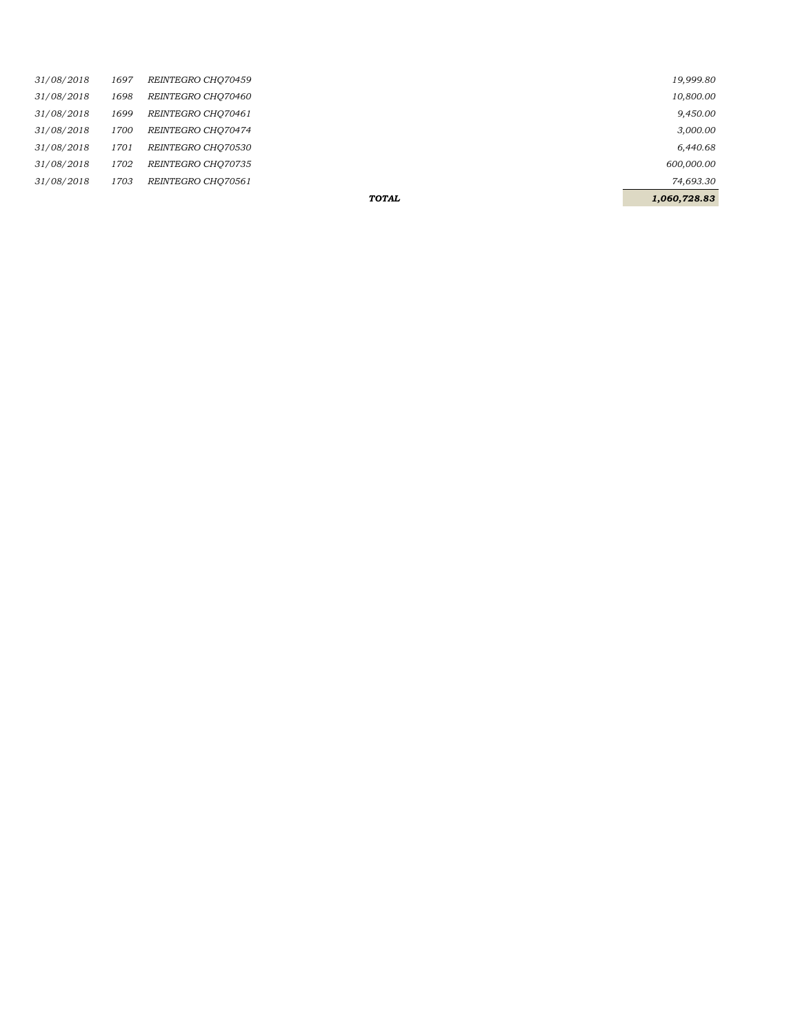|            |      |                    | <b>TOTAL</b> | 1,060,728.83 |
|------------|------|--------------------|--------------|--------------|
| 31/08/2018 | 1703 | REINTEGRO CHO70561 |              | 74,693.30    |
| 31/08/2018 | 1702 | REINTEGRO CHO70735 |              | 600,000.00   |
| 31/08/2018 | 1701 | REINTEGRO CHO70530 |              | 6,440.68     |
| 31/08/2018 | 1700 | REINTEGRO CHO70474 |              | 3,000.00     |
| 31/08/2018 | 1699 | REINTEGRO CHO70461 |              | 9,450.00     |
| 31/08/2018 | 1698 | REINTEGRO CHO70460 |              | 10,800.00    |
| 31/08/2018 | 1697 | REINTEGRO CHO70459 |              | 19,999.80    |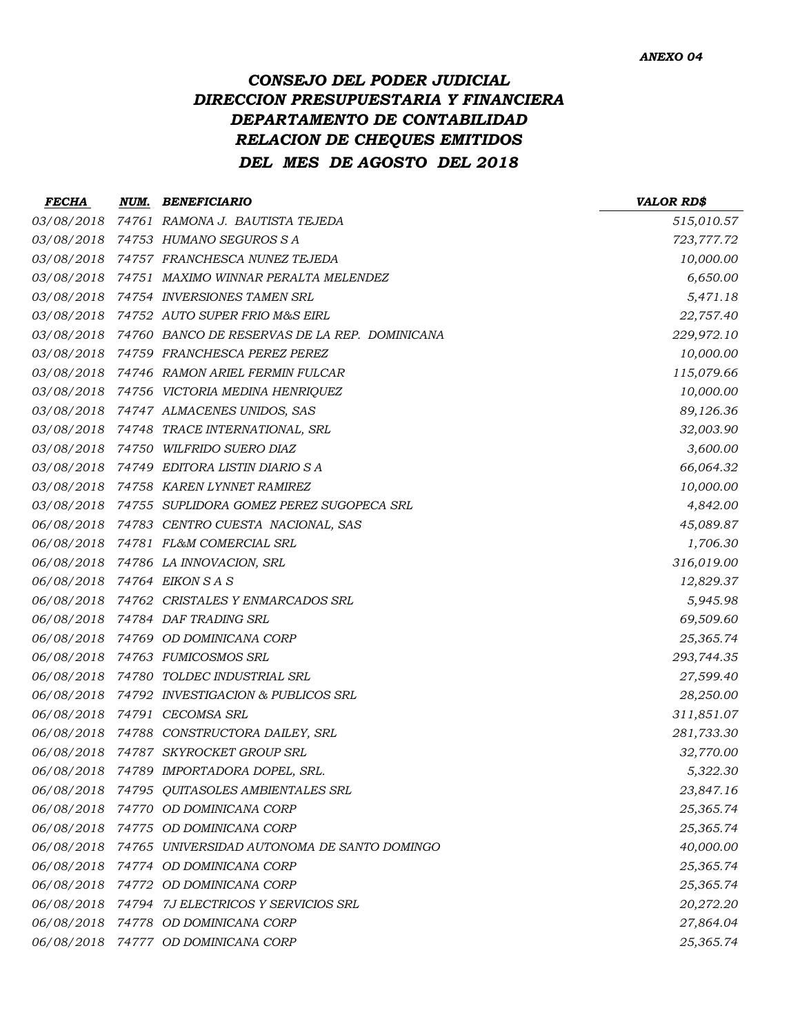# *CONSEJO DEL PODER JUDICIAL DIRECCION PRESUPUESTARIA Y FINANCIERA DEPARTAMENTO DE CONTABILIDAD RELACION DE CHEQUES EMITIDOS DEL MES DE AGOSTO DEL 2018*

| <b>FECHA</b>               | <b>NUM. BENEFICIARIO</b>                                 | <b>VALOR RD\$</b> |
|----------------------------|----------------------------------------------------------|-------------------|
| 03/08/2018                 | 74761 RAMONA J. BAUTISTA TEJEDA                          | 515,010.57        |
|                            | 03/08/2018 74753 HUMANO SEGUROS S A                      | 723,777.72        |
| 03/08/2018                 | 74757 FRANCHESCA NUNEZ TEJEDA                            | 10,000.00         |
|                            | 03/08/2018 74751 MAXIMO WINNAR PERALTA MELENDEZ          | 6,650.00          |
|                            | 03/08/2018 74754 INVERSIONES TAMEN SRL                   | 5,471.18          |
|                            | 03/08/2018 74752 AUTO SUPER FRIO M&S EIRL                | 22,757.40         |
|                            | 03/08/2018 74760 BANCO DE RESERVAS DE LA REP. DOMINICANA | 229,972.10        |
|                            | 03/08/2018 74759 FRANCHESCA PEREZ PEREZ                  | 10,000.00         |
|                            | 03/08/2018 74746 RAMON ARIEL FERMIN FULCAR               | 115,079.66        |
|                            | 03/08/2018 74756 VICTORIA MEDINA HENRIQUEZ               | 10,000.00         |
|                            | 03/08/2018 74747 ALMACENES UNIDOS, SAS                   | 89,126.36         |
|                            | 03/08/2018 74748 TRACE INTERNATIONAL, SRL                | 32,003.90         |
|                            | 03/08/2018 74750 WILFRIDO SUERO DIAZ                     | 3,600.00          |
|                            | 03/08/2018 74749 EDITORA LISTIN DIARIO SA                | 66,064.32         |
|                            | 03/08/2018 74758 KAREN LYNNET RAMIREZ                    | 10,000.00         |
|                            | 03/08/2018 74755 SUPLIDORA GOMEZ PEREZ SUGOPECA SRL      | 4,842.00          |
| 06/08/2018                 | 74783 CENTRO CUESTA NACIONAL, SAS                        | 45,089.87         |
|                            | 06/08/2018 74781 FL&M COMERCIAL SRL                      | 1,706.30          |
|                            | 06/08/2018 74786 LA INNOVACION, SRL                      | 316,019.00        |
| 06/08/2018 74764 EIKON SAS |                                                          | 12,829.37         |
|                            | 06/08/2018 74762 CRISTALES Y ENMARCADOS SRL              | 5,945.98          |
| 06/08/2018                 | 74784   DAF TRADING SRL                                  | 69,509.60         |
|                            | 06/08/2018 74769 OD DOMINICANA CORP                      | 25,365.74         |
|                            | 06/08/2018 74763 FUMICOSMOS SRL                          | 293,744.35        |
|                            | 06/08/2018 74780 TOLDEC INDUSTRIAL SRL                   | 27,599.40         |
| 06/08/2018                 | 74792 INVESTIGACION & PUBLICOS SRL                       | 28,250.00         |
| 06/08/2018                 | 74791  CECOMSA SRL                                       | 311,851.07        |
|                            | 06/08/2018 74788 CONSTRUCTORA DAILEY, SRL                | 281,733.30        |
| 06/08/2018                 | 74787 SKYROCKET GROUP SRL                                | 32,770.00         |
|                            | 06/08/2018 74789 IMPORTADORA DOPEL, SRL.                 | 5,322.30          |
| 06/08/2018                 | 74795 QUITASOLES AMBIENTALES SRL                         | 23,847.16         |
| 06/08/2018                 | 74770 OD DOMINICANA CORP                                 | 25,365.74         |
|                            | 06/08/2018 74775 OD DOMINICANA CORP                      | 25,365.74         |
| 06/08/2018                 | 74765 UNIVERSIDAD AUTONOMA DE SANTO DOMINGO              | 40,000.00         |
|                            | 06/08/2018 74774 OD DOMINICANA CORP                      | 25,365.74         |
| 06/08/2018                 | 74772 OD DOMINICANA CORP                                 | 25,365.74         |
|                            | 06/08/2018 74794 7J ELECTRICOS Y SERVICIOS SRL           | 20,272.20         |
| 06/08/2018                 | 74778 OD DOMINICANA CORP                                 | 27,864.04         |
|                            | 06/08/2018 74777 OD DOMINICANA CORP                      | 25,365.74         |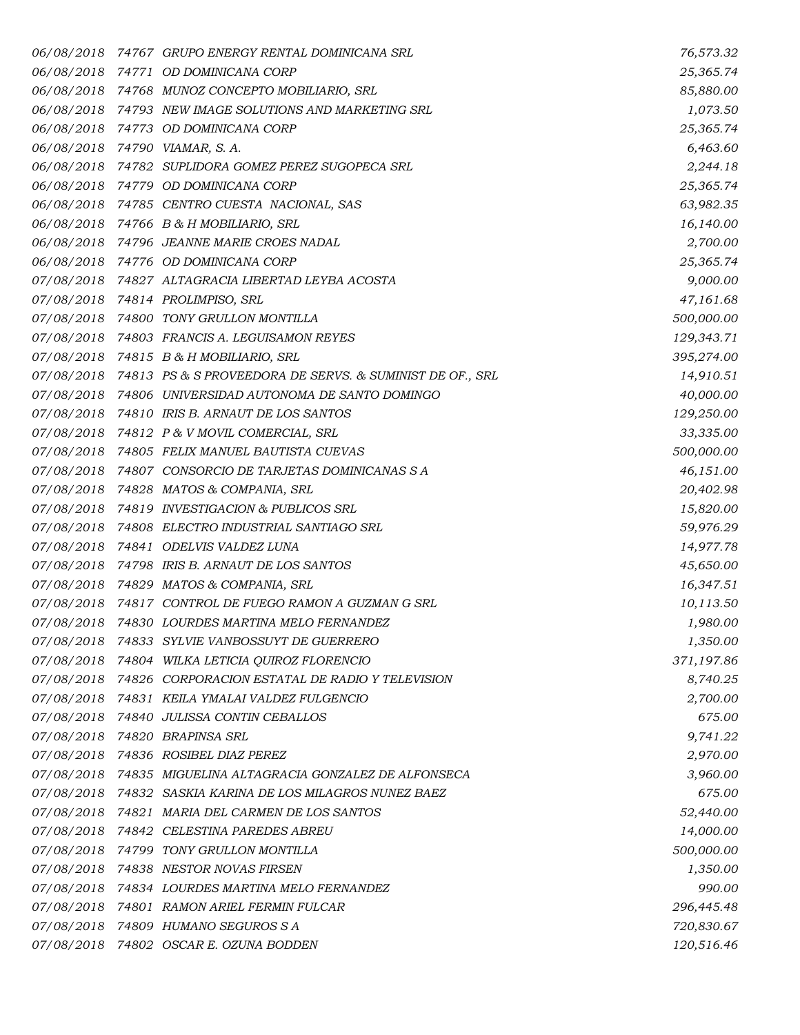|            | 06/08/2018 74767 GRUPO ENERGY RENTAL DOMINICANA SRL                 | 76,573.32  |
|------------|---------------------------------------------------------------------|------------|
|            | 06/08/2018 74771 OD DOMINICANA CORP                                 | 25,365.74  |
|            | 06/08/2018 74768 MUNOZ CONCEPTO MOBILIARIO, SRL                     | 85,880.00  |
|            | 06/08/2018 74793 NEW IMAGE SOLUTIONS AND MARKETING SRL              | 1,073.50   |
|            | 06/08/2018 74773 OD DOMINICANA CORP                                 | 25,365.74  |
|            | 06/08/2018 74790 VIAMAR, S.A.                                       | 6,463.60   |
|            | 06/08/2018 74782 SUPLIDORA GOMEZ PEREZ SUGOPECA SRL                 | 2,244.18   |
|            | 06/08/2018 74779 OD DOMINICANA CORP                                 | 25,365.74  |
|            | 06/08/2018 74785 CENTRO CUESTA NACIONAL, SAS                        | 63,982.35  |
|            | 06/08/2018 74766 B & H MOBILIARIO, SRL                              | 16,140.00  |
|            | 06/08/2018 74796 JEANNE MARIE CROES NADAL                           | 2,700.00   |
|            | 06/08/2018 74776 OD DOMINICANA CORP                                 | 25,365.74  |
|            | 07/08/2018 74827 ALTAGRACIA LIBERTAD LEYBA ACOSTA                   | 9,000.00   |
|            | 07/08/2018 74814 PROLIMPISO, SRL                                    | 47,161.68  |
|            | 07/08/2018 74800 TONY GRULLON MONTILLA                              | 500,000.00 |
|            | 07/08/2018 74803 FRANCIS A. LEGUISAMON REYES                        | 129,343.71 |
|            | 07/08/2018 74815 B & H MOBILIARIO, SRL                              | 395,274.00 |
|            | 07/08/2018 74813 PS & S PROVEEDORA DE SERVS. & SUMINIST DE OF., SRL | 14,910.51  |
|            | 07/08/2018 74806 UNIVERSIDAD AUTONOMA DE SANTO DOMINGO              | 40,000.00  |
|            | 07/08/2018 74810 IRIS B. ARNAUT DE LOS SANTOS                       | 129,250.00 |
|            | 07/08/2018 74812 P & V MOVIL COMERCIAL, SRL                         | 33,335.00  |
|            | 07/08/2018 74805 FELIX MANUEL BAUTISTA CUEVAS                       | 500,000.00 |
|            | 07/08/2018 74807 CONSORCIO DE TARJETAS DOMINICANAS SA               | 46,151.00  |
|            | 07/08/2018 74828 MATOS & COMPANIA, SRL                              | 20,402.98  |
|            | 07/08/2018 74819 INVESTIGACION & PUBLICOS SRL                       | 15,820.00  |
|            | 07/08/2018 74808 ELECTRO INDUSTRIAL SANTIAGO SRL                    | 59,976.29  |
|            | 07/08/2018 74841 ODELVIS VALDEZ LUNA                                | 14,977.78  |
|            | 07/08/2018 74798 IRIS B. ARNAUT DE LOS SANTOS                       | 45,650.00  |
|            | 07/08/2018 74829 MATOS & COMPANIA, SRL                              | 16,347.51  |
|            | 07/08/2018 74817 CONTROL DE FUEGO RAMON A GUZMAN G SRL              | 10,113.50  |
|            | 07/08/2018 74830 LOURDES MARTINA MELO FERNANDEZ                     | 1,980.00   |
| 07/08/2018 | 74833 SYLVIE VANBOSSUYT DE GUERRERO                                 | 1,350.00   |
|            | 07/08/2018 74804 WILKA LETICIA QUIROZ FLORENCIO                     | 371,197.86 |
|            | 07/08/2018 74826 CORPORACION ESTATAL DE RADIO Y TELEVISION          | 8,740.25   |
|            | 07/08/2018 74831 KEILA YMALAI VALDEZ FULGENCIO                      | 2,700.00   |
|            | 07/08/2018 74840 JULISSA CONTIN CEBALLOS                            | 675.00     |
|            | 07/08/2018 74820 BRAPINSA SRL                                       | 9,741.22   |
|            | 07/08/2018 74836 ROSIBEL DIAZ PEREZ                                 | 2,970.00   |
|            | 07/08/2018 74835 MIGUELINA ALTAGRACIA GONZALEZ DE ALFONSECA         | 3,960.00   |
|            | 07/08/2018 74832 SASKIA KARINA DE LOS MILAGROS NUNEZ BAEZ           | 675.00     |
|            | 07/08/2018 74821 MARIA DEL CARMEN DE LOS SANTOS                     | 52,440.00  |
|            | 07/08/2018 74842 CELESTINA PAREDES ABREU                            | 14,000.00  |
|            | 07/08/2018 74799 TONY GRULLON MONTILLA                              | 500,000.00 |
| 07/08/2018 | 74838 NESTOR NOVAS FIRSEN                                           | 1,350.00   |
|            | 07/08/2018 74834 LOURDES MARTINA MELO FERNANDEZ                     | 990.00     |
|            | 07/08/2018 74801 RAMON ARIEL FERMIN FULCAR                          | 296,445.48 |
|            | 07/08/2018 74809 HUMANO SEGUROS S A                                 | 720,830.67 |
|            | 07/08/2018 74802 OSCAR E. OZUNA BODDEN                              | 120,516.46 |
|            |                                                                     |            |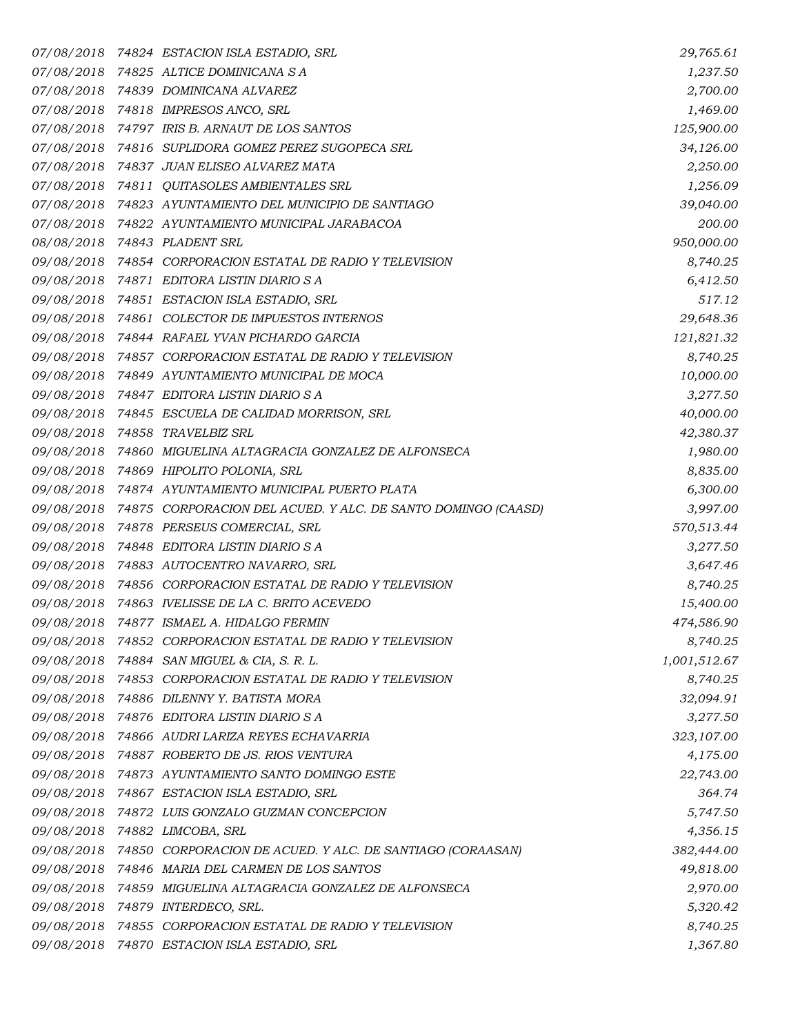|            | 07/08/2018 74824 ESTACION ISLA ESTADIO, SRL                             | 29,765.61    |
|------------|-------------------------------------------------------------------------|--------------|
|            | 07/08/2018 74825 ALTICE DOMINICANA SA                                   | 1,237.50     |
|            | 07/08/2018 74839 DOMINICANA ALVAREZ                                     | 2,700.00     |
|            | 07/08/2018 74818 IMPRESOS ANCO, SRL                                     | 1,469.00     |
|            | 07/08/2018 74797 IRIS B. ARNAUT DE LOS SANTOS                           | 125,900.00   |
|            | 07/08/2018 74816 SUPLIDORA GOMEZ PEREZ SUGOPECA SRL                     | 34,126.00    |
|            | 07/08/2018 74837 JUAN ELISEO ALVAREZ MATA                               | 2,250.00     |
|            | 07/08/2018 74811 QUITASOLES AMBIENTALES SRL                             | 1,256.09     |
|            | 07/08/2018 74823 AYUNTAMIENTO DEL MUNICIPIO DE SANTIAGO                 | 39,040.00    |
|            | 07/08/2018 74822 AYUNTAMIENTO MUNICIPAL JARABACOA                       | 200.00       |
|            | 08/08/2018 74843 PLADENT SRL                                            | 950,000.00   |
|            | 09/08/2018 74854 CORPORACION ESTATAL DE RADIO Y TELEVISION              | 8,740.25     |
|            | 09/08/2018 74871 EDITORA LISTIN DIARIO SA                               | 6,412.50     |
|            | 09/08/2018 74851 ESTACION ISLA ESTADIO, SRL                             | 517.12       |
|            | 09/08/2018 74861 COLECTOR DE IMPUESTOS INTERNOS                         | 29,648.36    |
|            | 09/08/2018 74844 RAFAEL YVAN PICHARDO GARCIA                            | 121,821.32   |
|            | 09/08/2018 74857 CORPORACION ESTATAL DE RADIO Y TELEVISION              | 8,740.25     |
|            | 09/08/2018 74849 AYUNTAMIENTO MUNICIPAL DE MOCA                         | 10,000.00    |
|            | 09/08/2018 74847 EDITORA LISTIN DIARIO SA                               | 3,277.50     |
|            | 09/08/2018 74845 ESCUELA DE CALIDAD MORRISON, SRL                       | 40,000.00    |
|            | 09/08/2018 74858 TRAVELBIZ SRL                                          | 42,380.37    |
|            | 09/08/2018 74860 MIGUELINA ALTAGRACIA GONZALEZ DE ALFONSECA             | 1,980.00     |
|            | 09/08/2018 74869 HIPOLITO POLONIA, SRL                                  | 8,835.00     |
|            | 09/08/2018 74874 AYUNTAMIENTO MUNICIPAL PUERTO PLATA                    | 6,300.00     |
|            | 09/08/2018 74875 CORPORACION DEL ACUED. Y ALC. DE SANTO DOMINGO (CAASD) | 3,997.00     |
|            | 09/08/2018 74878 PERSEUS COMERCIAL, SRL                                 | 570,513.44   |
|            | 09/08/2018 74848 EDITORA LISTIN DIARIO SA                               | 3,277.50     |
|            | 09/08/2018 74883 AUTOCENTRO NAVARRO, SRL                                | 3,647.46     |
|            | 09/08/2018 74856 CORPORACION ESTATAL DE RADIO Y TELEVISION              | 8,740.25     |
|            | 09/08/2018 74863 IVELISSE DE LA C. BRITO ACEVEDO                        | 15,400.00    |
|            | 09/08/2018 74877 ISMAEL A. HIDALGO FERMIN                               | 474,586.90   |
| 09/08/2018 | 74852 CORPORACION ESTATAL DE RADIO Y TELEVISION                         | 8,740.25     |
|            | 09/08/2018 74884 SAN MIGUEL & CIA, S. R. L.                             | 1,001,512.67 |
|            | 09/08/2018 74853 CORPORACION ESTATAL DE RADIO Y TELEVISION              | 8,740.25     |
|            | 09/08/2018 74886 DILENNY Y. BATISTA MORA                                | 32,094.91    |
|            | 09/08/2018 74876 EDITORA LISTIN DIARIO SA                               | 3,277.50     |
|            | 09/08/2018 74866 AUDRI LARIZA REYES ECHAVARRIA                          | 323,107.00   |
|            | 09/08/2018 74887 ROBERTO DE JS. RIOS VENTURA                            | 4,175.00     |
|            | 09/08/2018 74873 AYUNTAMIENTO SANTO DOMINGO ESTE                        | 22,743.00    |
|            | 09/08/2018 74867 ESTACION ISLA ESTADIO, SRL                             | 364.74       |
|            | 09/08/2018 74872 LUIS GONZALO GUZMAN CONCEPCION                         | 5,747.50     |
|            | 09/08/2018 74882 LIMCOBA, SRL                                           | 4,356.15     |
|            | 09/08/2018 74850 CORPORACION DE ACUED. Y ALC. DE SANTIAGO (CORAASAN)    | 382,444.00   |
|            | 09/08/2018 74846 MARIA DEL CARMEN DE LOS SANTOS                         | 49,818.00    |
|            | 09/08/2018 74859 MIGUELINA ALTAGRACIA GONZALEZ DE ALFONSECA             | 2,970.00     |
|            | 09/08/2018 74879 INTERDECO, SRL.                                        | 5,320.42     |
|            | 09/08/2018 74855 CORPORACION ESTATAL DE RADIO Y TELEVISION              | 8,740.25     |
|            | 09/08/2018 74870 ESTACION ISLA ESTADIO, SRL                             | 1,367.80     |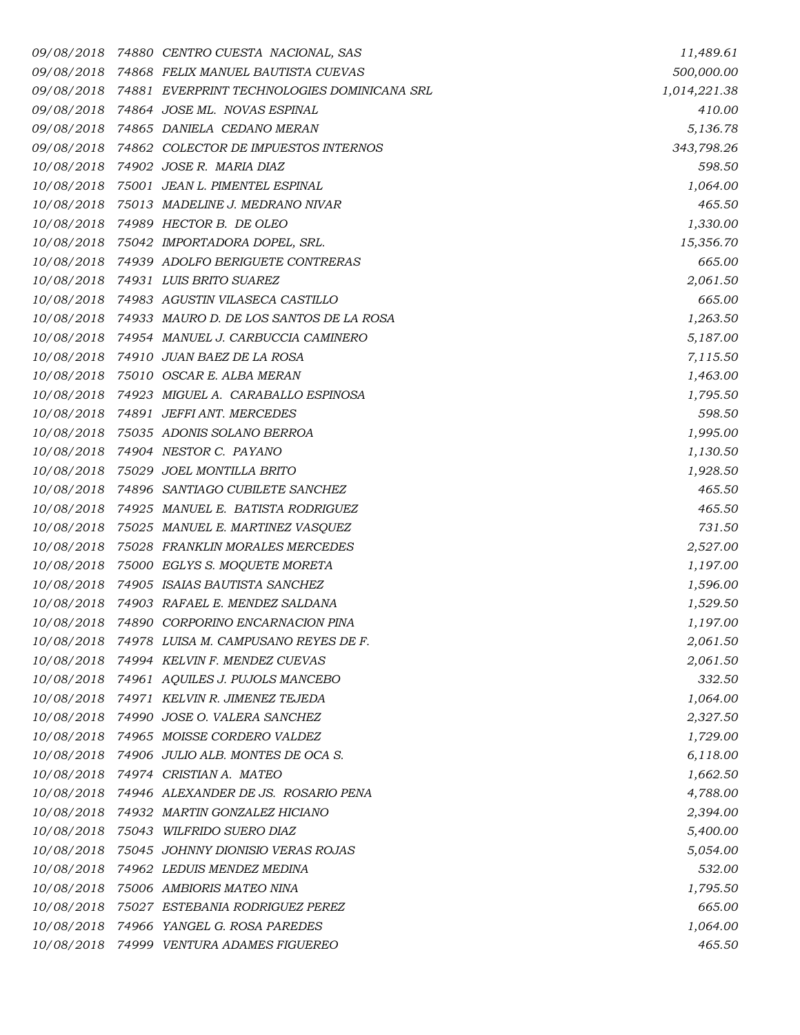*09/08/2018 74880 CENTRO CUESTA NACIONAL, SAS 11,489.61 09/08/2018 74868 FELIX MANUEL BAUTISTA CUEVAS 500,000.00 09/08/2018 74881 EVERPRINT TECHNOLOGIES DOMINICANA SRL 1,014,221.38 09/08/2018 74864 JOSE ML. NOVAS ESPINAL 410.00 09/08/2018 74865 DANIELA CEDANO MERAN 5,136.78 09/08/2018 74862 COLECTOR DE IMPUESTOS INTERNOS 343,798.26 10/08/2018 74902 JOSE R. MARIA DIAZ 598.50 10/08/2018 75001 JEAN L. PIMENTEL ESPINAL 1,064.00 10/08/2018 75013 MADELINE J. MEDRANO NIVAR 465.50 10/08/2018 74989 HECTOR B. DE OLEO 1,330.00 10/08/2018 75042 IMPORTADORA DOPEL, SRL. 15,356.70 10/08/2018 74939 ADOLFO BERIGUETE CONTRERAS 665.00 10/08/2018 74931 LUIS BRITO SUAREZ 2,061.50 10/08/2018 74983 AGUSTIN VILASECA CASTILLO 665.00 10/08/2018 74933 MAURO D. DE LOS SANTOS DE LA ROSA 1,263.50 10/08/2018 74954 MANUEL J. CARBUCCIA CAMINERO 5,187.00 10/08/2018 74910 JUAN BAEZ DE LA ROSA 7,115.50 10/08/2018 75010 OSCAR E. ALBA MERAN 1,463.00 10/08/2018 74923 MIGUEL A. CARABALLO ESPINOSA 1,795.50 10/08/2018 74891 JEFFI ANT. MERCEDES 598.50 10/08/2018 75035 ADONIS SOLANO BERROA 1,995.00 10/08/2018 74904 NESTOR C. PAYANO 1,130.50 10/08/2018 75029 JOEL MONTILLA BRITO 1,928.50 10/08/2018 74896 SANTIAGO CUBILETE SANCHEZ 465.50 10/08/2018 74925 MANUEL E. BATISTA RODRIGUEZ 465.50 10/08/2018 75025 MANUEL E. MARTINEZ VASQUEZ 731.50 10/08/2018 75028 FRANKLIN MORALES MERCEDES 2,527.00 10/08/2018 75000 EGLYS S. MOQUETE MORETA 1,197.00 10/08/2018 74905 ISAIAS BAUTISTA SANCHEZ 1,596.00 10/08/2018 74903 RAFAEL E. MENDEZ SALDANA 1,529.50 10/08/2018 74890 CORPORINO ENCARNACION PINA 1,197.00 10/08/2018 74978 LUISA M. CAMPUSANO REYES DE F. 2,061.50 10/08/2018 74994 KELVIN F. MENDEZ CUEVAS 2,061.50 10/08/2018 74961 AQUILES J. PUJOLS MANCEBO 332.50 10/08/2018 74971 KELVIN R. JIMENEZ TEJEDA 1,064.00 10/08/2018 74990 JOSE O. VALERA SANCHEZ 2,327.50 10/08/2018 74965 MOISSE CORDERO VALDEZ 1,729.00 10/08/2018 74906 JULIO ALB. MONTES DE OCA S. 6,118.00 10/08/2018 74974 CRISTIAN A. MATEO 1,662.50 10/08/2018 74946 ALEXANDER DE JS. ROSARIO PENA 4,788.00 10/08/2018 74932 MARTIN GONZALEZ HICIANO 2,394.00 10/08/2018 75043 WILFRIDO SUERO DIAZ 5,400.00 10/08/2018 75045 JOHNNY DIONISIO VERAS ROJAS 5,054.00 10/08/2018 74962 LEDUIS MENDEZ MEDINA 532.00 10/08/2018 75006 AMBIORIS MATEO NINA 1,795.50 10/08/2018 75027 ESTEBANIA RODRIGUEZ PEREZ 665.00 10/08/2018 74966 YANGEL G. ROSA PAREDES 1,064.00 10/08/2018 74999 VENTURA ADAMES FIGUEREO 465.50*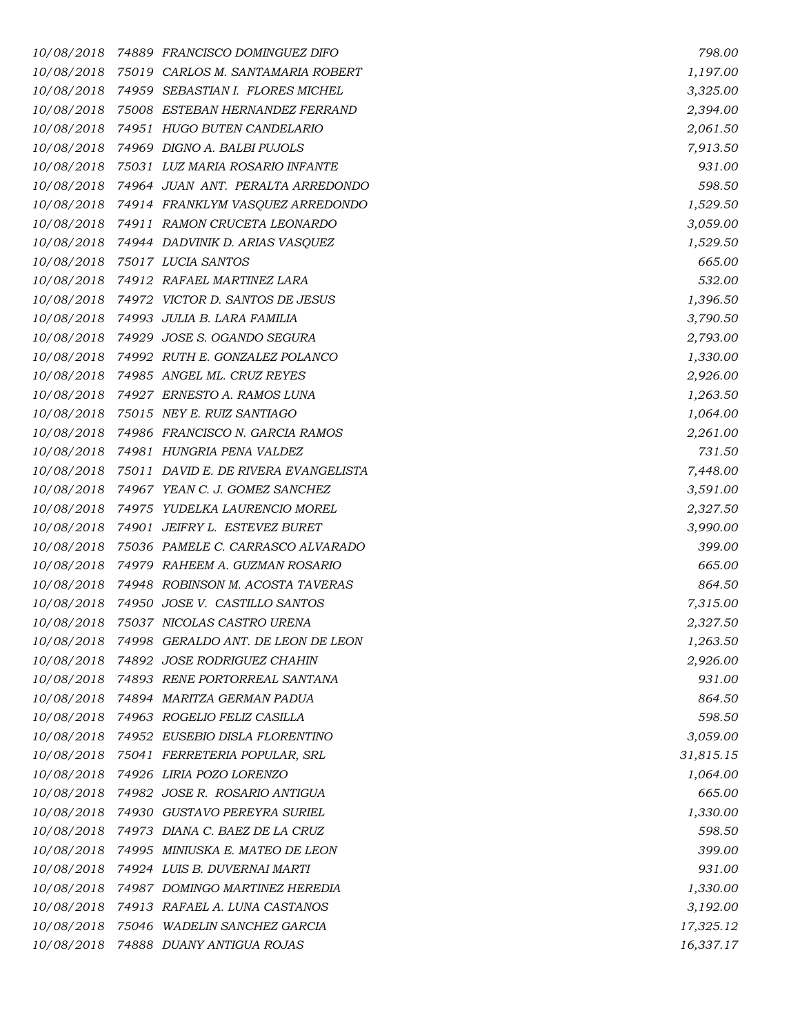*10/08/2018 74889 FRANCISCO DOMINGUEZ DIFO 798.00 10/08/2018 75019 CARLOS M. SANTAMARIA ROBERT 1,197.00 10/08/2018 74959 SEBASTIAN I. FLORES MICHEL 3,325.00 10/08/2018 75008 ESTEBAN HERNANDEZ FERRAND 2,394.00 10/08/2018 74951 HUGO BUTEN CANDELARIO 2,061.50 10/08/2018 74969 DIGNO A. BALBI PUJOLS 7,913.50 10/08/2018 75031 LUZ MARIA ROSARIO INFANTE 931.00 10/08/2018 74964 JUAN ANT. PERALTA ARREDONDO 598.50 10/08/2018 74914 FRANKLYM VASQUEZ ARREDONDO 1,529.50 10/08/2018 74911 RAMON CRUCETA LEONARDO 3,059.00 10/08/2018 74944 DADVINIK D. ARIAS VASQUEZ 1,529.50 10/08/2018 75017 LUCIA SANTOS 665.00 10/08/2018 74912 RAFAEL MARTINEZ LARA 532.00 10/08/2018 74972 VICTOR D. SANTOS DE JESUS 1,396.50 10/08/2018 74993 JULIA B. LARA FAMILIA 3,790.50 10/08/2018 74929 JOSE S. OGANDO SEGURA 2,793.00 10/08/2018 74992 RUTH E. GONZALEZ POLANCO 1,330.00 10/08/2018 74985 ANGEL ML. CRUZ REYES 2,926.00 10/08/2018 74927 ERNESTO A. RAMOS LUNA 1,263.50 10/08/2018 75015 NEY E. RUIZ SANTIAGO 1,064.00 10/08/2018 74986 FRANCISCO N. GARCIA RAMOS 2,261.00 10/08/2018 74981 HUNGRIA PENA VALDEZ 731.50 10/08/2018 75011 DAVID E. DE RIVERA EVANGELISTA 7,448.00 10/08/2018 74967 YEAN C. J. GOMEZ SANCHEZ 3,591.00 10/08/2018 74975 YUDELKA LAURENCIO MOREL 2,327.50 10/08/2018 74901 JEIFRY L. ESTEVEZ BURET 3,990.00 10/08/2018 75036 PAMELE C. CARRASCO ALVARADO 399.00 10/08/2018 74979 RAHEEM A. GUZMAN ROSARIO 665.00 10/08/2018 74948 ROBINSON M. ACOSTA TAVERAS 864.50 10/08/2018 74950 JOSE V. CASTILLO SANTOS 7,315.00 10/08/2018 75037 NICOLAS CASTRO URENA 2,327.50 10/08/2018 74998 GERALDO ANT. DE LEON DE LEON 1,263.50 10/08/2018 74892 JOSE RODRIGUEZ CHAHIN 2,926.00 10/08/2018 74893 RENE PORTORREAL SANTANA 931.00 10/08/2018 74894 MARITZA GERMAN PADUA 864.50 10/08/2018 74963 ROGELIO FELIZ CASILLA 598.50 10/08/2018 74952 EUSEBIO DISLA FLORENTINO 3,059.00 10/08/2018 75041 FERRETERIA POPULAR, SRL 31,815.15 10/08/2018 74926 LIRIA POZO LORENZO 1,064.00 10/08/2018 74982 JOSE R. ROSARIO ANTIGUA 665.00 10/08/2018 74930 GUSTAVO PEREYRA SURIEL 1,330.00 10/08/2018 74973 DIANA C. BAEZ DE LA CRUZ 598.50 10/08/2018 74995 MINIUSKA E. MATEO DE LEON 399.00 10/08/2018 74924 LUIS B. DUVERNAI MARTI 931.00 10/08/2018 74987 DOMINGO MARTINEZ HEREDIA 1,330.00 10/08/2018 74913 RAFAEL A. LUNA CASTANOS 3,192.00 10/08/2018 75046 WADELIN SANCHEZ GARCIA 17,325.12 10/08/2018 74888 DUANY ANTIGUA ROJAS 16,337.17*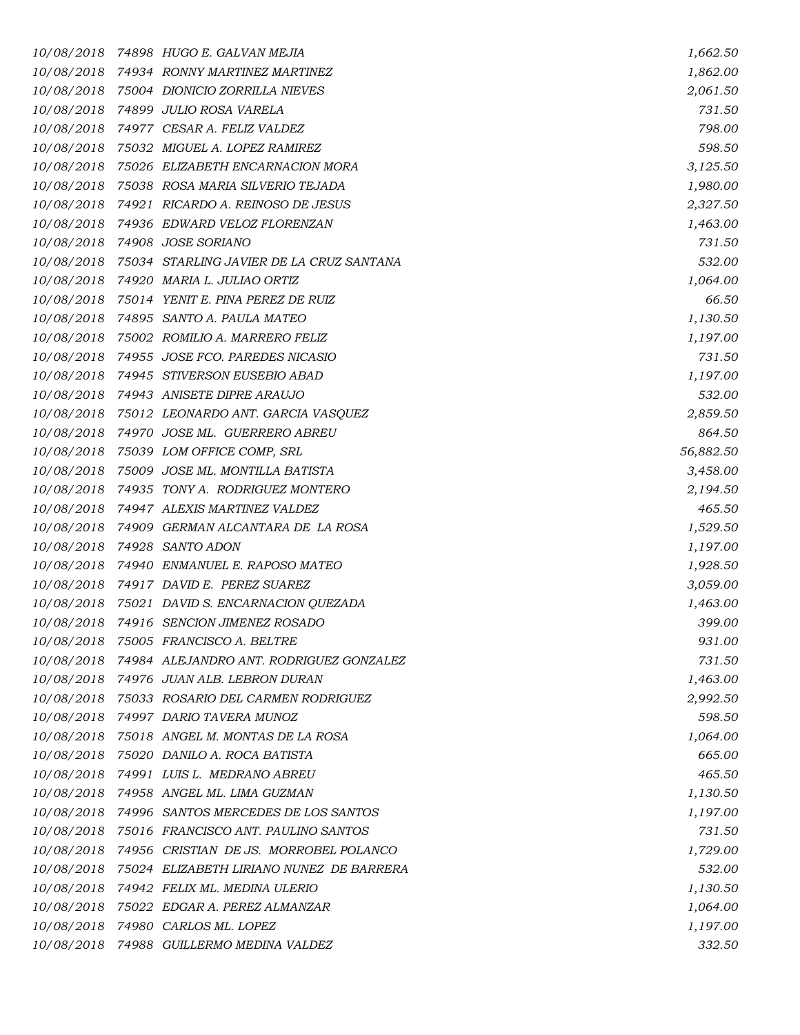| 10/08/2018 | 74898   HUGO E. GALVAN MEJIA             | 1,662.50  |
|------------|------------------------------------------|-----------|
| 10/08/2018 | 74934 RONNY MARTINEZ MARTINEZ            | 1,862.00  |
| 10/08/2018 | 75004 DIONICIO ZORRILLA NIEVES           | 2,061.50  |
| 10/08/2018 | 74899  JULIO ROSA VARELA                 | 731.50    |
| 10/08/2018 | 74977 CESAR A. FELIZ VALDEZ              | 798.00    |
| 10/08/2018 | 75032 MIGUEL A. LOPEZ RAMIREZ            | 598.50    |
| 10/08/2018 | 75026 ELIZABETH ENCARNACION MORA         | 3,125.50  |
| 10/08/2018 | 75038   ROSA MARIA SILVERIO TEJADA       | 1,980.00  |
| 10/08/2018 | 74921 RICARDO A. REINOSO DE JESUS        | 2,327.50  |
| 10/08/2018 | 74936 EDWARD VELOZ FLORENZAN             | 1,463.00  |
| 10/08/2018 | 74908 JOSE SORIANO                       | 731.50    |
| 10/08/2018 | 75034 STARLING JAVIER DE LA CRUZ SANTANA | 532.00    |
| 10/08/2018 | 74920 MARIA L. JULIAO ORTIZ              | 1,064.00  |
| 10/08/2018 | 75014 YENIT E. PINA PEREZ DE RUIZ        | 66.50     |
| 10/08/2018 | 74895 SANTO A. PAULA MATEO               | 1,130.50  |
| 10/08/2018 | 75002 ROMILIO A. MARRERO FELIZ           | 1,197.00  |
| 10/08/2018 | 74955 JOSE FCO. PAREDES NICASIO          | 731.50    |
| 10/08/2018 | 74945 STIVERSON EUSEBIO ABAD             | 1,197.00  |
| 10/08/2018 | 74943 ANISETE DIPRE ARAUJO               | 532.00    |
| 10/08/2018 | 75012 LEONARDO ANT. GARCIA VASQUEZ       | 2,859.50  |
| 10/08/2018 | 74970  JOSE ML.  GUERRERO ABREU          | 864.50    |
| 10/08/2018 | 75039 LOM OFFICE COMP, SRL               | 56,882.50 |
| 10/08/2018 | 75009 JOSE ML. MONTILLA BATISTA          | 3,458.00  |
| 10/08/2018 | 74935 TONY A. RODRIGUEZ MONTERO          | 2,194.50  |
| 10/08/2018 | 74947 ALEXIS MARTINEZ VALDEZ             | 465.50    |
| 10/08/2018 | 74909  GERMAN ALCANTARA DE LA ROSA       | 1,529.50  |
| 10/08/2018 | 74928 SANTO ADON                         | 1,197.00  |
| 10/08/2018 | 74940 ENMANUEL E. RAPOSO MATEO           | 1,928.50  |
| 10/08/2018 | 74917 DAVID E. PEREZ SUAREZ              | 3,059.00  |
| 10/08/2018 | 75021 DAVID S. ENCARNACION QUEZADA       | 1,463.00  |
| 10/08/2018 | 74916 SENCION JIMENEZ ROSADO             | 399.00    |
| 10/08/2018 | 75005 FRANCISCO A. BELTRE                | 931.00    |
| 10/08/2018 | 74984 ALEJANDRO ANT. RODRIGUEZ GONZALEZ  | 731.50    |
|            | 10/08/2018 74976 JUAN ALB. LEBRON DURAN  | 1,463.00  |
| 10/08/2018 | 75033 ROSARIO DEL CARMEN RODRIGUEZ       | 2,992.50  |
| 10/08/2018 | 74997 DARIO TAVERA MUNOZ                 | 598.50    |
| 10/08/2018 | 75018 ANGEL M. MONTAS DE LA ROSA         | 1,064.00  |
| 10/08/2018 | 75020 DANILO A. ROCA BATISTA             | 665.00    |
|            | 10/08/2018 74991 LUIS L. MEDRANO ABREU   | 465.50    |
| 10/08/2018 | 74958 ANGEL ML. LIMA GUZMAN              | 1,130.50  |
| 10/08/2018 | 74996 SANTOS MERCEDES DE LOS SANTOS      | 1,197.00  |
| 10/08/2018 | 75016 FRANCISCO ANT. PAULINO SANTOS      | 731.50    |
| 10/08/2018 | 74956 CRISTIAN DE JS. MORROBEL POLANCO   | 1,729.00  |
| 10/08/2018 | 75024 ELIZABETH LIRIANO NUNEZ DE BARRERA | 532.00    |
| 10/08/2018 | 74942 FELIX ML. MEDINA ULERIO            | 1,130.50  |
| 10/08/2018 | 75022 EDGAR A. PEREZ ALMANZAR            | 1,064.00  |
| 10/08/2018 | 74980 CARLOS ML. LOPEZ                   | 1,197.00  |
| 10/08/2018 | 74988 GUILLERMO MEDINA VALDEZ            | 332.50    |
|            |                                          |           |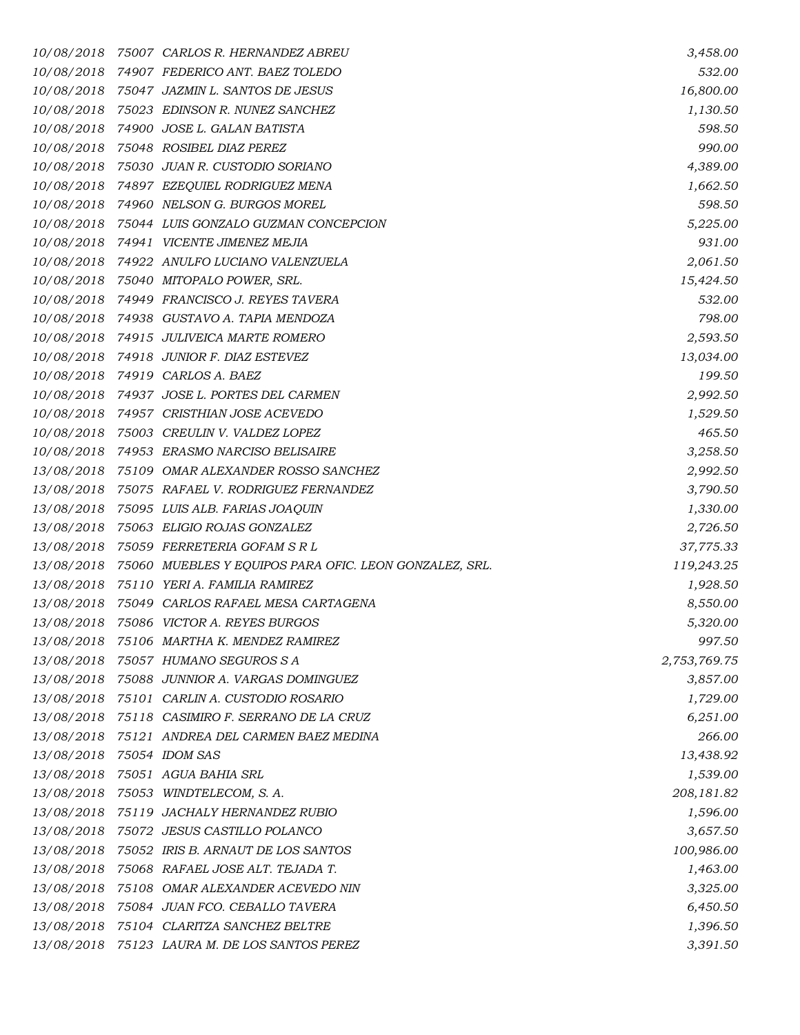| 10/08/2018 | 75007   CARLOS R. HERNANDEZ ABREU                      | 3,458.00     |
|------------|--------------------------------------------------------|--------------|
| 10/08/2018 | 74907 FEDERICO ANT. BAEZ TOLEDO                        | 532.00       |
| 10/08/2018 | 75047 JAZMIN L. SANTOS DE JESUS                        | 16,800.00    |
| 10/08/2018 | 75023 EDINSON R. NUNEZ SANCHEZ                         | 1,130.50     |
| 10/08/2018 | 74900 JOSE L. GALAN BATISTA                            | 598.50       |
| 10/08/2018 | 75048 ROSIBEL DIAZ PEREZ                               | 990.00       |
| 10/08/2018 | 75030 JUAN R. CUSTODIO SORIANO                         | 4,389.00     |
| 10/08/2018 | 74897   EZEQUIEL RODRIGUEZ MENA                        | 1,662.50     |
| 10/08/2018 | 74960 NELSON G. BURGOS MOREL                           | 598.50       |
| 10/08/2018 | 75044 LUIS GONZALO GUZMAN CONCEPCION                   | 5,225.00     |
| 10/08/2018 | 74941 VICENTE JIMENEZ MEJIA                            | 931.00       |
| 10/08/2018 | 74922 ANULFO LUCIANO VALENZUELA                        | 2,061.50     |
| 10/08/2018 | 75040 MITOPALO POWER, SRL.                             | 15,424.50    |
| 10/08/2018 | 74949 FRANCISCO J. REYES TAVERA                        | 532.00       |
| 10/08/2018 | 74938 GUSTAVO A. TAPIA MENDOZA                         | 798.00       |
| 10/08/2018 | 74915 JULIVEICA MARTE ROMERO                           | 2,593.50     |
| 10/08/2018 | 74918 JUNIOR F. DIAZ ESTEVEZ                           | 13,034.00    |
| 10/08/2018 | 74919 CARLOS A. BAEZ                                   | 199.50       |
| 10/08/2018 | 74937 JOSE L. PORTES DEL CARMEN                        | 2,992.50     |
| 10/08/2018 | 74957 CRISTHIAN JOSE ACEVEDO                           | 1,529.50     |
| 10/08/2018 | 75003 CREULIN V. VALDEZ LOPEZ                          | 465.50       |
| 10/08/2018 | 74953 ERASMO NARCISO BELISAIRE                         | 3,258.50     |
| 13/08/2018 | 75109 OMAR ALEXANDER ROSSO SANCHEZ                     | 2,992.50     |
| 13/08/2018 | 75075 RAFAEL V. RODRIGUEZ FERNANDEZ                    | 3,790.50     |
| 13/08/2018 | 75095 LUIS ALB. FARIAS JOAQUIN                         | 1,330.00     |
| 13/08/2018 | 75063 ELIGIO ROJAS GONZALEZ                            | 2,726.50     |
| 13/08/2018 | 75059 FERRETERIA GOFAM S R L                           | 37,775.33    |
| 13/08/2018 | 75060 MUEBLES Y EQUIPOS PARA OFIC. LEON GONZALEZ, SRL. | 119,243.25   |
| 13/08/2018 | 75110 YERI A. FAMILIA RAMIREZ                          | 1,928.50     |
| 13/08/2018 | 75049 CARLOS RAFAEL MESA CARTAGENA                     | 8,550.00     |
| 13/08/2018 | 75086 VICTOR A. REYES BURGOS                           | 5,320.00     |
| 13/08/2018 | 75106 MARTHA K. MENDEZ RAMIREZ                         | 997.50       |
| 13/08/2018 | 75057 HUMANO SEGUROS S A                               | 2,753,769.75 |
| 13/08/2018 | 75088 JUNNIOR A. VARGAS DOMINGUEZ                      | 3,857.00     |
| 13/08/2018 | 75101 CARLIN A. CUSTODIO ROSARIO                       | 1,729.00     |
| 13/08/2018 | 75118 CASIMIRO F. SERRANO DE LA CRUZ                   | 6,251.00     |
| 13/08/2018 | 75121 ANDREA DEL CARMEN BAEZ MEDINA                    | 266.00       |
| 13/08/2018 | 75054 IDOM SAS                                         | 13,438.92    |
| 13/08/2018 | 75051   AGUA BAHIA SRL                                 | 1,539.00     |
| 13/08/2018 | 75053 WINDTELECOM, S.A.                                | 208,181.82   |
| 13/08/2018 | 75119 JACHALY HERNANDEZ RUBIO                          | 1,596.00     |
| 13/08/2018 | 75072 JESUS CASTILLO POLANCO                           | 3,657.50     |
| 13/08/2018 | 75052 IRIS B. ARNAUT DE LOS SANTOS                     | 100,986.00   |
| 13/08/2018 | 75068 RAFAEL JOSE ALT. TEJADA T.                       | 1,463.00     |
| 13/08/2018 | 75108 OMAR ALEXANDER ACEVEDO NIN                       | 3,325.00     |
| 13/08/2018 | 75084 JUAN FCO. CEBALLO TAVERA                         | 6,450.50     |
| 13/08/2018 | 75104 CLARITZA SANCHEZ BELTRE                          | 1,396.50     |
| 13/08/2018 | 75123 LAURA M. DE LOS SANTOS PEREZ                     | 3,391.50     |
|            |                                                        |              |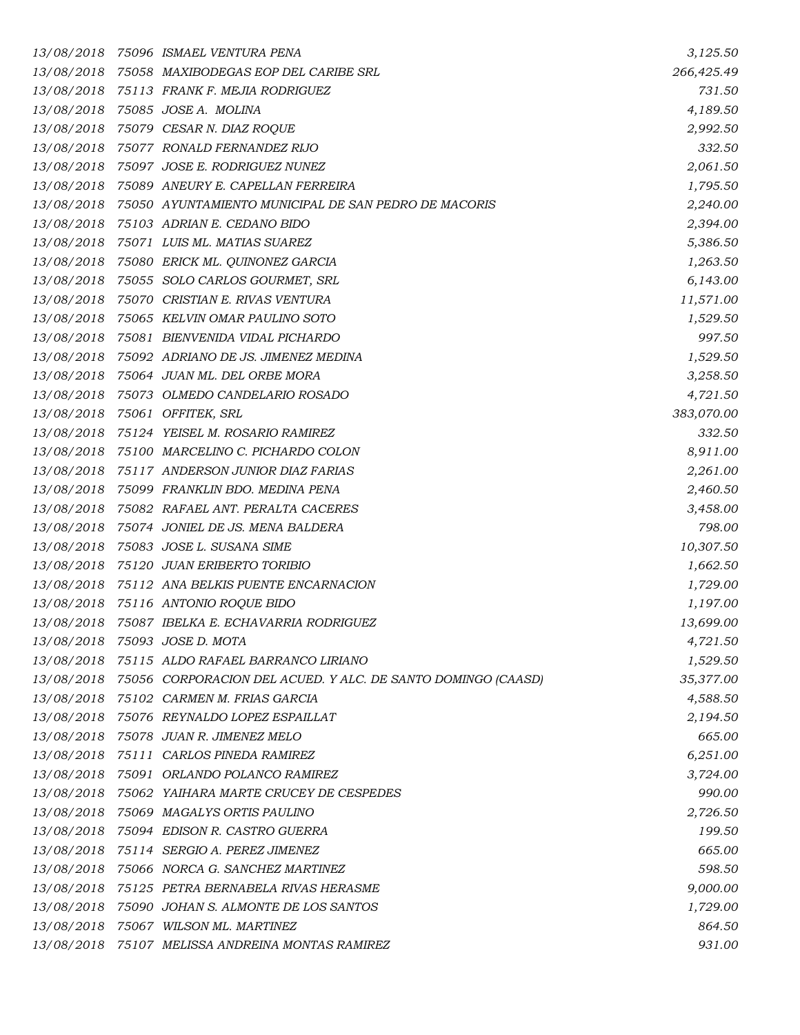| 13/08/2018 | 75096  ISMAEL VENTURA PENA                                   | 3,125.50   |
|------------|--------------------------------------------------------------|------------|
| 13/08/2018 | 75058 MAXIBODEGAS EOP DEL CARIBE SRL                         | 266,425.49 |
| 13/08/2018 | 75113 FRANK F. MEJIA RODRIGUEZ                               | 731.50     |
| 13/08/2018 | 75085 JOSE A. MOLINA                                         | 4,189.50   |
| 13/08/2018 | 75079 CESAR N. DIAZ ROQUE                                    | 2,992.50   |
| 13/08/2018 | 75077 RONALD FERNANDEZ RIJO                                  | 332.50     |
| 13/08/2018 | 75097 JOSE E. RODRIGUEZ NUNEZ                                | 2,061.50   |
| 13/08/2018 | 75089 ANEURY E. CAPELLAN FERREIRA                            | 1,795.50   |
| 13/08/2018 | 75050 AYUNTAMIENTO MUNICIPAL DE SAN PEDRO DE MACORIS         | 2,240.00   |
| 13/08/2018 | 75103 ADRIAN E. CEDANO BIDO                                  | 2,394.00   |
| 13/08/2018 | 75071 LUIS ML. MATIAS SUAREZ                                 | 5,386.50   |
| 13/08/2018 | 75080   ERICK ML. QUINONEZ GARCIA                            | 1,263.50   |
| 13/08/2018 | 75055 SOLO CARLOS GOURMET, SRL                               | 6,143.00   |
| 13/08/2018 | 75070 CRISTIAN E. RIVAS VENTURA                              | 11,571.00  |
| 13/08/2018 | 75065 KELVIN OMAR PAULINO SOTO                               | 1,529.50   |
| 13/08/2018 | 75081 BIENVENIDA VIDAL PICHARDO                              | 997.50     |
| 13/08/2018 | 75092 ADRIANO DE JS. JIMENEZ MEDINA                          | 1,529.50   |
| 13/08/2018 | 75064 JUAN ML. DEL ORBE MORA                                 | 3,258.50   |
| 13/08/2018 | 75073 OLMEDO CANDELARIO ROSADO                               | 4,721.50   |
| 13/08/2018 | 75061 OFFITEK, SRL                                           | 383,070.00 |
| 13/08/2018 | 75124 YEISEL M. ROSARIO RAMIREZ                              | 332.50     |
| 13/08/2018 | 75100 MARCELINO C. PICHARDO COLON                            | 8,911.00   |
| 13/08/2018 | 75117 ANDERSON JUNIOR DIAZ FARIAS                            | 2,261.00   |
| 13/08/2018 | 75099 FRANKLIN BDO. MEDINA PENA                              | 2,460.50   |
| 13/08/2018 | 75082 RAFAEL ANT. PERALTA CACERES                            | 3,458.00   |
| 13/08/2018 | 75074 JONIEL DE JS. MENA BALDERA                             | 798.00     |
| 13/08/2018 | 75083 JOSE L. SUSANA SIME                                    | 10,307.50  |
| 13/08/2018 | 75120 JUAN ERIBERTO TORIBIO                                  | 1,662.50   |
| 13/08/2018 | 75112 ANA BELKIS PUENTE ENCARNACION                          | 1,729.00   |
| 13/08/2018 | 75116 ANTONIO ROQUE BIDO                                     | 1,197.00   |
| 13/08/2018 | 75087 IBELKA E. ECHAVARRIA RODRIGUEZ                         | 13,699.00  |
| 13/08/2018 | 75093   JOSE D. MOTA                                         | 4,721.50   |
|            | 13/08/2018 75115 ALDO RAFAEL BARRANCO LIRIANO                | 1,529.50   |
| 13/08/2018 | 75056 CORPORACION DEL ACUED. Y ALC. DE SANTO DOMINGO (CAASD) | 35,377.00  |
| 13/08/2018 | 75102 CARMEN M. FRIAS GARCIA                                 | 4,588.50   |
| 13/08/2018 | 75076   REYNALDO LOPEZ ESPAILLAT                             | 2,194.50   |
| 13/08/2018 | 75078 JUAN R. JIMENEZ MELO                                   | 665.00     |
| 13/08/2018 | 75111 CARLOS PINEDA RAMIREZ                                  | 6,251.00   |
| 13/08/2018 | 75091 ORLANDO POLANCO RAMIREZ                                | 3,724.00   |
| 13/08/2018 | 75062 YAIHARA MARTE CRUCEY DE CESPEDES                       | 990.00     |
| 13/08/2018 | 75069 MAGALYS ORTIS PAULINO                                  | 2,726.50   |
| 13/08/2018 | 75094 EDISON R. CASTRO GUERRA                                | 199.50     |
| 13/08/2018 | 75114 SERGIO A. PEREZ JIMENEZ                                | 665.00     |
| 13/08/2018 | 75066 NORCA G. SANCHEZ MARTINEZ                              | 598.50     |
| 13/08/2018 | 75125   PETRA BERNABELA RIVAS HERASME                        | 9,000.00   |
| 13/08/2018 | 75090 JOHAN S. ALMONTE DE LOS SANTOS                         | 1,729.00   |
| 13/08/2018 | 75067 WILSON ML. MARTINEZ                                    | 864.50     |
| 13/08/2018 | 75107 MELISSA ANDREINA MONTAS RAMIREZ                        | 931.00     |
|            |                                                              |            |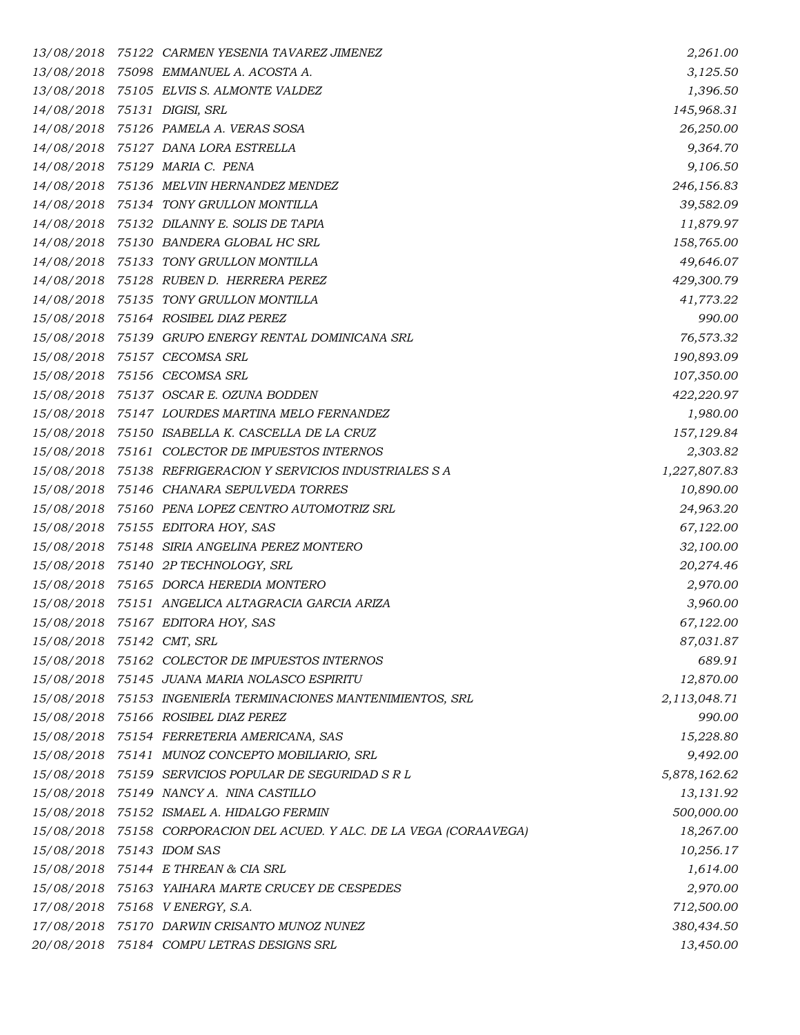| 13/08/2018                | 75122 CARMEN YESENIA TAVAREZ JIMENEZ                          | 2,261.00     |
|---------------------------|---------------------------------------------------------------|--------------|
| 13/08/2018                | 75098 EMMANUEL A. ACOSTA A.                                   | 3,125.50     |
|                           | 13/08/2018 75105 ELVIS S. ALMONTE VALDEZ                      | 1,396.50     |
| 14/08/2018                | 75131 DIGISI, SRL                                             | 145,968.31   |
|                           | 14/08/2018 75126 PAMELA A. VERAS SOSA                         | 26,250.00    |
| 14/08/2018                | 75127 DANA LORA ESTRELLA                                      | 9,364.70     |
| 14/08/2018                | 75129 MARIA C. PENA                                           | 9,106.50     |
|                           | 14/08/2018 75136 MELVIN HERNANDEZ MENDEZ                      | 246,156.83   |
| 14/08/2018                | 75134 TONY GRULLON MONTILLA                                   | 39,582.09    |
|                           | 14/08/2018 75132 DILANNY E. SOLIS DE TAPIA                    | 11,879.97    |
| 14/08/2018                | 75130 BANDERA GLOBAL HC SRL                                   | 158,765.00   |
|                           | 14/08/2018 75133 TONY GRULLON MONTILLA                        | 49,646.07    |
| 14/08/2018                | 75128   RUBEN D.   HERRERA PEREZ                              | 429,300.79   |
| 14/08/2018                | 75135 TONY GRULLON MONTILLA                                   | 41,773.22    |
|                           | 15/08/2018 75164 ROSIBEL DIAZ PEREZ                           | 990.00       |
| 15/08/2018                | 75139 GRUPO ENERGY RENTAL DOMINICANA SRL                      | 76,573.32    |
|                           | 15/08/2018 75157 CECOMSA SRL                                  | 190,893.09   |
| 15/08/2018                | 75156 CECOMSA SRL                                             | 107,350.00   |
| 15/08/2018                | 75137 OSCAR E. OZUNA BODDEN                                   | 422,220.97   |
| 15/08/2018                | 75147 LOURDES MARTINA MELO FERNANDEZ                          | 1,980.00     |
| 15/08/2018                | 75150 ISABELLA K. CASCELLA DE LA CRUZ                         | 157,129.84   |
| 15/08/2018                | 75161 COLECTOR DE IMPUESTOS INTERNOS                          | 2,303.82     |
| 15/08/2018                | 75138 REFRIGERACION Y SERVICIOS INDUSTRIALES S A              | 1,227,807.83 |
| 15/08/2018                | 75146 CHANARA SEPULVEDA TORRES                                | 10,890.00    |
| 15/08/2018                | 75160 PENA LOPEZ CENTRO AUTOMOTRIZ SRL                        | 24,963.20    |
| 15/08/2018                | 75155 EDITORA HOY, SAS                                        | 67,122.00    |
| 15/08/2018                | 75148 SIRIA ANGELINA PEREZ MONTERO                            | 32,100.00    |
| 15/08/2018                | 75140 2P TECHNOLOGY, SRL                                      | 20,274.46    |
|                           | 15/08/2018 75165 DORCA HEREDIA MONTERO                        | 2,970.00     |
| 15/08/2018                | 75151 ANGELICA ALTAGRACIA GARCIA ARIZA                        | 3,960.00     |
| 15/08/2018                | 75167 EDITORA HOY, SAS                                        | 67,122.00    |
| 15/08/2018 75142 CMT, SRL |                                                               | 87,031.87    |
| 15/08/2018                | 75162 COLECTOR DE IMPUESTOS INTERNOS                          | 689.91       |
|                           | 15/08/2018 75145 JUANA MARIA NOLASCO ESPIRITU                 | 12,870.00    |
|                           | 15/08/2018 75153 INGENIERÍA TERMINACIONES MANTENIMIENTOS, SRL | 2,113,048.71 |
|                           | 15/08/2018 75166 ROSIBEL DIAZ PEREZ                           | 990.00       |
| 15/08/2018                | 75154   FERRETERIA AMERICANA, SAS                             | 15,228.80    |
|                           | 15/08/2018 75141 MUNOZ CONCEPTO MOBILIARIO, SRL               | 9,492.00     |
|                           | 15/08/2018 75159 SERVICIOS POPULAR DE SEGURIDAD S R L         | 5,878,162.62 |
| 15/08/2018                | 75149 NANCYA. NINA CASTILLO                                   | 13,131.92    |
|                           | 15/08/2018 75152 ISMAEL A. HIDALGO FERMIN                     | 500,000.00   |
| 15/08/2018                | 75158 CORPORACION DEL ACUED. Y ALC. DE LA VEGA (CORAAVEGA)    | 18,267.00    |
| 15/08/2018 75143 IDOM SAS |                                                               | 10,256.17    |
|                           | 15/08/2018 75144 E THREAN & CIA SRL                           | 1,614.00     |
| 15/08/2018                | 75163 YAIHARA MARTE CRUCEY DE CESPEDES                        | 2,970.00     |
|                           | 17/08/2018 75168 VENERGY, S.A.                                | 712,500.00   |
| 17/08/2018                | 75170 DARWIN CRISANTO MUNOZ NUNEZ                             | 380,434.50   |
|                           |                                                               |              |
|                           | 20/08/2018 75184 COMPU LETRAS DESIGNS SRL                     | 13,450.00    |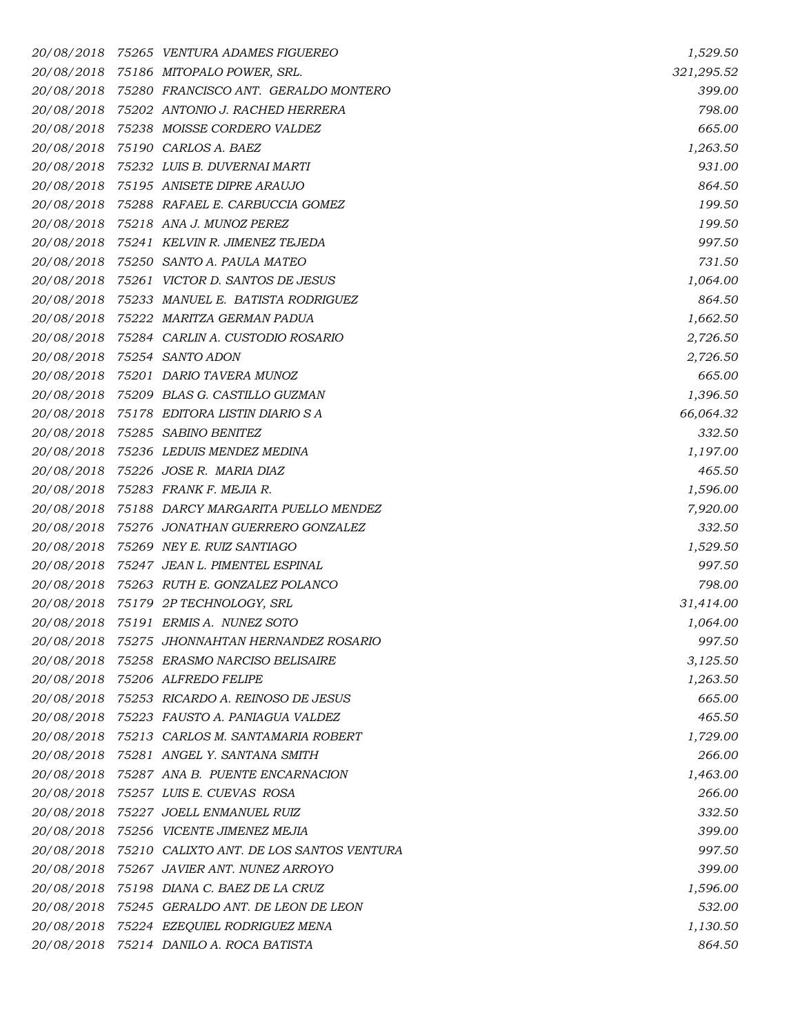*20/08/2018 75265 VENTURA ADAMES FIGUEREO 1,529.50 20/08/2018 75186 MITOPALO POWER, SRL. 321,295.52 20/08/2018 75280 FRANCISCO ANT. GERALDO MONTERO 399.00 20/08/2018 75202 ANTONIO J. RACHED HERRERA 798.00 20/08/2018 75238 MOISSE CORDERO VALDEZ 665.00 20/08/2018 75190 CARLOS A. BAEZ 1,263.50 20/08/2018 75232 LUIS B. DUVERNAI MARTI 931.00 20/08/2018 75195 ANISETE DIPRE ARAUJO 864.50 20/08/2018 75288 RAFAEL E. CARBUCCIA GOMEZ 199.50 20/08/2018 75218 ANA J. MUNOZ PEREZ 199.50 20/08/2018 75241 KELVIN R. JIMENEZ TEJEDA 997.50 20/08/2018 75250 SANTO A. PAULA MATEO 731.50 20/08/2018 75261 VICTOR D. SANTOS DE JESUS 1,064.00 20/08/2018 75233 MANUEL E. BATISTA RODRIGUEZ 864.50 20/08/2018 75222 MARITZA GERMAN PADUA 1,662.50 20/08/2018 75284 CARLIN A. CUSTODIO ROSARIO 2,726.50 20/08/2018 75254 SANTO ADON 2,726.50 20/08/2018 75201 DARIO TAVERA MUNOZ 665.00 20/08/2018 75209 BLAS G. CASTILLO GUZMAN 1,396.50 20/08/2018 75178 EDITORA LISTIN DIARIO S A 66,064.32 20/08/2018 75285 SABINO BENITEZ 332.50 20/08/2018 75236 LEDUIS MENDEZ MEDINA 1,197.00 20/08/2018 75226 JOSE R. MARIA DIAZ 465.50 20/08/2018 75283 FRANK F. MEJIA R. 1,596.00 20/08/2018 75188 DARCY MARGARITA PUELLO MENDEZ 7,920.00 20/08/2018 75276 JONATHAN GUERRERO GONZALEZ 332.50 20/08/2018 75269 NEY E. RUIZ SANTIAGO 1,529.50 20/08/2018 75247 JEAN L. PIMENTEL ESPINAL 997.50 20/08/2018 75263 RUTH E. GONZALEZ POLANCO 798.00 20/08/2018 75179 2P TECHNOLOGY, SRL 31,414.00 20/08/2018 75191 ERMIS A. NUNEZ SOTO 1,064.00 20/08/2018 75275 JHONNAHTAN HERNANDEZ ROSARIO 997.50 20/08/2018 75258 ERASMO NARCISO BELISAIRE 3,125.50 20/08/2018 75206 ALFREDO FELIPE 1,263.50 20/08/2018 75253 RICARDO A. REINOSO DE JESUS 665.00 20/08/2018 75223 FAUSTO A. PANIAGUA VALDEZ 465.50 20/08/2018 75213 CARLOS M. SANTAMARIA ROBERT 1,729.00 20/08/2018 75281 ANGEL Y. SANTANA SMITH 266.00 20/08/2018 75287 ANA B. PUENTE ENCARNACION 1,463.00 20/08/2018 75257 LUIS E. CUEVAS ROSA 266.00 20/08/2018 75227 JOELL ENMANUEL RUIZ 332.50 20/08/2018 75256 VICENTE JIMENEZ MEJIA 399.00 20/08/2018 75210 CALIXTO ANT. DE LOS SANTOS VENTURA 997.50 20/08/2018 75267 JAVIER ANT. NUNEZ ARROYO 399.00 20/08/2018 75198 DIANA C. BAEZ DE LA CRUZ 1,596.00 20/08/2018 75245 GERALDO ANT. DE LEON DE LEON 532.00 20/08/2018 75224 EZEQUIEL RODRIGUEZ MENA 1,130.50 20/08/2018 75214 DANILO A. ROCA BATISTA 864.50*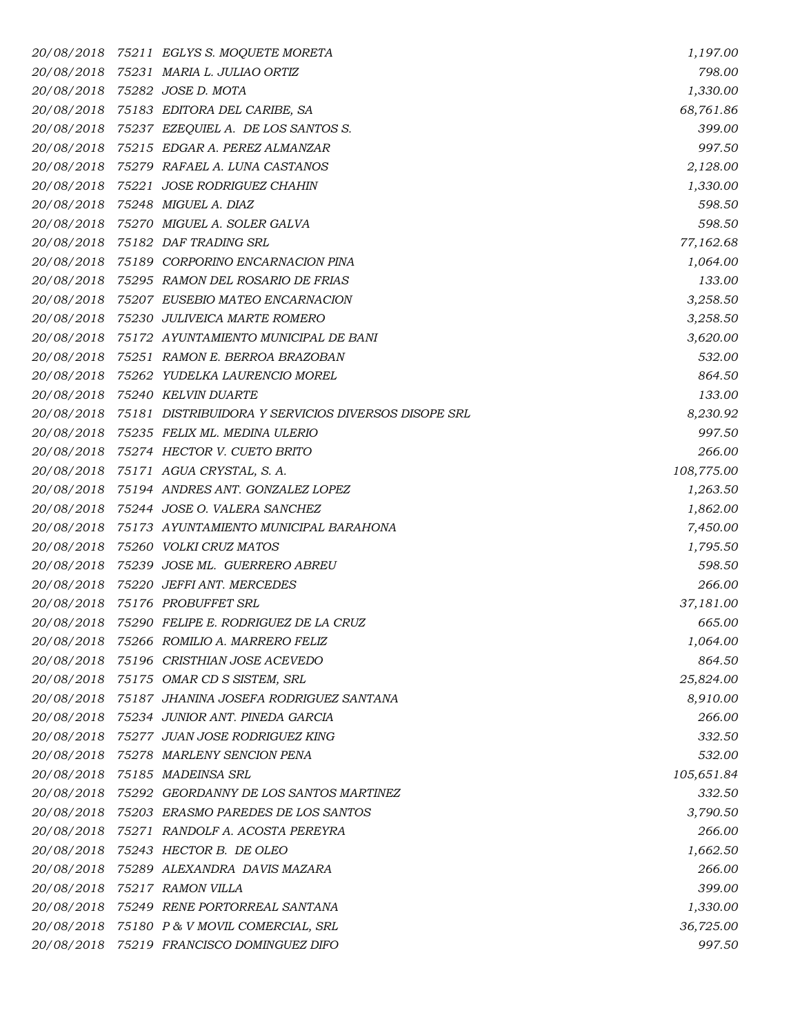| 20/08/2018 | 75211 EGLYS S. MOQUETE MORETA                       | 1,197.00   |
|------------|-----------------------------------------------------|------------|
|            | 20/08/2018 75231 MARIA L. JULIAO ORTIZ              | 798.00     |
|            | 20/08/2018 75282 JOSE D. MOTA                       | 1,330.00   |
|            | 20/08/2018 75183 EDITORA DEL CARIBE, SA             | 68,761.86  |
|            | 20/08/2018 75237 EZEQUIEL A. DE LOS SANTOS S.       | 399.00     |
|            | 20/08/2018 75215 EDGAR A. PEREZ ALMANZAR            | 997.50     |
|            | 20/08/2018 75279 RAFAEL A. LUNA CASTANOS            | 2,128.00   |
|            | 20/08/2018 75221 JOSE RODRIGUEZ CHAHIN              | 1,330.00   |
|            | 20/08/2018 75248 MIGUEL A. DIAZ                     | 598.50     |
|            | 20/08/2018 75270 MIGUEL A. SOLER GALVA              | 598.50     |
|            | 20/08/2018 75182 DAF TRADING SRL                    | 77,162.68  |
|            | 20/08/2018 75189 CORPORINO ENCARNACION PINA         | 1,064.00   |
|            | 20/08/2018 75295 RAMON DEL ROSARIO DE FRIAS         | 133.00     |
|            | 20/08/2018 75207 EUSEBIO MATEO ENCARNACION          | 3,258.50   |
|            | 20/08/2018 75230 JULIVEICA MARTE ROMERO             | 3,258.50   |
|            | 20/08/2018 75172 AYUNTAMIENTO MUNICIPAL DE BANI     | 3,620.00   |
|            | 20/08/2018 75251 RAMON E. BERROA BRAZOBAN           | 532.00     |
| 20/08/2018 | 75262 YUDELKA LAURENCIO MOREL                       | 864.50     |
|            | 20/08/2018 75240 KELVIN DUARTE                      | 133.00     |
| 20/08/2018 | 75181 DISTRIBUIDORA Y SERVICIOS DIVERSOS DISOPE SRL | 8,230.92   |
|            | 20/08/2018 75235 FELIX ML. MEDINA ULERIO            | 997.50     |
|            | 20/08/2018 75274 HECTOR V. CUETO BRITO              | 266.00     |
| 20/08/2018 | 75171 AGUA CRYSTAL, S. A.                           | 108,775.00 |
|            | 20/08/2018 75194 ANDRES ANT. GONZALEZ LOPEZ         | 1,263.50   |
|            | 20/08/2018 75244 JOSE O. VALERA SANCHEZ             | 1,862.00   |
|            | 20/08/2018 75173 AYUNTAMIENTO MUNICIPAL BARAHONA    | 7,450.00   |
| 20/08/2018 | 75260 VOLKI CRUZ MATOS                              | 1,795.50   |
|            | 20/08/2018 75239 JOSE ML. GUERRERO ABREU            | 598.50     |
|            | 20/08/2018 75220 JEFFI ANT. MERCEDES                | 266.00     |
| 20/08/2018 | 75176 PROBUFFET SRL                                 | 37,181.00  |
|            | 20/08/2018 75290 FELIPE E. RODRIGUEZ DE LA CRUZ     | 665.00     |
| 20/08/2018 | 75266   ROMILIO A. MARRERO FELIZ                    | 1,064.00   |
|            | 20/08/2018 75196 CRISTHIAN JOSE ACEVEDO             | 864.50     |
|            | 20/08/2018 75175 OMAR CD S SISTEM, SRL              | 25,824.00  |
|            | 20/08/2018 75187 JHANINA JOSEFA RODRIGUEZ SANTANA   | 8,910.00   |
|            | 20/08/2018 75234 JUNIOR ANT. PINEDA GARCIA          | 266.00     |
| 20/08/2018 | 75277   JUAN JOSE RODRIGUEZ KING                    | 332.50     |
|            | 20/08/2018 75278 MARLENY SENCION PENA               | 532.00     |
|            | 20/08/2018 75185 MADEINSA SRL                       | 105,651.84 |
|            | 20/08/2018 75292 GEORDANNY DE LOS SANTOS MARTINEZ   | 332.50     |
|            | 20/08/2018 75203 ERASMO PAREDES DE LOS SANTOS       | 3,790.50   |
| 20/08/2018 | 75271   RANDOLF A. ACOSTA PEREYRA                   | 266.00     |
|            | 20/08/2018 75243 HECTOR B. DE OLEO                  | 1,662.50   |
| 20/08/2018 | 75289 ALEXANDRA DAVIS MAZARA                        | 266.00     |
|            | 20/08/2018 75217 RAMON VILLA                        | 399.00     |
|            | 20/08/2018 75249 RENE PORTORREAL SANTANA            | 1,330.00   |
|            | 20/08/2018 75180 P & V MOVIL COMERCIAL, SRL         | 36,725.00  |
|            | 20/08/2018 75219 FRANCISCO DOMINGUEZ DIFO           | 997.50     |
|            |                                                     |            |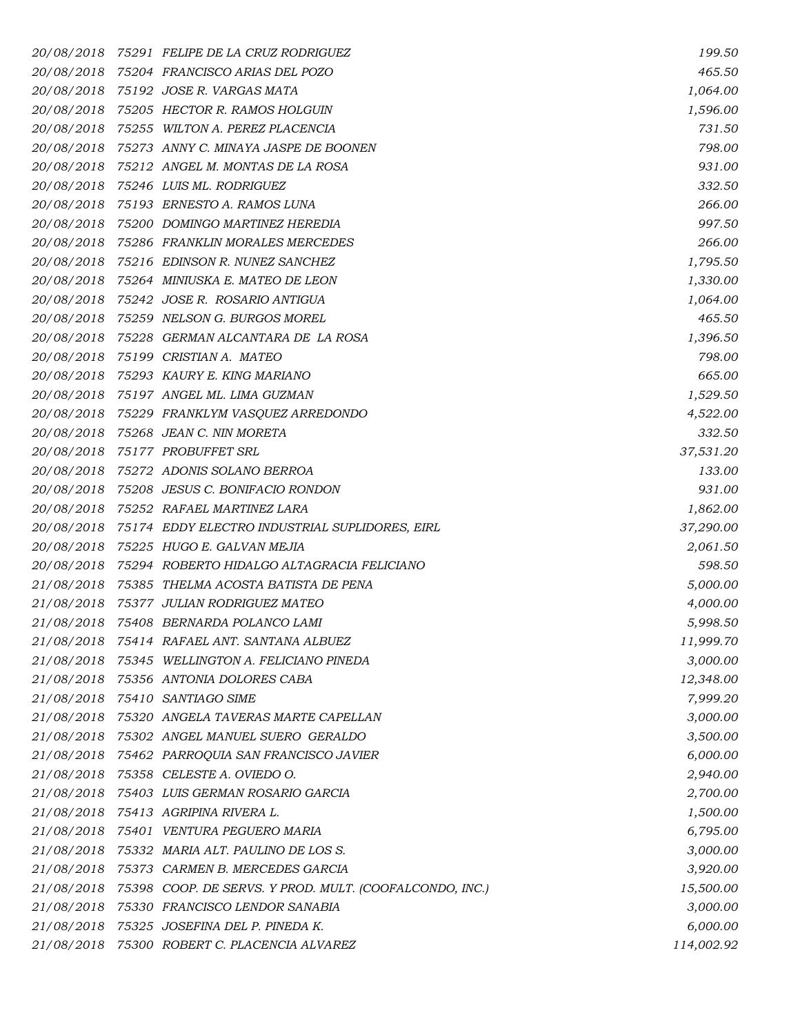*20/08/2018 75291 FELIPE DE LA CRUZ RODRIGUEZ 199.50 20/08/2018 75204 FRANCISCO ARIAS DEL POZO 465.50 20/08/2018 75192 JOSE R. VARGAS MATA 1,064.00 20/08/2018 75205 HECTOR R. RAMOS HOLGUIN 1,596.00 20/08/2018 75255 WILTON A. PEREZ PLACENCIA 731.50 20/08/2018 75273 ANNY C. MINAYA JASPE DE BOONEN 798.00 20/08/2018 75212 ANGEL M. MONTAS DE LA ROSA 931.00 20/08/2018 75246 LUIS ML. RODRIGUEZ 332.50 20/08/2018 75193 ERNESTO A. RAMOS LUNA 266.00 20/08/2018 75200 DOMINGO MARTINEZ HEREDIA 997.50 20/08/2018 75286 FRANKLIN MORALES MERCEDES 266.00 20/08/2018 75216 EDINSON R. NUNEZ SANCHEZ 1,795.50 20/08/2018 75264 MINIUSKA E. MATEO DE LEON 1,330.00 20/08/2018 75242 JOSE R. ROSARIO ANTIGUA 1,064.00 20/08/2018 75259 NELSON G. BURGOS MOREL 465.50 20/08/2018 75228 GERMAN ALCANTARA DE LA ROSA 1,396.50 20/08/2018 75199 CRISTIAN A. MATEO 798.00 20/08/2018 75293 KAURY E. KING MARIANO 665.00 20/08/2018 75197 ANGEL ML. LIMA GUZMAN 1,529.50 20/08/2018 75229 FRANKLYM VASQUEZ ARREDONDO 4,522.00 20/08/2018 75268 JEAN C. NIN MORETA 332.50 20/08/2018 75177 PROBUFFET SRL 37,531.20 20/08/2018 75272 ADONIS SOLANO BERROA 133.00 20/08/2018 75208 JESUS C. BONIFACIO RONDON 931.00 20/08/2018 75252 RAFAEL MARTINEZ LARA 1,862.00 20/08/2018 75174 EDDY ELECTRO INDUSTRIAL SUPLIDORES, EIRL 37,290.00 20/08/2018 75225 HUGO E. GALVAN MEJIA 2,061.50 20/08/2018 75294 ROBERTO HIDALGO ALTAGRACIA FELICIANO 598.50 21/08/2018 75385 THELMA ACOSTA BATISTA DE PENA 5,000.00 21/08/2018 75377 JULIAN RODRIGUEZ MATEO 4,000.00 21/08/2018 75408 BERNARDA POLANCO LAMI 5,998.50 21/08/2018 75414 RAFAEL ANT. SANTANA ALBUEZ 11,999.70 21/08/2018 75345 WELLINGTON A. FELICIANO PINEDA 3,000.00 21/08/2018 75356 ANTONIA DOLORES CABA 12,348.00 21/08/2018 75410 SANTIAGO SIME 7,999.20 21/08/2018 75320 ANGELA TAVERAS MARTE CAPELLAN 3,000.00 21/08/2018 75302 ANGEL MANUEL SUERO GERALDO 3,500.00 21/08/2018 75462 PARROQUIA SAN FRANCISCO JAVIER 6,000.00 21/08/2018 75358 CELESTE A. OVIEDO O. 2,940.00 21/08/2018 75403 LUIS GERMAN ROSARIO GARCIA 2,700.00 21/08/2018 75413 AGRIPINA RIVERA L. 1,500.00 21/08/2018 75401 VENTURA PEGUERO MARIA 6,795.00 21/08/2018 75332 MARIA ALT. PAULINO DE LOS S. 3,000.00 21/08/2018 75373 CARMEN B. MERCEDES GARCIA 3,920.00 21/08/2018 75398 COOP. DE SERVS. Y PROD. MULT. (COOFALCONDO, INC.) 15,500.00 21/08/2018 75330 FRANCISCO LENDOR SANABIA 3,000.00 21/08/2018 75325 JOSEFINA DEL P. PINEDA K. 6,000.00 21/08/2018 75300 ROBERT C. PLACENCIA ALVAREZ 114,002.92*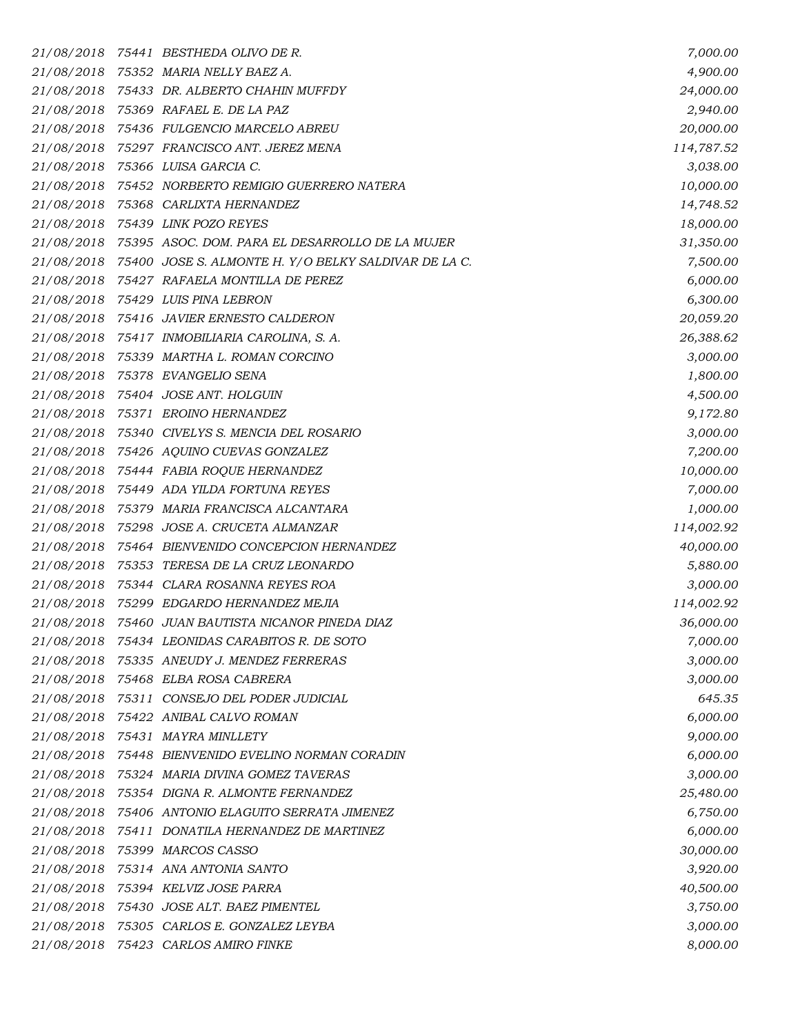|            | 21/08/2018 75441 BESTHEDA OLIVO DE R.                           | 7,000.00   |
|------------|-----------------------------------------------------------------|------------|
|            | 21/08/2018 75352 MARIA NELLY BAEZ A.                            | 4,900.00   |
|            | 21/08/2018 75433 DR. ALBERTO CHAHIN MUFFDY                      | 24,000.00  |
|            | 21/08/2018 75369 RAFAEL E. DE LA PAZ                            | 2,940.00   |
|            | 21/08/2018 75436 FULGENCIO MARCELO ABREU                        | 20,000.00  |
|            | 21/08/2018 75297 FRANCISCO ANT. JEREZ MENA                      | 114,787.52 |
|            | 21/08/2018 75366 LUISA GARCIA C.                                | 3,038.00   |
|            | 21/08/2018 75452 NORBERTO REMIGIO GUERRERO NATERA               | 10,000.00  |
| 21/08/2018 | 75368 CARLIXTA HERNANDEZ                                        | 14,748.52  |
|            | 21/08/2018 75439 LINK POZO REYES                                | 18,000.00  |
|            | 21/08/2018 75395 ASOC. DOM. PARA EL DESARROLLO DE LA MUJER      | 31,350.00  |
|            | 21/08/2018 75400 JOSE S. ALMONTE H. Y/O BELKY SALDIVAR DE LA C. | 7,500.00   |
|            | 21/08/2018 75427 RAFAELA MONTILLA DE PEREZ                      | 6,000.00   |
|            | 21/08/2018 75429 LUIS PINA LEBRON                               | 6,300.00   |
|            | 21/08/2018 75416 JAVIER ERNESTO CALDERON                        | 20,059.20  |
|            | 21/08/2018 75417 INMOBILIARIA CAROLINA, S.A.                    | 26,388.62  |
|            | 21/08/2018 75339 MARTHA L. ROMAN CORCINO                        | 3,000.00   |
|            | 21/08/2018 75378 EVANGELIO SENA                                 | 1,800.00   |
|            | 21/08/2018 75404 JOSE ANT. HOLGUIN                              | 4,500.00   |
|            | 21/08/2018 75371 EROINO HERNANDEZ                               | 9,172.80   |
|            | 21/08/2018 75340 CIVELYS S. MENCIA DEL ROSARIO                  | 3,000.00   |
|            | 21/08/2018 75426 AQUINO CUEVAS GONZALEZ                         | 7,200.00   |
|            | 21/08/2018 75444 FABIA ROQUE HERNANDEZ                          | 10,000.00  |
|            | 21/08/2018 75449 ADA YILDA FORTUNA REYES                        | 7,000.00   |
|            | 21/08/2018 75379 MARIA FRANCISCA ALCANTARA                      | 1,000.00   |
|            | 21/08/2018 75298 JOSE A. CRUCETA ALMANZAR                       | 114,002.92 |
|            | 21/08/2018 75464 BIENVENIDO CONCEPCION HERNANDEZ                | 40,000.00  |
| 21/08/2018 | 75353 TERESA DE LA CRUZ LEONARDO                                | 5,880.00   |
|            | 21/08/2018 75344 CLARA ROSANNA REYES ROA                        | 3,000.00   |
|            | 21/08/2018 75299 EDGARDO HERNANDEZ MEJIA                        | 114,002.92 |
|            | 21/08/2018 75460 JUAN BAUTISTA NICANOR PINEDA DIAZ              | 36,000.00  |
|            | 21/08/2018 75434 LEONIDAS CARABITOS R. DE SOTO                  | 7,000.00   |
| 21/08/2018 | 75335 ANEUDY J. MENDEZ FERRERAS                                 | 3,000.00   |
|            | 21/08/2018 75468 ELBA ROSA CABRERA                              | 3,000.00   |
|            | 21/08/2018 75311 CONSEJO DEL PODER JUDICIAL                     | 645.35     |
|            | 21/08/2018 75422 ANIBAL CALVO ROMAN                             | 6,000.00   |
|            | 21/08/2018 75431 MAYRA MINLLETY                                 | 9,000.00   |
|            | 21/08/2018 75448 BIENVENIDO EVELINO NORMAN CORADIN              | 6,000.00   |
|            | 21/08/2018 75324 MARIA DIVINA GOMEZ TAVERAS                     | 3,000.00   |
| 21/08/2018 | 75354 DIGNA R. ALMONTE FERNANDEZ                                | 25,480.00  |
|            | 21/08/2018 75406 ANTONIO ELAGUITO SERRATA JIMENEZ               | 6,750.00   |
| 21/08/2018 | 75411 DONATILA HERNANDEZ DE MARTINEZ                            | 6,000.00   |
|            | 21/08/2018 75399 MARCOS CASSO                                   | 30,000.00  |
|            | 21/08/2018 75314 ANA ANTONIA SANTO                              | 3,920.00   |
|            | 21/08/2018 75394 KELVIZ JOSE PARRA                              | 40,500.00  |
|            | 21/08/2018 75430 JOSE ALT. BAEZ PIMENTEL                        | 3,750.00   |
|            | 21/08/2018 75305 CARLOS E. GONZALEZ LEYBA                       | 3,000.00   |
|            | 21/08/2018 75423 CARLOS AMIRO FINKE                             | 8,000.00   |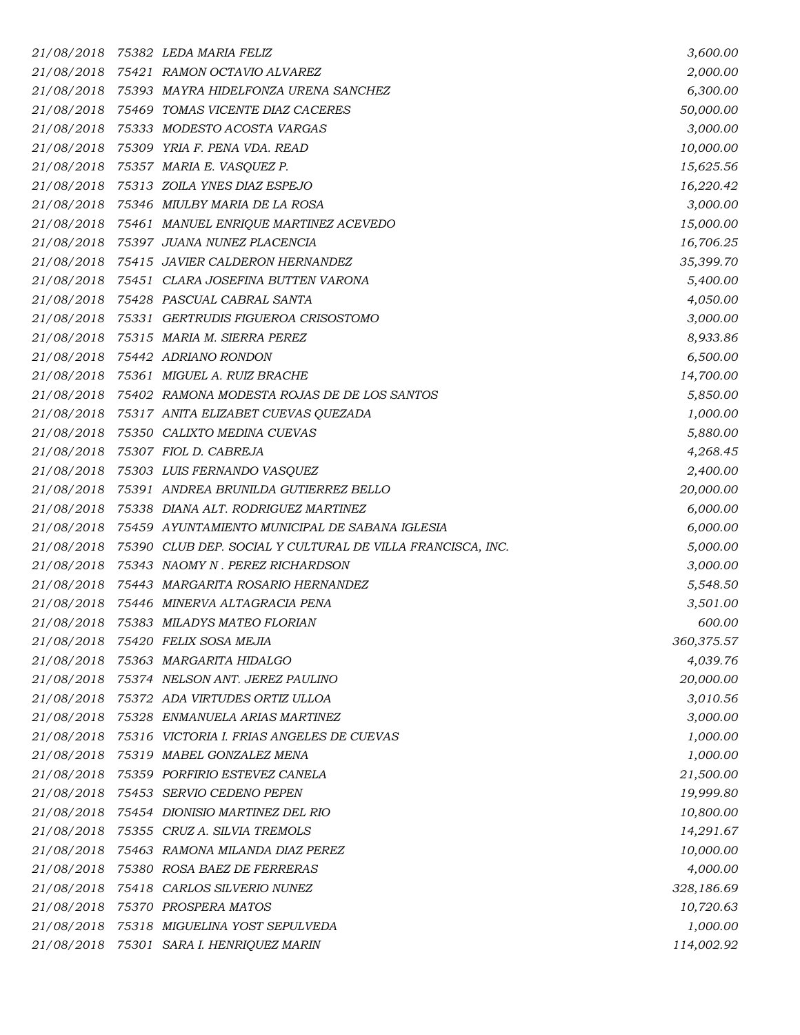|            | 21/08/2018 75382 LEDA MARIA FELIZ                          | 3,600.00   |
|------------|------------------------------------------------------------|------------|
|            | 21/08/2018 75421 RAMON OCTAVIO ALVAREZ                     | 2,000.00   |
|            | 21/08/2018 75393 MAYRA HIDELFONZA URENA SANCHEZ            | 6,300.00   |
|            | 21/08/2018 75469 TOMAS VICENTE DIAZ CACERES                | 50,000.00  |
|            | 21/08/2018 75333 MODESTO ACOSTA VARGAS                     | 3,000.00   |
|            | 21/08/2018 75309 YRIA F. PENA VDA. READ                    | 10,000.00  |
|            | 21/08/2018 75357 MARIA E. VASQUEZ P.                       | 15,625.56  |
|            | 21/08/2018 75313 ZOILA YNES DIAZ ESPEJO                    | 16,220.42  |
|            | 21/08/2018 75346 MIULBY MARIA DE LA ROSA                   | 3,000.00   |
|            | 21/08/2018 75461 MANUEL ENRIQUE MARTINEZ ACEVEDO           | 15,000.00  |
|            | 21/08/2018 75397 JUANA NUNEZ PLACENCIA                     | 16,706.25  |
|            | 21/08/2018 75415 JAVIER CALDERON HERNANDEZ                 | 35,399.70  |
|            | 21/08/2018 75451 CLARA JOSEFINA BUTTEN VARONA              | 5,400.00   |
|            | 21/08/2018 75428 PASCUAL CABRAL SANTA                      | 4,050.00   |
|            | 21/08/2018 75331 GERTRUDIS FIGUEROA CRISOSTOMO             | 3,000.00   |
|            | 21/08/2018 75315 MARIA M. SIERRA PEREZ                     | 8,933.86   |
|            | 21/08/2018 75442 ADRIANO RONDON                            | 6,500.00   |
|            | 21/08/2018 75361 MIGUEL A. RUIZ BRACHE                     | 14,700.00  |
|            | 21/08/2018 75402 RAMONA MODESTA ROJAS DE DE LOS SANTOS     | 5,850.00   |
|            | 21/08/2018 75317 ANITA ELIZABET CUEVAS QUEZADA             | 1,000.00   |
|            | 21/08/2018 75350 CALIXTO MEDINA CUEVAS                     | 5,880.00   |
|            | 21/08/2018 75307 FIOL D. CABREJA                           | 4,268.45   |
|            | 21/08/2018 75303 LUIS FERNANDO VASQUEZ                     | 2,400.00   |
|            | 21/08/2018 75391 ANDREA BRUNILDA GUTIERREZ BELLO           | 20,000.00  |
|            | 21/08/2018 75338 DIANA ALT. RODRIGUEZ MARTINEZ             | 6,000.00   |
|            | 21/08/2018 75459 AYUNTAMIENTO MUNICIPAL DE SABANA IGLESIA  | 6,000.00   |
| 21/08/2018 | 75390 CLUB DEP. SOCIAL Y CULTURAL DE VILLA FRANCISCA, INC. | 5,000.00   |
|            | 21/08/2018 75343 NAOMY N. PEREZ RICHARDSON                 | 3,000.00   |
|            | 21/08/2018 75443 MARGARITA ROSARIO HERNANDEZ               | 5,548.50   |
|            | 21/08/2018 75446 MINERVA ALTAGRACIA PENA                   | 3,501.00   |
|            | 21/08/2018 75383 MILADYS MATEO FLORIAN                     | 600.00     |
| 21/08/2018 | 75420 FELIX SOSA MEJIA                                     | 360,375.57 |
|            | 21/08/2018 75363 MARGARITA HIDALGO                         | 4,039.76   |
|            | 21/08/2018 75374 NELSON ANT. JEREZ PAULINO                 | 20,000.00  |
|            | 21/08/2018 75372 ADA VIRTUDES ORTIZ ULLOA                  | 3,010.56   |
|            | 21/08/2018 75328 ENMANUELA ARIAS MARTINEZ                  | 3,000.00   |
| 21/08/2018 | 75316 VICTORIA I. FRIAS ANGELES DE CUEVAS                  | 1,000.00   |
|            | 21/08/2018 75319 MABEL GONZALEZ MENA                       | 1,000.00   |
| 21/08/2018 | 75359 PORFIRIO ESTEVEZ CANELA                              | 21,500.00  |
| 21/08/2018 | 75453 SERVIO CEDENO PEPEN                                  | 19,999.80  |
|            | 21/08/2018 75454 DIONISIO MARTINEZ DEL RIO                 | 10,800.00  |
| 21/08/2018 | 75355 CRUZ A. SILVIA TREMOLS                               | 14,291.67  |
|            | 21/08/2018 75463 RAMONA MILANDA DIAZ PEREZ                 | 10,000.00  |
| 21/08/2018 | 75380 ROSA BAEZ DE FERRERAS                                | 4,000.00   |
|            | 21/08/2018 75418 CARLOS SILVERIO NUNEZ                     | 328,186.69 |
| 21/08/2018 | 75370 PROSPERA MATOS                                       | 10,720.63  |
|            | 21/08/2018 75318 MIGUELINA YOST SEPULVEDA                  | 1,000.00   |
| 21/08/2018 | 75301 SARA I. HENRIQUEZ MARIN                              | 114,002.92 |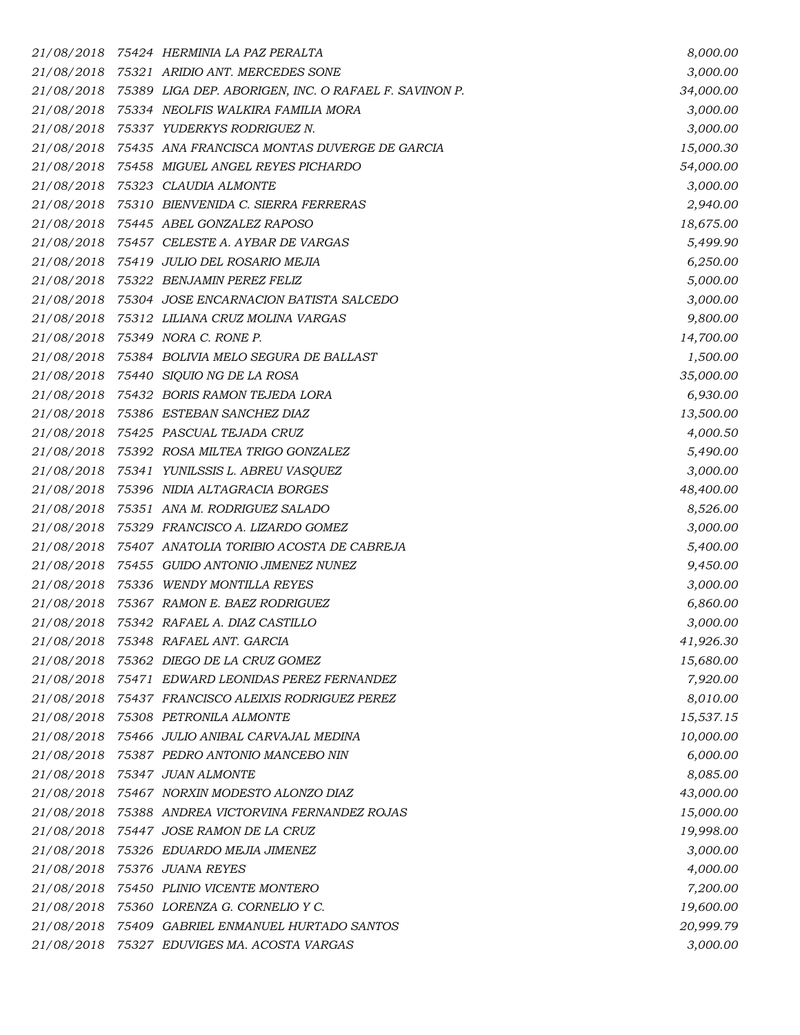|            | 21/08/2018 75424 HERMINIA LA PAZ PERALTA                         | 8,000.00  |
|------------|------------------------------------------------------------------|-----------|
|            | 21/08/2018 75321 ARIDIO ANT. MERCEDES SONE                       | 3,000.00  |
|            | 21/08/2018 75389 LIGA DEP. ABORIGEN, INC. O RAFAEL F. SAVINON P. | 34,000.00 |
|            | 21/08/2018 75334 NEOLFIS WALKIRA FAMILIA MORA                    | 3,000.00  |
|            | 21/08/2018 75337 YUDERKYS RODRIGUEZ N.                           | 3,000.00  |
|            | 21/08/2018 75435 ANA FRANCISCA MONTAS DUVERGE DE GARCIA          | 15,000.30 |
|            | 21/08/2018 75458 MIGUEL ANGEL REYES PICHARDO                     | 54,000.00 |
| 21/08/2018 | 75323 CLAUDIA ALMONTE                                            | 3,000.00  |
|            | 21/08/2018 75310 BIENVENIDA C. SIERRA FERRERAS                   | 2,940.00  |
|            | 21/08/2018 75445 ABEL GONZALEZ RAPOSO                            | 18,675.00 |
|            | 21/08/2018 75457 CELESTE A. AYBAR DE VARGAS                      | 5,499.90  |
|            | 21/08/2018 75419 JULIO DEL ROSARIO MEJIA                         | 6,250.00  |
|            | 21/08/2018 75322 BENJAMIN PEREZ FELIZ                            | 5,000.00  |
|            | 21/08/2018 75304 JOSE ENCARNACION BATISTA SALCEDO                | 3,000.00  |
|            | 21/08/2018 75312 LILIANA CRUZ MOLINA VARGAS                      | 9,800.00  |
|            | 21/08/2018 75349 NORA C. RONE P.                                 | 14,700.00 |
|            | 21/08/2018 75384 BOLIVIA MELO SEGURA DE BALLAST                  | 1,500.00  |
|            | 21/08/2018 75440 SIQUIO NG DE LA ROSA                            | 35,000.00 |
|            | 21/08/2018 75432 BORIS RAMON TEJEDA LORA                         | 6,930.00  |
|            | 21/08/2018 75386 ESTEBAN SANCHEZ DIAZ                            | 13,500.00 |
|            | 21/08/2018 75425 PASCUAL TEJADA CRUZ                             | 4,000.50  |
|            | 21/08/2018 75392 ROSA MILTEA TRIGO GONZALEZ                      | 5,490.00  |
|            | 21/08/2018 75341 YUNILSSIS L. ABREU VASQUEZ                      | 3,000.00  |
|            | 21/08/2018 75396 NIDIA ALTAGRACIA BORGES                         | 48,400.00 |
|            | 21/08/2018 75351 ANA M. RODRIGUEZ SALADO                         | 8,526.00  |
|            | 21/08/2018 75329 FRANCISCO A. LIZARDO GOMEZ                      | 3,000.00  |
|            | 21/08/2018 75407 ANATOLIA TORIBIO ACOSTA DE CABREJA              | 5,400.00  |
|            | 21/08/2018 75455 GUIDO ANTONIO JIMENEZ NUNEZ                     | 9,450.00  |
|            | 21/08/2018 75336 WENDY MONTILLA REYES                            | 3,000.00  |
|            | 21/08/2018 75367 RAMON E. BAEZ RODRIGUEZ                         | 6,860.00  |
|            | 21/08/2018 75342 RAFAEL A. DIAZ CASTILLO                         | 3,000.00  |
|            | 21/08/2018 75348 RAFAEL ANT. GARCIA                              | 41,926.30 |
|            | 21/08/2018 75362 DIEGO DE LA CRUZ GOMEZ                          | 15,680.00 |
|            | 21/08/2018 75471 EDWARD LEONIDAS PEREZ FERNANDEZ                 | 7,920.00  |
|            | 21/08/2018 75437 FRANCISCO ALEIXIS RODRIGUEZ PEREZ               | 8,010.00  |
|            | 21/08/2018 75308 PETRONILA ALMONTE                               | 15,537.15 |
|            | 21/08/2018 75466 JULIO ANIBAL CARVAJAL MEDINA                    | 10,000.00 |
|            | 21/08/2018 75387 PEDRO ANTONIO MANCEBO NIN                       | 6,000.00  |
|            | 21/08/2018 75347 JUAN ALMONTE                                    | 8,085.00  |
|            | 21/08/2018 75467 NORXIN MODESTO ALONZO DIAZ                      | 43,000.00 |
|            | 21/08/2018 75388 ANDREA VICTORVINA FERNANDEZ ROJAS               | 15,000.00 |
|            | 21/08/2018 75447 JOSE RAMON DE LA CRUZ                           | 19,998.00 |
|            | 21/08/2018 75326 EDUARDO MEJIA JIMENEZ                           | 3,000.00  |
| 21/08/2018 | 75376 JUANA REYES                                                | 4,000.00  |
|            | 21/08/2018 75450 PLINIO VICENTE MONTERO                          | 7,200.00  |
|            | 21/08/2018 75360 LORENZA G. CORNELIO Y C.                        | 19,600.00 |
|            | 21/08/2018 75409 GABRIEL ENMANUEL HURTADO SANTOS                 | 20,999.79 |
|            | 21/08/2018 75327 EDUVIGES MA. ACOSTA VARGAS                      | 3,000.00  |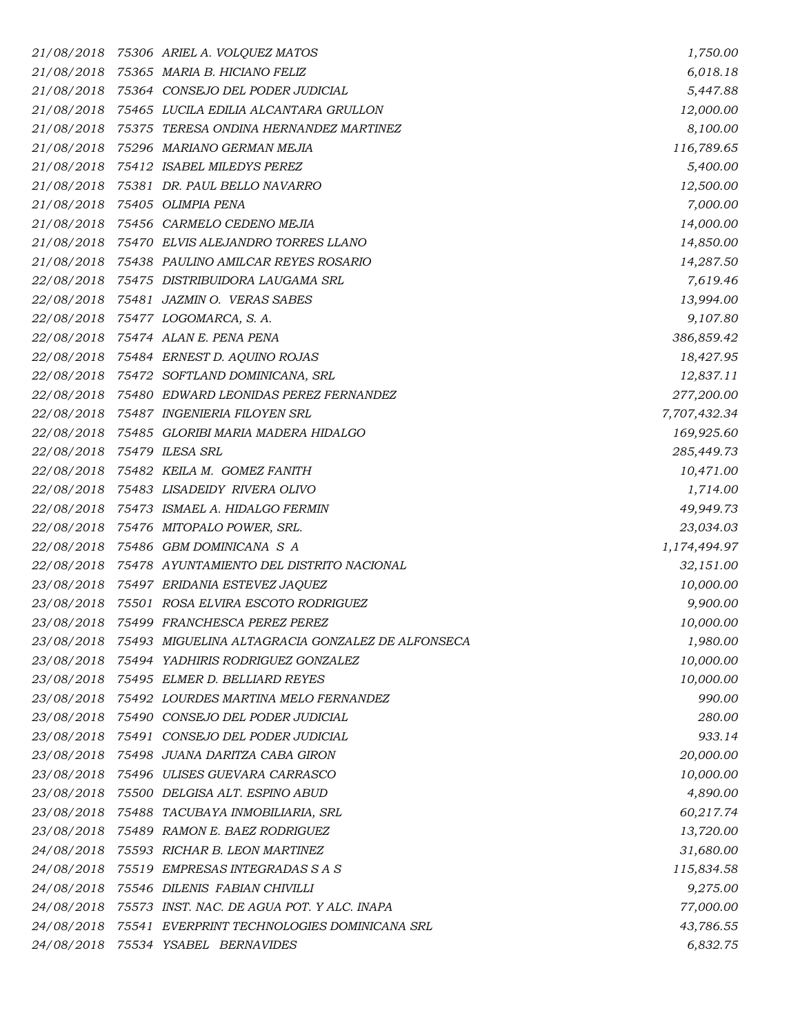| 21/08/2018                 | 75306   ARIEL A. VOLQUEZ MATOS                      | 1,750.00     |
|----------------------------|-----------------------------------------------------|--------------|
|                            | 21/08/2018 75365 MARIA B. HICIANO FELIZ             | 6,018.18     |
|                            | 21/08/2018 75364 CONSEJO DEL PODER JUDICIAL         | 5,447.88     |
| 21/08/2018                 | 75465 LUCILA EDILIA ALCANTARA GRULLON               | 12,000.00    |
| 21/08/2018                 | 75375 TERESA ONDINA HERNANDEZ MARTINEZ              | 8,100.00     |
|                            | 21/08/2018 75296 MARIANO GERMAN MEJIA               | 116,789.65   |
|                            | 21/08/2018 75412 ISABEL MILEDYS PEREZ               | 5,400.00     |
| 21/08/2018                 | 75381   DR. PAUL BELLO NAVARRO                      | 12,500.00    |
|                            | 21/08/2018 75405 OLIMPIA PENA                       | 7,000.00     |
|                            | 21/08/2018 75456 CARMELO CEDENO MEJIA               | 14,000.00    |
|                            | 21/08/2018 75470 ELVIS ALEJANDRO TORRES LLANO       | 14,850.00    |
|                            | 21/08/2018 75438 PAULINO AMILCAR REYES ROSARIO      | 14,287.50    |
|                            | 22/08/2018 75475 DISTRIBUIDORA LAUGAMA SRL          | 7,619.46     |
|                            | 22/08/2018 75481 JAZMIN O. VERAS SABES              | 13,994.00    |
|                            | 22/08/2018 75477 LOGOMARCA, S.A.                    | 9,107.80     |
|                            | 22/08/2018 75474 ALAN E. PENA PENA                  | 386,859.42   |
|                            | 22/08/2018 75484 ERNEST D. AQUINO ROJAS             | 18,427.95    |
|                            | 22/08/2018 75472 SOFTLAND DOMINICANA, SRL           | 12,837.11    |
|                            | 22/08/2018 75480 EDWARD LEONIDAS PEREZ FERNANDEZ    | 277,200.00   |
|                            | 22/08/2018 75487 INGENIERIA FILOYEN SRL             | 7,707,432.34 |
|                            | 22/08/2018 75485 GLORIBI MARIA MADERA HIDALGO       | 169,925.60   |
| 22/08/2018 75479 ILESA SRL |                                                     | 285,449.73   |
| 22/08/2018                 | 75482 KEILA M. GOMEZ FANITH                         | 10,471.00    |
|                            | 22/08/2018 75483 LISADEIDY RIVERA OLIVO             | 1,714.00     |
|                            | 22/08/2018 75473 ISMAEL A. HIDALGO FERMIN           | 49,949.73    |
|                            | 22/08/2018 75476 MITOPALO POWER, SRL.               | 23,034.03    |
| 22/08/2018                 | 75486 GBM DOMINICANA S A                            | 1,174,494.97 |
|                            | 22/08/2018 75478 AYUNTAMIENTO DEL DISTRITO NACIONAL | 32,151.00    |
|                            | 23/08/2018 75497 ERIDANIA ESTEVEZ JAQUEZ            | 10,000.00    |
| 23/08/2018                 | 75501 ROSA ELVIRA ESCOTO RODRIGUEZ                  | 9,900.00     |
| 23/08/2018                 | 75499 FRANCHESCA PEREZ PEREZ                        | 10,000.00    |
| 23/08/2018                 | 75493 MIGUELINA ALTAGRACIA GONZALEZ DE ALFONSECA    | 1,980.00     |
| 23/08/2018                 | 75494 YADHIRIS RODRIGUEZ GONZALEZ                   | 10,000.00    |
|                            | 23/08/2018 75495 ELMER D. BELLIARD REYES            | 10,000.00    |
|                            | 23/08/2018 75492 LOURDES MARTINA MELO FERNANDEZ     | 990.00       |
|                            | 23/08/2018 75490 CONSEJO DEL PODER JUDICIAL         | 280.00       |
| 23/08/2018                 | 75491 CONSEJO DEL PODER JUDICIAL                    | 933.14       |
|                            | 23/08/2018 75498 JUANA DARITZA CABA GIRON           | 20,000.00    |
| 23/08/2018                 | 75496 ULISES GUEVARA CARRASCO                       | 10,000.00    |
| 23/08/2018                 | 75500 DELGISA ALT. ESPINO ABUD                      | 4,890.00     |
|                            | 23/08/2018 75488 TACUBAYA INMOBILIARIA, SRL         | 60,217.74    |
| 23/08/2018                 | 75489 RAMON E. BAEZ RODRIGUEZ                       | 13,720.00    |
|                            | 24/08/2018 75593 RICHAR B. LEON MARTINEZ            | 31,680.00    |
| 24/08/2018                 | 75519 EMPRESAS INTEGRADAS S A S                     | 115,834.58   |
| 24/08/2018                 | 75546 DILENIS FABIAN CHIVILLI                       | 9,275.00     |
| 24/08/2018                 | 75573 INST. NAC. DE AGUA POT. Y ALC. INAPA          | 77,000.00    |
| 24/08/2018                 | 75541 EVERPRINT TECHNOLOGIES DOMINICANA SRL         | 43,786.55    |
| 24/08/2018                 | 75534 YSABEL BERNAVIDES                             | 6,832.75     |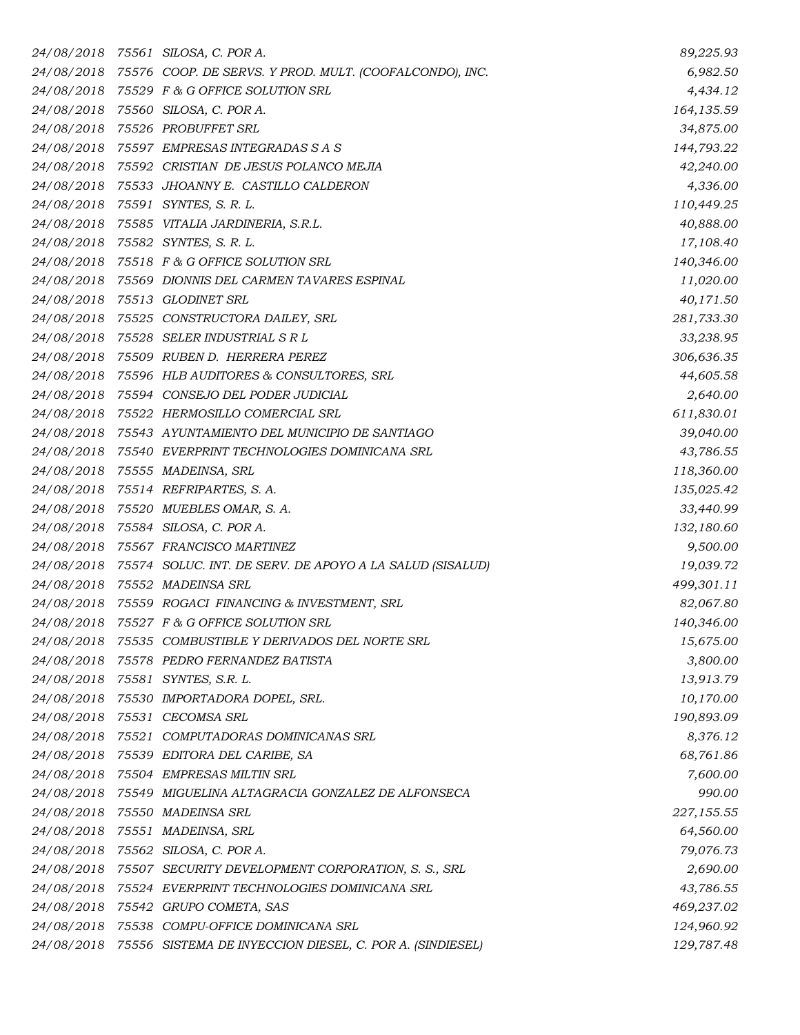|            | 24/08/2018 75561 SILOSA, C. POR A.                                  | 89,225.93  |
|------------|---------------------------------------------------------------------|------------|
|            | 24/08/2018 75576 COOP. DE SERVS. Y PROD. MULT. (COOFALCONDO), INC.  | 6,982.50   |
| 24/08/2018 | 75529 F & G OFFICE SOLUTION SRL                                     | 4,434.12   |
|            | 24/08/2018 75560 SILOSA, C. POR A.                                  | 164,135.59 |
|            | 24/08/2018 75526 PROBUFFET SRL                                      | 34,875.00  |
|            | 24/08/2018 75597 EMPRESAS INTEGRADAS S A S                          | 144,793.22 |
|            | 24/08/2018 75592 CRISTIAN DE JESUS POLANCO MEJIA                    | 42,240.00  |
| 24/08/2018 | 75533 JHOANNY E. CASTILLO CALDERON                                  | 4,336.00   |
|            | 24/08/2018 75591 SYNTES, S. R. L.                                   | 110,449.25 |
|            | 24/08/2018 75585 VITALIA JARDINERIA, S.R.L.                         | 40,888.00  |
|            | 24/08/2018 75582 SYNTES, S. R. L.                                   | 17,108.40  |
|            | 24/08/2018 75518 F & G OFFICE SOLUTION SRL                          | 140,346.00 |
|            | 24/08/2018 75569 DIONNIS DEL CARMEN TAVARES ESPINAL                 | 11,020.00  |
|            | 24/08/2018 75513 GLODINET SRL                                       | 40,171.50  |
|            | 24/08/2018 75525 CONSTRUCTORA DAILEY, SRL                           | 281,733.30 |
|            | 24/08/2018 75528 SELER INDUSTRIAL SRL                               | 33,238.95  |
|            | 24/08/2018 75509 RUBEN D. HERRERA PEREZ                             | 306,636.35 |
|            | 24/08/2018 75596 HLB AUDITORES & CONSULTORES, SRL                   | 44,605.58  |
|            | 24/08/2018 75594 CONSEJO DEL PODER JUDICIAL                         | 2,640.00   |
|            | 24/08/2018 75522 HERMOSILLO COMERCIAL SRL                           | 611,830.01 |
|            | 24/08/2018 75543 AYUNTAMIENTO DEL MUNICIPIO DE SANTIAGO             | 39,040.00  |
|            | 24/08/2018 75540 EVERPRINT TECHNOLOGIES DOMINICANA SRL              | 43,786.55  |
|            | 24/08/2018 75555 MADEINSA, SRL                                      | 118,360.00 |
|            | 24/08/2018 75514 REFRIPARTES, S. A.                                 | 135,025.42 |
|            | 24/08/2018 75520 MUEBLES OMAR, S. A.                                | 33,440.99  |
|            | 24/08/2018 75584 SILOSA, C. POR A.                                  | 132,180.60 |
|            | 24/08/2018 75567 FRANCISCO MARTINEZ                                 | 9,500.00   |
|            | 24/08/2018 75574 SOLUC. INT. DE SERV. DE APOYO A LA SALUD (SISALUD) | 19,039.72  |
|            | 24/08/2018 75552 MADEINSA SRL                                       | 499,301.11 |
|            | 24/08/2018 75559 ROGACI FINANCING & INVESTMENT, SRL                 | 82,067.80  |
|            | 24/08/2018 75527 F & G OFFICE SOLUTION SRL                          | 140,346.00 |
| 24/08/2018 | 75535 COMBUSTIBLE Y DERIVADOS DEL NORTE SRL                         | 15,675.00  |
|            | 24/08/2018 75578 PEDRO FERNANDEZ BATISTA                            | 3,800.00   |
| 24/08/2018 | 75581 SYNTES, S.R. L.                                               | 13,913.79  |
|            | 24/08/2018 75530 IMPORTADORA DOPEL, SRL.                            | 10,170.00  |
|            | 24/08/2018 75531 CECOMSA SRL                                        | 190,893.09 |
|            | 24/08/2018 75521 COMPUTADORAS DOMINICANAS SRL                       | 8,376.12   |
|            | 24/08/2018 75539 EDITORA DEL CARIBE, SA                             | 68,761.86  |
|            | 24/08/2018 75504 EMPRESAS MILTIN SRL                                | 7,600.00   |
|            | 24/08/2018 75549 MIGUELINA ALTAGRACIA GONZALEZ DE ALFONSECA         | 990.00     |
|            | 24/08/2018 75550 MADEINSA SRL                                       | 227,155.55 |
|            | 24/08/2018 75551 MADEINSA, SRL                                      | 64,560.00  |
|            | 24/08/2018 75562 SILOSA, C. POR A.                                  | 79,076.73  |
|            | 24/08/2018 75507 SECURITY DEVELOPMENT CORPORATION, S. S., SRL       | 2,690.00   |
|            | 24/08/2018 75524 EVERPRINT TECHNOLOGIES DOMINICANA SRL              | 43,786.55  |
|            | 24/08/2018 75542 GRUPO COMETA, SAS                                  | 469,237.02 |
|            | 24/08/2018 75538 COMPU-OFFICE DOMINICANA SRL                        | 124,960.92 |
|            | 24/08/2018 75556 SISTEMA DE INYECCION DIESEL, C. POR A. (SINDIESEL) | 129,787.48 |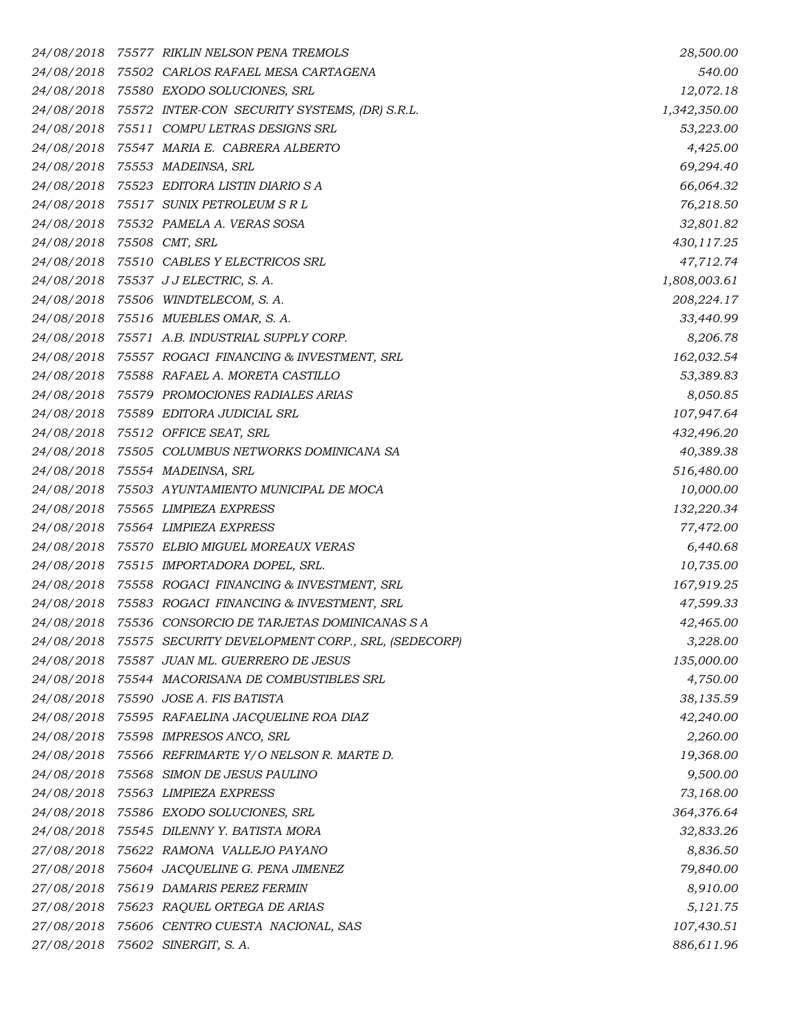|                                                                                                | 75577 RIKLIN NELSON PENA TREMOLS                     | 28,500.00                                                                                                                                                                                                                                                                                                                                                                                                                                                                                                                                                                                                                                                                                                                                                                                                                                                                                                                                                                                                                                                                                                                                                                                                                                                                                                                                                                                                                                                                                                                                                                                                                                                                                                                                                                                                                                                                                                                                                        |
|------------------------------------------------------------------------------------------------|------------------------------------------------------|------------------------------------------------------------------------------------------------------------------------------------------------------------------------------------------------------------------------------------------------------------------------------------------------------------------------------------------------------------------------------------------------------------------------------------------------------------------------------------------------------------------------------------------------------------------------------------------------------------------------------------------------------------------------------------------------------------------------------------------------------------------------------------------------------------------------------------------------------------------------------------------------------------------------------------------------------------------------------------------------------------------------------------------------------------------------------------------------------------------------------------------------------------------------------------------------------------------------------------------------------------------------------------------------------------------------------------------------------------------------------------------------------------------------------------------------------------------------------------------------------------------------------------------------------------------------------------------------------------------------------------------------------------------------------------------------------------------------------------------------------------------------------------------------------------------------------------------------------------------------------------------------------------------------------------------------------------------|
|                                                                                                |                                                      | 540.00                                                                                                                                                                                                                                                                                                                                                                                                                                                                                                                                                                                                                                                                                                                                                                                                                                                                                                                                                                                                                                                                                                                                                                                                                                                                                                                                                                                                                                                                                                                                                                                                                                                                                                                                                                                                                                                                                                                                                           |
|                                                                                                |                                                      | 12,072.18                                                                                                                                                                                                                                                                                                                                                                                                                                                                                                                                                                                                                                                                                                                                                                                                                                                                                                                                                                                                                                                                                                                                                                                                                                                                                                                                                                                                                                                                                                                                                                                                                                                                                                                                                                                                                                                                                                                                                        |
|                                                                                                |                                                      | 1,342,350.00                                                                                                                                                                                                                                                                                                                                                                                                                                                                                                                                                                                                                                                                                                                                                                                                                                                                                                                                                                                                                                                                                                                                                                                                                                                                                                                                                                                                                                                                                                                                                                                                                                                                                                                                                                                                                                                                                                                                                     |
|                                                                                                |                                                      | 53,223.00                                                                                                                                                                                                                                                                                                                                                                                                                                                                                                                                                                                                                                                                                                                                                                                                                                                                                                                                                                                                                                                                                                                                                                                                                                                                                                                                                                                                                                                                                                                                                                                                                                                                                                                                                                                                                                                                                                                                                        |
|                                                                                                |                                                      | 4,425.00                                                                                                                                                                                                                                                                                                                                                                                                                                                                                                                                                                                                                                                                                                                                                                                                                                                                                                                                                                                                                                                                                                                                                                                                                                                                                                                                                                                                                                                                                                                                                                                                                                                                                                                                                                                                                                                                                                                                                         |
|                                                                                                |                                                      | 69,294.40                                                                                                                                                                                                                                                                                                                                                                                                                                                                                                                                                                                                                                                                                                                                                                                                                                                                                                                                                                                                                                                                                                                                                                                                                                                                                                                                                                                                                                                                                                                                                                                                                                                                                                                                                                                                                                                                                                                                                        |
|                                                                                                |                                                      | 66,064.32                                                                                                                                                                                                                                                                                                                                                                                                                                                                                                                                                                                                                                                                                                                                                                                                                                                                                                                                                                                                                                                                                                                                                                                                                                                                                                                                                                                                                                                                                                                                                                                                                                                                                                                                                                                                                                                                                                                                                        |
|                                                                                                |                                                      | 76,218.50                                                                                                                                                                                                                                                                                                                                                                                                                                                                                                                                                                                                                                                                                                                                                                                                                                                                                                                                                                                                                                                                                                                                                                                                                                                                                                                                                                                                                                                                                                                                                                                                                                                                                                                                                                                                                                                                                                                                                        |
|                                                                                                |                                                      | 32,801.82                                                                                                                                                                                                                                                                                                                                                                                                                                                                                                                                                                                                                                                                                                                                                                                                                                                                                                                                                                                                                                                                                                                                                                                                                                                                                                                                                                                                                                                                                                                                                                                                                                                                                                                                                                                                                                                                                                                                                        |
|                                                                                                |                                                      | 430,117.25                                                                                                                                                                                                                                                                                                                                                                                                                                                                                                                                                                                                                                                                                                                                                                                                                                                                                                                                                                                                                                                                                                                                                                                                                                                                                                                                                                                                                                                                                                                                                                                                                                                                                                                                                                                                                                                                                                                                                       |
|                                                                                                |                                                      | 47,712.74                                                                                                                                                                                                                                                                                                                                                                                                                                                                                                                                                                                                                                                                                                                                                                                                                                                                                                                                                                                                                                                                                                                                                                                                                                                                                                                                                                                                                                                                                                                                                                                                                                                                                                                                                                                                                                                                                                                                                        |
|                                                                                                |                                                      | 1,808,003.61                                                                                                                                                                                                                                                                                                                                                                                                                                                                                                                                                                                                                                                                                                                                                                                                                                                                                                                                                                                                                                                                                                                                                                                                                                                                                                                                                                                                                                                                                                                                                                                                                                                                                                                                                                                                                                                                                                                                                     |
|                                                                                                |                                                      | 208,224.17                                                                                                                                                                                                                                                                                                                                                                                                                                                                                                                                                                                                                                                                                                                                                                                                                                                                                                                                                                                                                                                                                                                                                                                                                                                                                                                                                                                                                                                                                                                                                                                                                                                                                                                                                                                                                                                                                                                                                       |
|                                                                                                |                                                      | 33,440.99                                                                                                                                                                                                                                                                                                                                                                                                                                                                                                                                                                                                                                                                                                                                                                                                                                                                                                                                                                                                                                                                                                                                                                                                                                                                                                                                                                                                                                                                                                                                                                                                                                                                                                                                                                                                                                                                                                                                                        |
|                                                                                                |                                                      | 8,206.78                                                                                                                                                                                                                                                                                                                                                                                                                                                                                                                                                                                                                                                                                                                                                                                                                                                                                                                                                                                                                                                                                                                                                                                                                                                                                                                                                                                                                                                                                                                                                                                                                                                                                                                                                                                                                                                                                                                                                         |
|                                                                                                |                                                      | 162,032.54                                                                                                                                                                                                                                                                                                                                                                                                                                                                                                                                                                                                                                                                                                                                                                                                                                                                                                                                                                                                                                                                                                                                                                                                                                                                                                                                                                                                                                                                                                                                                                                                                                                                                                                                                                                                                                                                                                                                                       |
|                                                                                                |                                                      | 53,389.83                                                                                                                                                                                                                                                                                                                                                                                                                                                                                                                                                                                                                                                                                                                                                                                                                                                                                                                                                                                                                                                                                                                                                                                                                                                                                                                                                                                                                                                                                                                                                                                                                                                                                                                                                                                                                                                                                                                                                        |
|                                                                                                |                                                      | 8,050.85                                                                                                                                                                                                                                                                                                                                                                                                                                                                                                                                                                                                                                                                                                                                                                                                                                                                                                                                                                                                                                                                                                                                                                                                                                                                                                                                                                                                                                                                                                                                                                                                                                                                                                                                                                                                                                                                                                                                                         |
|                                                                                                |                                                      | 107,947.64                                                                                                                                                                                                                                                                                                                                                                                                                                                                                                                                                                                                                                                                                                                                                                                                                                                                                                                                                                                                                                                                                                                                                                                                                                                                                                                                                                                                                                                                                                                                                                                                                                                                                                                                                                                                                                                                                                                                                       |
|                                                                                                |                                                      | 432,496.20                                                                                                                                                                                                                                                                                                                                                                                                                                                                                                                                                                                                                                                                                                                                                                                                                                                                                                                                                                                                                                                                                                                                                                                                                                                                                                                                                                                                                                                                                                                                                                                                                                                                                                                                                                                                                                                                                                                                                       |
|                                                                                                |                                                      | 40,389.38                                                                                                                                                                                                                                                                                                                                                                                                                                                                                                                                                                                                                                                                                                                                                                                                                                                                                                                                                                                                                                                                                                                                                                                                                                                                                                                                                                                                                                                                                                                                                                                                                                                                                                                                                                                                                                                                                                                                                        |
|                                                                                                |                                                      | 516,480.00                                                                                                                                                                                                                                                                                                                                                                                                                                                                                                                                                                                                                                                                                                                                                                                                                                                                                                                                                                                                                                                                                                                                                                                                                                                                                                                                                                                                                                                                                                                                                                                                                                                                                                                                                                                                                                                                                                                                                       |
|                                                                                                |                                                      | 10,000.00                                                                                                                                                                                                                                                                                                                                                                                                                                                                                                                                                                                                                                                                                                                                                                                                                                                                                                                                                                                                                                                                                                                                                                                                                                                                                                                                                                                                                                                                                                                                                                                                                                                                                                                                                                                                                                                                                                                                                        |
|                                                                                                |                                                      | 132,220.34                                                                                                                                                                                                                                                                                                                                                                                                                                                                                                                                                                                                                                                                                                                                                                                                                                                                                                                                                                                                                                                                                                                                                                                                                                                                                                                                                                                                                                                                                                                                                                                                                                                                                                                                                                                                                                                                                                                                                       |
|                                                                                                |                                                      | 77,472.00                                                                                                                                                                                                                                                                                                                                                                                                                                                                                                                                                                                                                                                                                                                                                                                                                                                                                                                                                                                                                                                                                                                                                                                                                                                                                                                                                                                                                                                                                                                                                                                                                                                                                                                                                                                                                                                                                                                                                        |
|                                                                                                |                                                      | 6,440.68                                                                                                                                                                                                                                                                                                                                                                                                                                                                                                                                                                                                                                                                                                                                                                                                                                                                                                                                                                                                                                                                                                                                                                                                                                                                                                                                                                                                                                                                                                                                                                                                                                                                                                                                                                                                                                                                                                                                                         |
|                                                                                                |                                                      | 10,735.00                                                                                                                                                                                                                                                                                                                                                                                                                                                                                                                                                                                                                                                                                                                                                                                                                                                                                                                                                                                                                                                                                                                                                                                                                                                                                                                                                                                                                                                                                                                                                                                                                                                                                                                                                                                                                                                                                                                                                        |
|                                                                                                |                                                      | 167,919.25                                                                                                                                                                                                                                                                                                                                                                                                                                                                                                                                                                                                                                                                                                                                                                                                                                                                                                                                                                                                                                                                                                                                                                                                                                                                                                                                                                                                                                                                                                                                                                                                                                                                                                                                                                                                                                                                                                                                                       |
|                                                                                                |                                                      | 47,599.33                                                                                                                                                                                                                                                                                                                                                                                                                                                                                                                                                                                                                                                                                                                                                                                                                                                                                                                                                                                                                                                                                                                                                                                                                                                                                                                                                                                                                                                                                                                                                                                                                                                                                                                                                                                                                                                                                                                                                        |
|                                                                                                |                                                      | 42,465.00                                                                                                                                                                                                                                                                                                                                                                                                                                                                                                                                                                                                                                                                                                                                                                                                                                                                                                                                                                                                                                                                                                                                                                                                                                                                                                                                                                                                                                                                                                                                                                                                                                                                                                                                                                                                                                                                                                                                                        |
|                                                                                                |                                                      | 3,228.00                                                                                                                                                                                                                                                                                                                                                                                                                                                                                                                                                                                                                                                                                                                                                                                                                                                                                                                                                                                                                                                                                                                                                                                                                                                                                                                                                                                                                                                                                                                                                                                                                                                                                                                                                                                                                                                                                                                                                         |
|                                                                                                |                                                      | 135,000.00                                                                                                                                                                                                                                                                                                                                                                                                                                                                                                                                                                                                                                                                                                                                                                                                                                                                                                                                                                                                                                                                                                                                                                                                                                                                                                                                                                                                                                                                                                                                                                                                                                                                                                                                                                                                                                                                                                                                                       |
|                                                                                                |                                                      | 4,750.00                                                                                                                                                                                                                                                                                                                                                                                                                                                                                                                                                                                                                                                                                                                                                                                                                                                                                                                                                                                                                                                                                                                                                                                                                                                                                                                                                                                                                                                                                                                                                                                                                                                                                                                                                                                                                                                                                                                                                         |
|                                                                                                |                                                      | 38,135.59                                                                                                                                                                                                                                                                                                                                                                                                                                                                                                                                                                                                                                                                                                                                                                                                                                                                                                                                                                                                                                                                                                                                                                                                                                                                                                                                                                                                                                                                                                                                                                                                                                                                                                                                                                                                                                                                                                                                                        |
|                                                                                                |                                                      | 42,240.00                                                                                                                                                                                                                                                                                                                                                                                                                                                                                                                                                                                                                                                                                                                                                                                                                                                                                                                                                                                                                                                                                                                                                                                                                                                                                                                                                                                                                                                                                                                                                                                                                                                                                                                                                                                                                                                                                                                                                        |
|                                                                                                |                                                      | 2,260.00                                                                                                                                                                                                                                                                                                                                                                                                                                                                                                                                                                                                                                                                                                                                                                                                                                                                                                                                                                                                                                                                                                                                                                                                                                                                                                                                                                                                                                                                                                                                                                                                                                                                                                                                                                                                                                                                                                                                                         |
|                                                                                                |                                                      | 19,368.00                                                                                                                                                                                                                                                                                                                                                                                                                                                                                                                                                                                                                                                                                                                                                                                                                                                                                                                                                                                                                                                                                                                                                                                                                                                                                                                                                                                                                                                                                                                                                                                                                                                                                                                                                                                                                                                                                                                                                        |
|                                                                                                |                                                      | 9,500.00                                                                                                                                                                                                                                                                                                                                                                                                                                                                                                                                                                                                                                                                                                                                                                                                                                                                                                                                                                                                                                                                                                                                                                                                                                                                                                                                                                                                                                                                                                                                                                                                                                                                                                                                                                                                                                                                                                                                                         |
|                                                                                                |                                                      | 73,168.00                                                                                                                                                                                                                                                                                                                                                                                                                                                                                                                                                                                                                                                                                                                                                                                                                                                                                                                                                                                                                                                                                                                                                                                                                                                                                                                                                                                                                                                                                                                                                                                                                                                                                                                                                                                                                                                                                                                                                        |
|                                                                                                |                                                      | 364,376.64                                                                                                                                                                                                                                                                                                                                                                                                                                                                                                                                                                                                                                                                                                                                                                                                                                                                                                                                                                                                                                                                                                                                                                                                                                                                                                                                                                                                                                                                                                                                                                                                                                                                                                                                                                                                                                                                                                                                                       |
|                                                                                                |                                                      | 32,833.26                                                                                                                                                                                                                                                                                                                                                                                                                                                                                                                                                                                                                                                                                                                                                                                                                                                                                                                                                                                                                                                                                                                                                                                                                                                                                                                                                                                                                                                                                                                                                                                                                                                                                                                                                                                                                                                                                                                                                        |
|                                                                                                |                                                      | 8,836.50                                                                                                                                                                                                                                                                                                                                                                                                                                                                                                                                                                                                                                                                                                                                                                                                                                                                                                                                                                                                                                                                                                                                                                                                                                                                                                                                                                                                                                                                                                                                                                                                                                                                                                                                                                                                                                                                                                                                                         |
|                                                                                                |                                                      | 79,840.00                                                                                                                                                                                                                                                                                                                                                                                                                                                                                                                                                                                                                                                                                                                                                                                                                                                                                                                                                                                                                                                                                                                                                                                                                                                                                                                                                                                                                                                                                                                                                                                                                                                                                                                                                                                                                                                                                                                                                        |
|                                                                                                |                                                      | 8,910.00                                                                                                                                                                                                                                                                                                                                                                                                                                                                                                                                                                                                                                                                                                                                                                                                                                                                                                                                                                                                                                                                                                                                                                                                                                                                                                                                                                                                                                                                                                                                                                                                                                                                                                                                                                                                                                                                                                                                                         |
|                                                                                                |                                                      | 5,121.75                                                                                                                                                                                                                                                                                                                                                                                                                                                                                                                                                                                                                                                                                                                                                                                                                                                                                                                                                                                                                                                                                                                                                                                                                                                                                                                                                                                                                                                                                                                                                                                                                                                                                                                                                                                                                                                                                                                                                         |
|                                                                                                |                                                      | 107,430.51                                                                                                                                                                                                                                                                                                                                                                                                                                                                                                                                                                                                                                                                                                                                                                                                                                                                                                                                                                                                                                                                                                                                                                                                                                                                                                                                                                                                                                                                                                                                                                                                                                                                                                                                                                                                                                                                                                                                                       |
|                                                                                                |                                                      | 886,611.96                                                                                                                                                                                                                                                                                                                                                                                                                                                                                                                                                                                                                                                                                                                                                                                                                                                                                                                                                                                                                                                                                                                                                                                                                                                                                                                                                                                                                                                                                                                                                                                                                                                                                                                                                                                                                                                                                                                                                       |
| 24/08/2018<br>24/08/2018<br>24/08/2018<br>24/08/2018<br>24/08/2018<br>27/08/2018<br>27/08/2018 | 24/08/2018<br>24/08/2018<br>27/08/2018<br>27/08/2018 | 75502 CARLOS RAFAEL MESA CARTAGENA<br>24/08/2018 75580 EXODO SOLUCIONES, SRL<br>24/08/2018 75572 INTER-CON SECURITY SYSTEMS, (DR) S.R.L.<br>75511 COMPU LETRAS DESIGNS SRL<br>24/08/2018 75547 MARIA E. CABRERA ALBERTO<br>24/08/2018 75553 MADEINSA, SRL<br>24/08/2018 75523 EDITORA LISTIN DIARIO SA<br>24/08/2018 75517 SUNIX PETROLEUM SRL<br>24/08/2018 75532 PAMELA A. VERAS SOSA<br>24/08/2018 75508 CMT, SRL<br>24/08/2018 75510 CABLES Y ELECTRICOS SRL<br>24/08/2018 75537 JJELECTRIC, S.A.<br>75506 WINDTELECOM, S. A.<br>24/08/2018 75516 MUEBLES OMAR, S.A.<br>24/08/2018 75571 A.B. INDUSTRIAL SUPPLY CORP.<br>24/08/2018 75557 ROGACI FINANCING & INVESTMENT, SRL<br>24/08/2018 75588 RAFAEL A. MORETA CASTILLO<br>75579 PROMOCIONES RADIALES ARIAS<br>24/08/2018 75589 EDITORA JUDICIAL SRL<br>24/08/2018 75512 OFFICE SEAT, SRL<br>24/08/2018 75505 COLUMBUS NETWORKS DOMINICANA SA<br>24/08/2018 75554 MADEINSA, SRL<br>75503 AYUNTAMIENTO MUNICIPAL DE MOCA<br>24/08/2018 75565 LIMPIEZA EXPRESS<br>75564 LIMPIEZA EXPRESS<br>24/08/2018 75570 ELBIO MIGUEL MOREAUX VERAS<br>24/08/2018 75515 IMPORTADORA DOPEL, SRL.<br>24/08/2018 75558 ROGACI FINANCING & INVESTMENT, SRL<br>24/08/2018 75583 ROGACI FINANCING & INVESTMENT, SRL<br>24/08/2018 75536 CONSORCIO DE TARJETAS DOMINICANAS SA<br>75575 SECURITY DEVELOPMENT CORP., SRL, (SEDECORP)<br>75587 JUAN ML. GUERRERO DE JESUS<br>24/08/2018 75544 MACORISANA DE COMBUSTIBLES SRL<br>24/08/2018 75590 JOSE A. FIS BATISTA<br>75595 RAFAELINA JACQUELINE ROA DIAZ<br>75598 IMPRESOS ANCO, SRL<br>75566 REFRIMARTE Y/O NELSON R. MARTE D.<br>24/08/2018 75568 SIMON DE JESUS PAULINO<br>75563 LIMPIEZA EXPRESS<br>75586 EXODO SOLUCIONES, SRL<br>24/08/2018 75545 DILENNY Y. BATISTA MORA<br>75622 RAMONA VALLEJO PAYANO<br>75604 JACQUELINE G. PENA JIMENEZ<br>75619 DAMARIS PEREZ FERMIN<br>75623 RAQUEL ORTEGA DE ARIAS<br>75606 CENTRO CUESTA NACIONAL, SAS<br>75602 SINERGIT, S. A. |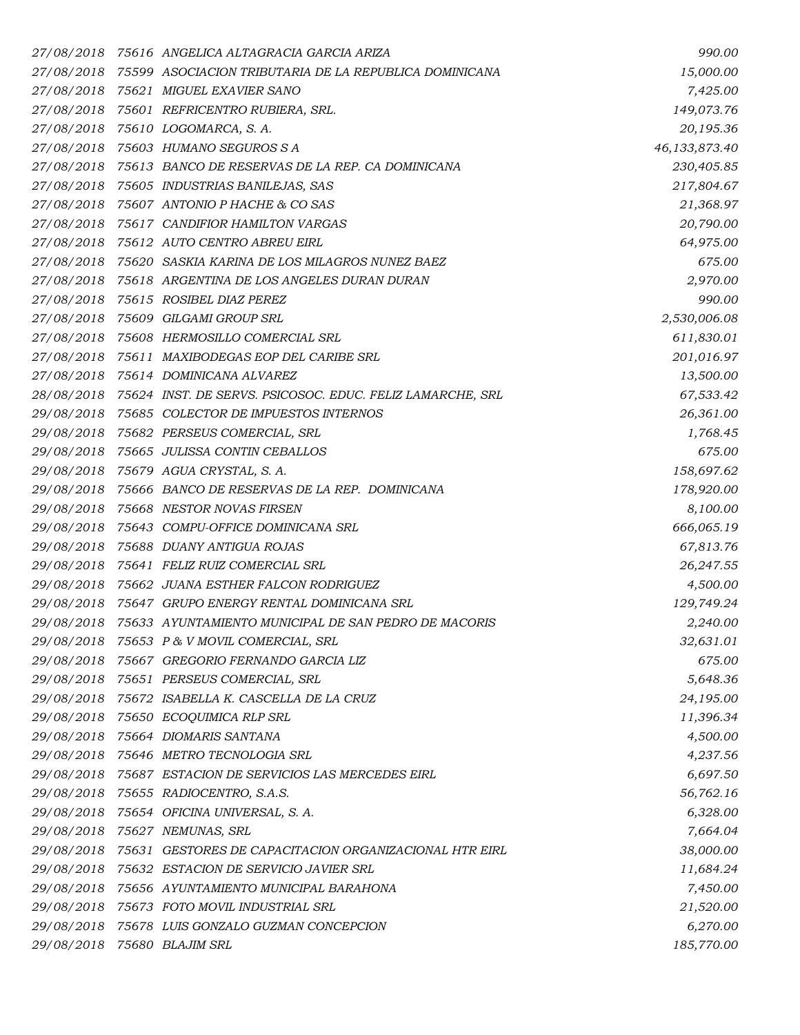| 27/08/2018 | 75616   ANGELICA ALTAGRACIA GARCIA ARIZA                             | 990.00        |
|------------|----------------------------------------------------------------------|---------------|
|            | 27/08/2018 75599 ASOCIACION TRIBUTARIA DE LA REPUBLICA DOMINICANA    | 15,000.00     |
|            | 27/08/2018 75621 MIGUEL EXAVIER SANO                                 | 7,425.00      |
|            | 27/08/2018 75601 REFRICENTRO RUBIERA, SRL.                           | 149,073.76    |
|            | 27/08/2018 75610 LOGOMARCA, S.A.                                     | 20,195.36     |
|            | 27/08/2018 75603 HUMANO SEGUROS S A                                  | 46,133,873.40 |
|            | 27/08/2018 75613 BANCO DE RESERVAS DE LA REP. CA DOMINICANA          | 230,405.85    |
|            | 27/08/2018 75605 INDUSTRIAS BANILEJAS, SAS                           | 217,804.67    |
|            | 27/08/2018 75607 ANTONIO P HACHE & CO SAS                            | 21,368.97     |
|            | 27/08/2018 75617 CANDIFIOR HAMILTON VARGAS                           | 20,790.00     |
|            | 27/08/2018 75612 AUTO CENTRO ABREU EIRL                              | 64,975.00     |
|            | 27/08/2018 75620 SASKIA KARINA DE LOS MILAGROS NUNEZ BAEZ            | 675.00        |
|            | 27/08/2018 75618 ARGENTINA DE LOS ANGELES DURAN DURAN                | 2,970.00      |
|            | 27/08/2018 75615 ROSIBEL DIAZ PEREZ                                  | 990.00        |
|            | 27/08/2018 75609 GILGAMI GROUP SRL                                   | 2,530,006.08  |
|            | 27/08/2018 75608 HERMOSILLO COMERCIAL SRL                            | 611,830.01    |
|            | 27/08/2018 75611 MAXIBODEGAS EOP DEL CARIBE SRL                      | 201,016.97    |
| 27/08/2018 | 75614 DOMINICANA ALVAREZ                                             | 13,500.00     |
|            | 28/08/2018 75624 INST. DE SERVS. PSICOSOC. EDUC. FELIZ LAMARCHE, SRL | 67,533.42     |
| 29/08/2018 | 75685 COLECTOR DE IMPUESTOS INTERNOS                                 | 26,361.00     |
|            | 29/08/2018 75682 PERSEUS COMERCIAL, SRL                              | 1,768.45      |
|            | 29/08/2018 75665 JULISSA CONTIN CEBALLOS                             | 675.00        |
|            | 29/08/2018 75679 AGUA CRYSTAL, S. A.                                 | 158,697.62    |
|            | 29/08/2018 75666 BANCO DE RESERVAS DE LA REP. DOMINICANA             | 178,920.00    |
|            | 29/08/2018 75668 NESTOR NOVAS FIRSEN                                 | 8,100.00      |
|            | 29/08/2018 75643 COMPU-OFFICE DOMINICANA SRL                         | 666,065.19    |
|            | 29/08/2018 75688 DUANY ANTIGUA ROJAS                                 | 67,813.76     |
|            | 29/08/2018 75641 FELIZ RUIZ COMERCIAL SRL                            | 26,247.55     |
|            | 29/08/2018 75662 JUANA ESTHER FALCON RODRIGUEZ                       | 4,500.00      |
|            | 29/08/2018 75647 GRUPO ENERGY RENTAL DOMINICANA SRL                  | 129,749.24    |
|            | 29/08/2018 75633 AYUNTAMIENTO MUNICIPAL DE SAN PEDRO DE MACORIS      | 2,240.00      |
| 29/08/2018 | 75653 P & V MOVIL COMERCIAL, SRL                                     | 32,631.01     |
|            | 29/08/2018 75667 GREGORIO FERNANDO GARCIA LIZ                        | 675.00        |
|            | 29/08/2018 75651 PERSEUS COMERCIAL, SRL                              | 5,648.36      |
| 29/08/2018 | 75672 ISABELLA K. CASCELLA DE LA CRUZ                                | 24,195.00     |
|            | 29/08/2018 75650 ECOQUIMICA RLP SRL                                  | 11,396.34     |
| 29/08/2018 | 75664 DIOMARIS SANTANA                                               | 4,500.00      |
|            | 29/08/2018 75646 METRO TECNOLOGIA SRL                                | 4,237.56      |
|            | 29/08/2018 75687 ESTACION DE SERVICIOS LAS MERCEDES EIRL             | 6,697.50      |
|            | 29/08/2018 75655 RADIOCENTRO, S.A.S.                                 | 56,762.16     |
|            | 29/08/2018 75654 OFICINA UNIVERSAL, S. A.                            | 6,328.00      |
| 29/08/2018 | 75627 NEMUNAS, SRL                                                   | 7,664.04      |
|            | 29/08/2018 75631 GESTORES DE CAPACITACION ORGANIZACIONAL HTR EIRL    | 38,000.00     |
| 29/08/2018 | 75632 ESTACION DE SERVICIO JAVIER SRL                                | 11,684.24     |
|            | 29/08/2018 75656 AYUNTAMIENTO MUNICIPAL BARAHONA                     | 7,450.00      |
|            | 29/08/2018 75673 FOTO MOVIL INDUSTRIAL SRL                           | 21,520.00     |
|            | 29/08/2018 75678 LUIS GONZALO GUZMAN CONCEPCION                      | 6,270.00      |
| 29/08/2018 | 75680 BLAJIM SRL                                                     | 185,770.00    |
|            |                                                                      |               |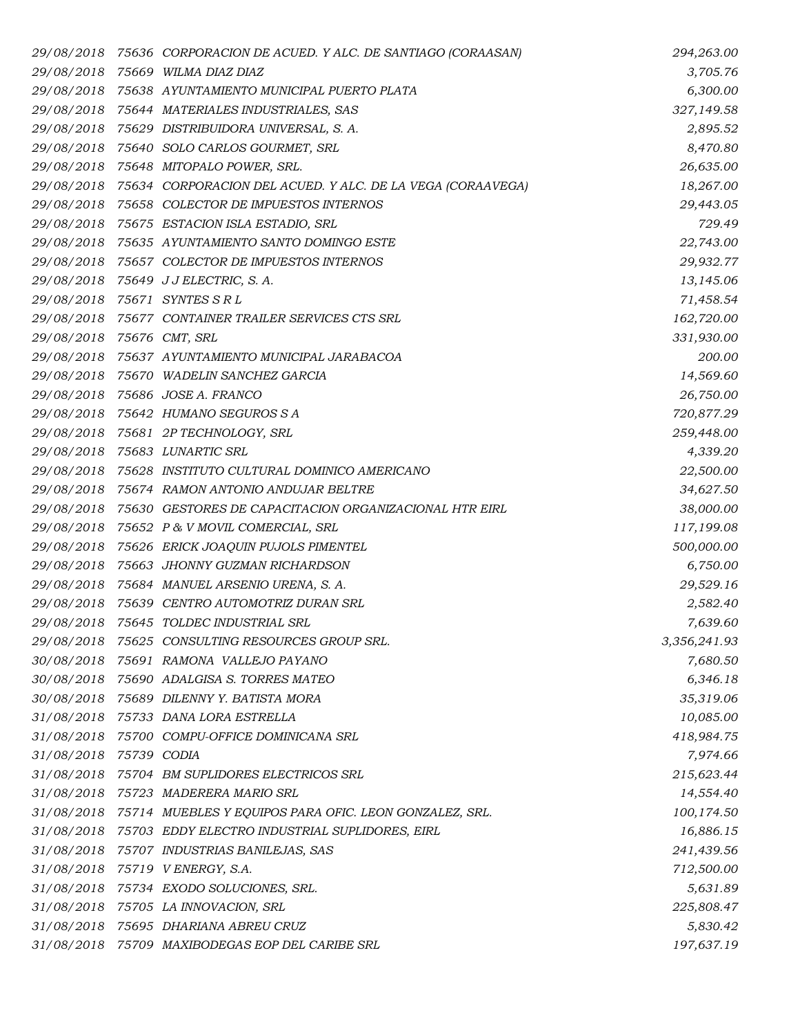| 29/08/2018                | 75636 CORPORACION DE ACUED. Y ALC. DE SANTIAGO (CORAASAN)             | 294,263.00   |
|---------------------------|-----------------------------------------------------------------------|--------------|
|                           | 29/08/2018 75669 WILMA DIAZ DIAZ                                      | 3,705.76     |
|                           | 29/08/2018 75638 AYUNTAMIENTO MUNICIPAL PUERTO PLATA                  | 6,300.00     |
|                           | 29/08/2018 75644 MATERIALES INDUSTRIALES, SAS                         | 327,149.58   |
|                           | 29/08/2018 75629 DISTRIBUIDORA UNIVERSAL, S. A.                       | 2,895.52     |
|                           | 29/08/2018 75640 SOLO CARLOS GOURMET, SRL                             | 8,470.80     |
|                           | 29/08/2018 75648 MITOPALO POWER, SRL.                                 | 26,635.00    |
|                           | 29/08/2018 75634 CORPORACION DEL ACUED. Y ALC. DE LA VEGA (CORAAVEGA) | 18,267.00    |
|                           | 29/08/2018 75658 COLECTOR DE IMPUESTOS INTERNOS                       | 29,443.05    |
|                           | 29/08/2018 75675 ESTACION ISLA ESTADIO, SRL                           | 729.49       |
|                           | 29/08/2018 75635 AYUNTAMIENTO SANTO DOMINGO ESTE                      | 22,743.00    |
|                           | 29/08/2018 75657 COLECTOR DE IMPUESTOS INTERNOS                       | 29,932.77    |
|                           | 29/08/2018 75649 JJELECTRIC, S.A.                                     | 13,145.06    |
|                           | 29/08/2018 75671 SYNTES SRL                                           | 71,458.54    |
|                           | 29/08/2018 75677 CONTAINER TRAILER SERVICES CTS SRL                   | 162,720.00   |
| 29/08/2018 75676 CMT, SRL |                                                                       | 331,930.00   |
|                           | 29/08/2018 75637 AYUNTAMIENTO MUNICIPAL JARABACOA                     | 200.00       |
|                           | 29/08/2018 75670 WADELIN SANCHEZ GARCIA                               | 14,569.60    |
|                           | 29/08/2018 75686 JOSE A. FRANCO                                       | 26,750.00    |
|                           | 29/08/2018 75642 HUMANO SEGUROS S A                                   | 720,877.29   |
|                           | 29/08/2018 75681 2P TECHNOLOGY, SRL                                   | 259,448.00   |
|                           | 29/08/2018 75683 LUNARTIC SRL                                         | 4,339.20     |
|                           | 29/08/2018 75628 INSTITUTO CULTURAL DOMINICO AMERICANO                | 22,500.00    |
|                           | 29/08/2018 75674 RAMON ANTONIO ANDUJAR BELTRE                         | 34,627.50    |
|                           | 29/08/2018 75630 GESTORES DE CAPACITACION ORGANIZACIONAL HTR EIRL     | 38,000.00    |
|                           | 29/08/2018 75652 P & V MOVIL COMERCIAL, SRL                           | 117,199.08   |
|                           | 29/08/2018 75626 ERICK JOAQUIN PUJOLS PIMENTEL                        | 500,000.00   |
|                           | 29/08/2018 75663 JHONNY GUZMAN RICHARDSON                             | 6,750.00     |
|                           | 29/08/2018 75684 MANUEL ARSENIO URENA, S. A.                          | 29,529.16    |
|                           | 29/08/2018 75639 CENTRO AUTOMOTRIZ DURAN SRL                          | 2,582.40     |
|                           | 29/08/2018 75645 TOLDEC INDUSTRIAL SRL                                | 7,639.60     |
| 29/08/2018                | 75625 CONSULTING RESOURCES GROUP SRL.                                 | 3,356,241.93 |
|                           | 30/08/2018 75691 RAMONA VALLEJO PAYANO                                | 7,680.50     |
|                           | 30/08/2018 75690 ADALGISA S. TORRES MATEO                             | 6,346.18     |
|                           | 30/08/2018 75689 DILENNY Y. BATISTA MORA                              | 35,319.06    |
|                           | 31/08/2018 75733 DANA LORA ESTRELLA                                   | 10,085.00    |
|                           | 31/08/2018 75700 COMPU-OFFICE DOMINICANA SRL                          | 418,984.75   |
| 31/08/2018 75739 CODIA    |                                                                       | 7,974.66     |
|                           | 31/08/2018 75704 BM SUPLIDORES ELECTRICOS SRL                         | 215,623.44   |
|                           | 31/08/2018 75723 MADERERA MARIO SRL                                   | 14,554.40    |
|                           | 31/08/2018 75714 MUEBLES Y EQUIPOS PARA OFIC. LEON GONZALEZ, SRL.     | 100,174.50   |
|                           | 31/08/2018 75703 EDDY ELECTRO INDUSTRIAL SUPLIDORES, EIRL             | 16,886.15    |
|                           | 31/08/2018 75707 INDUSTRIAS BANILEJAS, SAS                            | 241,439.56   |
| 31/08/2018                | 75719 VENERGY, S.A.                                                   | 712,500.00   |
|                           | 31/08/2018 75734 EXODO SOLUCIONES, SRL.                               | 5,631.89     |
|                           | 31/08/2018 75705 LA INNOVACION, SRL                                   | 225,808.47   |
|                           | 31/08/2018 75695 DHARIANA ABREU CRUZ                                  | 5,830.42     |
| 31/08/2018                | 75709 MAXIBODEGAS EOP DEL CARIBE SRL                                  | 197,637.19   |
|                           |                                                                       |              |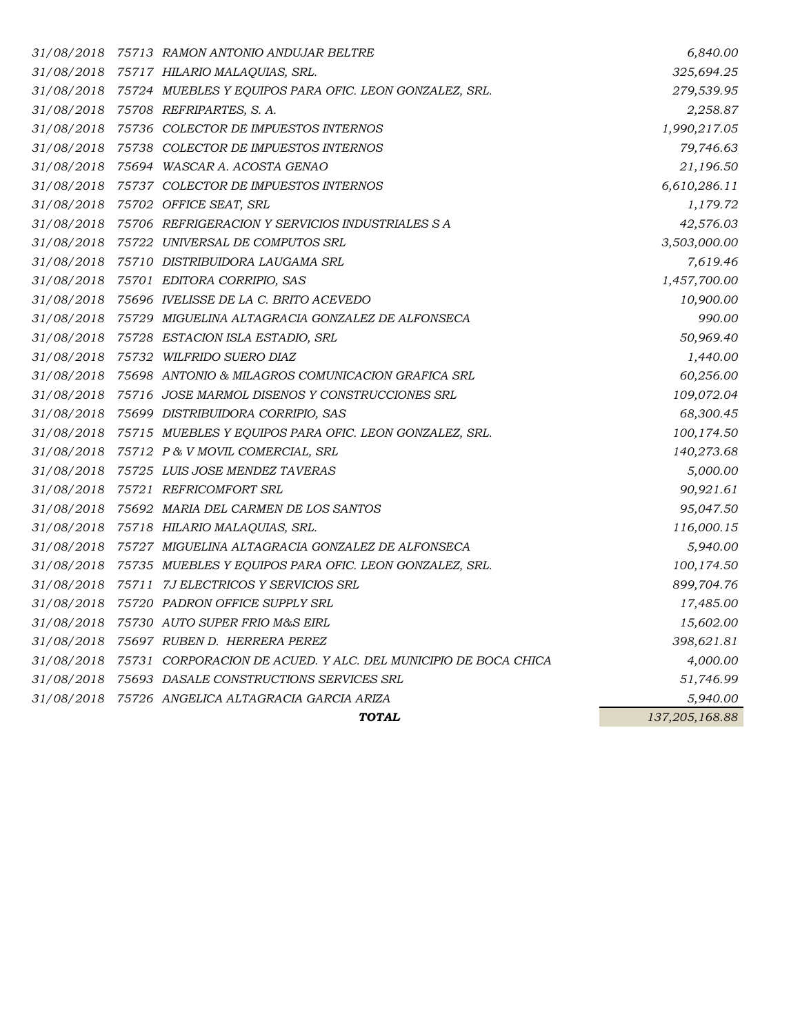|  | <b>TOTAL</b>                                                                               | 137,205,168.88            |
|--|--------------------------------------------------------------------------------------------|---------------------------|
|  | 31/08/2018 75726 ANGELICA ALTAGRACIA GARCIA ARIZA                                          | 5,940.00                  |
|  | 31/08/2018 75693 DASALE CONSTRUCTIONS SERVICES SRL                                         | 51,746.99                 |
|  | 31/08/2018 75731 CORPORACION DE ACUED. Y ALC. DEL MUNICIPIO DE BOCA CHICA                  | 4,000.00                  |
|  | 31/08/2018 75697 RUBEN D. HERRERA PEREZ                                                    | 398,621.81                |
|  | 31/08/2018 75730 AUTO SUPER FRIO M&S EIRL                                                  | 15,602.00                 |
|  | 31/08/2018 75720 PADRON OFFICE SUPPLY SRL                                                  | 17,485.00                 |
|  | 31/08/2018 75711 7J ELECTRICOS Y SERVICIOS SRL                                             | 899,704.76                |
|  | 31/08/2018 75735 MUEBLES Y EQUIPOS PARA OFIC. LEON GONZALEZ, SRL.                          | 100,174.50                |
|  | 31/08/2018 75727 MIGUELINA ALTAGRACIA GONZALEZ DE ALFONSECA                                | 5,940.00                  |
|  | 31/08/2018 75718 HILARIO MALAQUIAS, SRL.                                                   | 116,000.15                |
|  | 31/08/2018 75692 MARIA DEL CARMEN DE LOS SANTOS                                            | 95,047.50                 |
|  | 31/08/2018 75721 REFRICOMFORT SRL                                                          | 90,921.61                 |
|  | 31/08/2018 75725 LUIS JOSE MENDEZ TAVERAS                                                  | 5,000.00                  |
|  | 31/08/2018 75712 P & V MOVIL COMERCIAL, SRL                                                | 140,273.68                |
|  | 31/08/2018 75715 MUEBLES Y EQUIPOS PARA OFIC. LEON GONZALEZ, SRL.                          | 100,174.50                |
|  | 31/08/2018 75699 DISTRIBUIDORA CORRIPIO, SAS                                               | 68,300.45                 |
|  | 31/08/2018 75716 JOSE MARMOL DISENOS Y CONSTRUCCIONES SRL                                  | 109,072.04                |
|  | 31/08/2018 75698 ANTONIO & MILAGROS COMUNICACION GRAFICA SRL                               | 60,256.00                 |
|  | 31/08/2018 75732 WILFRIDO SUERO DIAZ                                                       | 1,440.00                  |
|  | 31/08/2018 75728 ESTACION ISLA ESTADIO, SRL                                                | 50,969.40                 |
|  | 31/08/2018 75729 MIGUELINA ALTAGRACIA GONZALEZ DE ALFONSECA                                | 990.00                    |
|  | 31/08/2018 75696 IVELISSE DE LA C. BRITO ACEVEDO                                           | 10,900.00                 |
|  | 31/08/2018 75701 EDITORA CORRIPIO, SAS                                                     | 1,457,700.00              |
|  | 31/08/2018 75710 DISTRIBUIDORA LAUGAMA SRL                                                 | 7,619.46                  |
|  | 31/08/2018 75722 UNIVERSAL DE COMPUTOS SRL                                                 | 3,503,000.00              |
|  | 31/08/2018 75706 REFRIGERACION Y SERVICIOS INDUSTRIALES S A                                | 42,576.03                 |
|  | 31/08/2018 75702 OFFICE SEAT, SRL                                                          | 1,179.72                  |
|  | 31/08/2018 75694 WASCAR A. ACOSTA GENAO<br>31/08/2018 75737 COLECTOR DE IMPUESTOS INTERNOS | 21,196.50<br>6,610,286.11 |
|  | 31/08/2018 75738 COLECTOR DE IMPUESTOS INTERNOS                                            | 79,746.63                 |
|  | 31/08/2018 75736 COLECTOR DE IMPUESTOS INTERNOS                                            | 1,990,217.05              |
|  | 31/08/2018 75708 REFRIPARTES, S.A.                                                         | 2,258.87                  |
|  | 31/08/2018 75724 MUEBLES Y EQUIPOS PARA OFIC. LEON GONZALEZ, SRL.                          | 279,539.95                |
|  | 31/08/2018 75717 HILARIO MALAQUIAS, SRL.                                                   | 325,694.25                |
|  | 31/08/2018 75713 RAMON ANTONIO ANDUJAR BELTRE                                              | 6,840.00                  |
|  |                                                                                            |                           |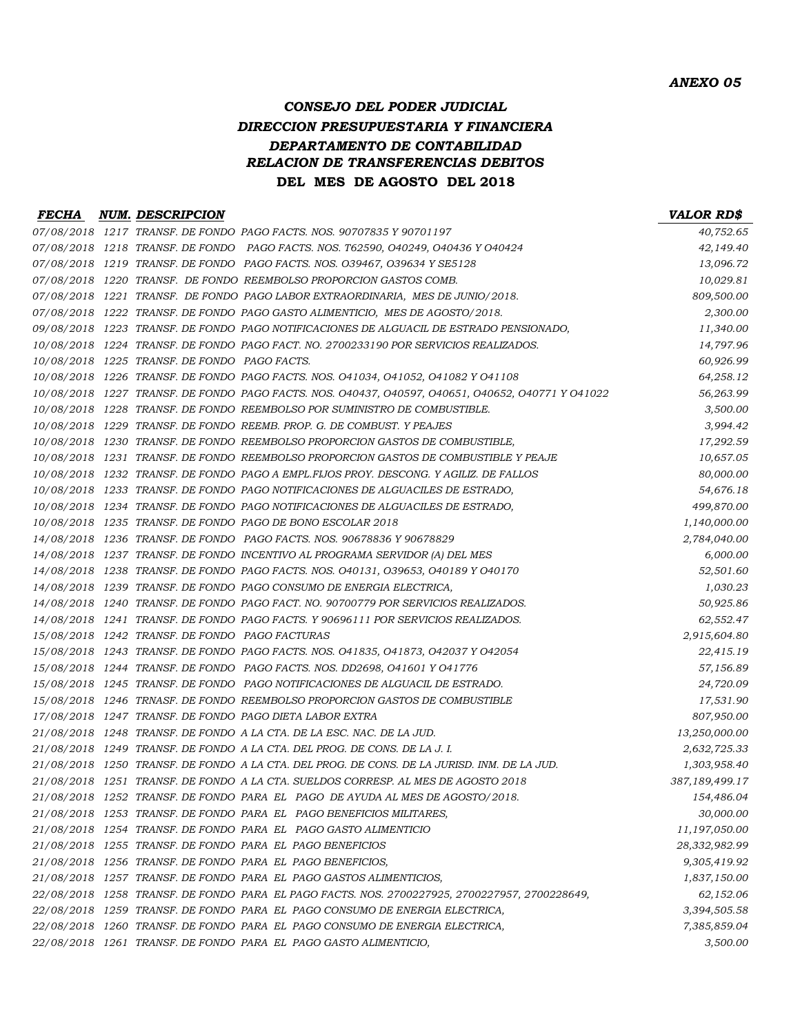### *CONSEJO DEL PODER JUDICIAL DIRECCION PRESUPUESTARIA Y FINANCIERA DEPARTAMENTO DE CONTABILIDAD RELACION DE TRANSFERENCIAS DEBITOS* **DEL MES DE AGOSTO DEL 2018**

#### *FECHA NUM. DESCRIPCION VALOR RD\$ 07/08/2018 1217 TRANSF. DE FONDO PAGO FACTS. NOS. 90707835 Y 90701197 40,752.65 07/08/2018 1218 TRANSF. DE FONDO PAGO FACTS. NOS. T62590, O40249, O40436 Y O40424 42,149.40 07/08/2018 1219 TRANSF. DE FONDO PAGO FACTS. NOS. O39467, O39634 Y SE5128 13,096.72 07/08/2018 1220 TRANSF. DE FONDO REEMBOLSO PROPORCION GASTOS COMB. 10,029.81 07/08/2018 1221 TRANSF. DE FONDO PAGO LABOR EXTRAORDINARIA, MES DE JUNIO/2018. 809,500.00 07/08/2018 1222 TRANSF. DE FONDO PAGO GASTO ALIMENTICIO, MES DE AGOSTO/2018. 2,300.00 09/08/2018 1223 TRANSF. DE FONDO PAGO NOTIFICACIONES DE ALGUACIL DE ESTRADO PENSIONADO, 11,340.00 10/08/2018 1224 TRANSF. DE FONDO PAGO FACT. NO. 2700233190 POR SERVICIOS REALIZADOS. 14,797.96 10/08/2018 1225 TRANSF. DE FONDO PAGO FACTS. 60,926.99 10/08/2018 1226 TRANSF. DE FONDO PAGO FACTS. NOS. O41034, O41052, O41082 Y O41108 64,258.12 10/08/2018 1227 TRANSF. DE FONDO PAGO FACTS. NOS. O40437, O40597, O40651, O40652, O40771 Y O41022 56,263.99 10/08/2018 1228 TRANSF. DE FONDO REEMBOLSO POR SUMINISTRO DE COMBUSTIBLE. 3,500.00 10/08/2018 1229 TRANSF. DE FONDO REEMB. PROP. G. DE COMBUST. Y PEAJES 3,994.42 10/08/2018 1230 TRANSF. DE FONDO REEMBOLSO PROPORCION GASTOS DE COMBUSTIBLE, 17,292.59 10/08/2018 1231 TRANSF. DE FONDO REEMBOLSO PROPORCION GASTOS DE COMBUSTIBLE Y PEAJE 10,657.05 10/08/2018 1232 TRANSF. DE FONDO PAGO A EMPL.FIJOS PROY. DESCONG. Y AGILIZ. DE FALLOS 80,000.00 10/08/2018 1233 TRANSF. DE FONDO PAGO NOTIFICACIONES DE ALGUACILES DE ESTRADO, 54,676.18 10/08/2018 1234 TRANSF. DE FONDO PAGO NOTIFICACIONES DE ALGUACILES DE ESTRADO, 499,870.00 10/08/2018 1235 TRANSF. DE FONDO PAGO DE BONO ESCOLAR 2018 1,140,000.00 14/08/2018 1236 TRANSF. DE FONDO PAGO FACTS. NOS. 90678836 Y 90678829 2,784,040.00 14/08/2018 1237 TRANSF. DE FONDO INCENTIVO AL PROGRAMA SERVIDOR (A) DEL MES 6,000.00 14/08/2018 1238 TRANSF. DE FONDO PAGO FACTS. NOS. O40131, O39653, O40189 Y O40170 52,501.60 14/08/2018 1239 TRANSF. DE FONDO PAGO CONSUMO DE ENERGIA ELECTRICA, 1,030.23 14/08/2018 1240 TRANSF. DE FONDO PAGO FACT. NO. 90700779 POR SERVICIOS REALIZADOS. 50,925.86 14/08/2018 1241 TRANSF. DE FONDO PAGO FACTS. Y 90696111 POR SERVICIOS REALIZADOS. 62,552.47 15/08/2018 1242 TRANSF. DE FONDO PAGO FACTURAS 2,915,604.80 15/08/2018 1243 TRANSF. DE FONDO PAGO FACTS. NOS. O41835, O41873, O42037 Y O42054 22,415.19 15/08/2018 1244 TRANSF. DE FONDO PAGO FACTS. NOS. DD2698, O41601 Y O41776 57,156.89 15/08/2018 1245 TRANSF. DE FONDO PAGO NOTIFICACIONES DE ALGUACIL DE ESTRADO. 24,720.09 15/08/2018 1246 TRNASF. DE FONDO REEMBOLSO PROPORCION GASTOS DE COMBUSTIBLE 17,531.90 17/08/2018 1247 TRANSF. DE FONDO PAGO DIETA LABOR EXTRA 807,950.00 21/08/2018 1248 TRANSF. DE FONDO A LA CTA. DE LA ESC. NAC. DE LA JUD. 13,250,000.00 21/08/2018 1249 TRANSF. DE FONDO A LA CTA. DEL PROG. DE CONS. DE LA J. I. 2,632,725.33 21/08/2018 1250 TRANSF. DE FONDO A LA CTA. DEL PROG. DE CONS. DE LA JURISD. INM. DE LA JUD. 1,303,958.40 21/08/2018 1251 TRANSF. DE FONDO A LA CTA. SUELDOS CORRESP. AL MES DE AGOSTO 2018 387,189,499.17 21/08/2018 1252 TRANSF. DE FONDO PARA EL PAGO DE AYUDA AL MES DE AGOSTO/2018. 154,486.04 21/08/2018 1253 TRANSF. DE FONDO PARA EL PAGO BENEFICIOS MILITARES, 30,000.00 21/08/2018 1254 TRANSF. DE FONDO PARA EL PAGO GASTO ALIMENTICIO 11,197,050.00 21/08/2018 1255 TRANSF. DE FONDO PARA EL PAGO BENEFICIOS 28,332,982.99 21/08/2018 1256 TRANSF. DE FONDO PARA EL PAGO BENEFICIOS, 9,305,419.92 21/08/2018 1257 TRANSF. DE FONDO PARA EL PAGO GASTOS ALIMENTICIOS, 1,837,150.00 22/08/2018 1258 TRANSF. DE FONDO PARA EL PAGO FACTS. NOS. 2700227925, 2700227957, 2700228649, 62,152.06 22/08/2018 1259 TRANSF. DE FONDO PARA EL PAGO CONSUMO DE ENERGIA ELECTRICA, 3,394,505.58 22/08/2018 1260 TRANSF. DE FONDO PARA EL PAGO CONSUMO DE ENERGIA ELECTRICA, 7,385,859.04 22/08/2018 1261 TRANSF. DE FONDO PARA EL PAGO GASTO ALIMENTICIO, 3,500.00*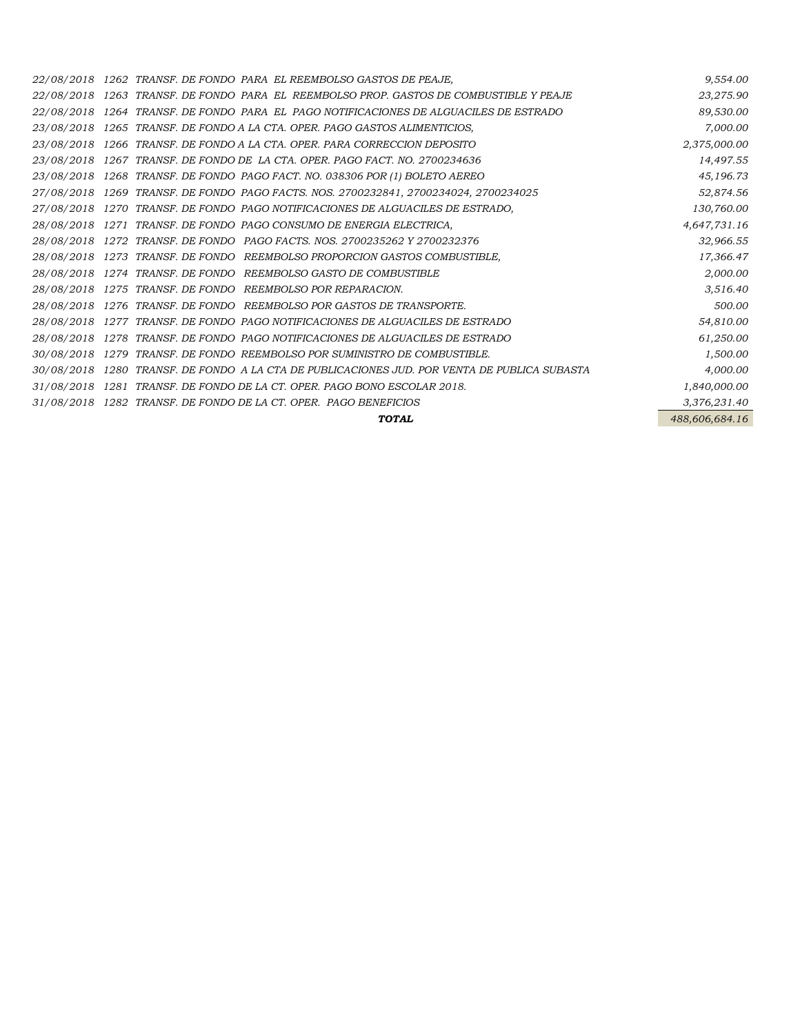|            | 22/08/2018 1262 TRANSF. DE FONDO PARA EL REEMBOLSO GASTOS DE PEAJE,                  | 9,554.00       |
|------------|--------------------------------------------------------------------------------------|----------------|
| 22/08/2018 | 1263 TRANSF, DE FONDO PARA EL REEMBOLSO PROP, GASTOS DE COMBUSTIBLE Y PEAJE          | 23,275.90      |
| 22/08/2018 | 1264 TRANSF. DE FONDO PARA EL PAGO NOTIFICACIONES DE ALGUACILES DE ESTRADO           | 89,530.00      |
| 23/08/2018 | 1265 TRANSF. DE FONDO A LA CTA. OPER. PAGO GASTOS ALIMENTICIOS,                      | 7,000.00       |
| 23/08/2018 | 1266 TRANSF. DE FONDO A LA CTA. OPER. PARA CORRECCION DEPOSITO                       | 2,375,000.00   |
| 23/08/2018 | 1267 TRANSF, DE FONDO DE LA CTA, OPER, PAGO FACT, NO. 2700234636                     | 14,497.55      |
| 23/08/2018 | 1268 TRANSF. DE FONDO PAGO FACT. NO. 038306 POR (1) BOLETO AEREO                     | 45,196.73      |
|            | 27/08/2018 1269 TRANSF. DE FONDO PAGO FACTS. NOS. 2700232841, 2700234024, 2700234025 | 52,874.56      |
| 27/08/2018 | 1270 TRANSF. DE FONDO PAGO NOTIFICACIONES DE ALGUACILES DE ESTRADO,                  | 130,760.00     |
| 28/08/2018 | 1271 TRANSF. DE FONDO PAGO CONSUMO DE ENERGIA ELECTRICA,                             | 4,647,731.16   |
| 28/08/2018 | 1272 TRANSF, DE FONDO PAGO FACTS, NOS. 2700235262 Y 2700232376                       | 32,966.55      |
| 28/08/2018 | 1273 TRANSF. DE FONDO REEMBOLSO PROPORCION GASTOS COMBUSTIBLE,                       | 17,366.47      |
| 28/08/2018 | 1274 TRANSF. DE FONDO REEMBOLSO GASTO DE COMBUSTIBLE                                 | 2,000.00       |
| 28/08/2018 | 1275 TRANSF. DE FONDO REEMBOLSO POR REPARACION.                                      | 3,516.40       |
| 28/08/2018 | 1276 TRANSF, DE FONDO REEMBOLSO POR GASTOS DE TRANSPORTE.                            | 500.00         |
| 28/08/2018 | 1277 TRANSF. DE FONDO PAGO NOTIFICACIONES DE ALGUACILES DE ESTRADO                   | 54,810.00      |
| 28/08/2018 | 1278 TRANSF. DE FONDO PAGO NOTIFICACIONES DE ALGUACILES DE ESTRADO                   | 61,250.00      |
| 30/08/2018 | 1279 TRANSF. DE FONDO REEMBOLSO POR SUMINISTRO DE COMBUSTIBLE.                       | 1,500.00       |
| 30/08/2018 | 1280 TRANSF. DE FONDO A LA CTA DE PUBLICACIONES JUD. POR VENTA DE PUBLICA SUBASTA    | 4,000.00       |
| 31/08/2018 | 1281 TRANSF. DE FONDO DE LA CT. OPER. PAGO BONO ESCOLAR 2018.                        | 1,840,000.00   |
| 31/08/2018 | 1282 TRANSF. DE FONDO DE LA CT. OPER. PAGO BENEFICIOS                                | 3,376,231.40   |
|            | <b>TOTAL</b>                                                                         | 488,606,684.16 |